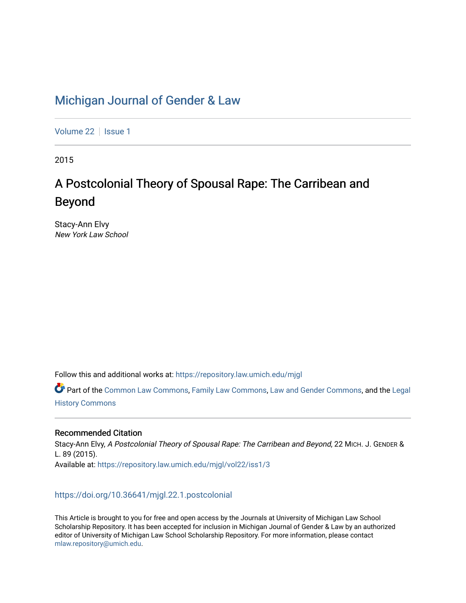# [Michigan Journal of Gender & Law](https://repository.law.umich.edu/mjgl)

[Volume 22](https://repository.law.umich.edu/mjgl/vol22) | [Issue 1](https://repository.law.umich.edu/mjgl/vol22/iss1)

2015

# A Postcolonial Theory of Spousal Rape: The Carribean and Beyond

Stacy-Ann Elvy New York Law School

Follow this and additional works at: [https://repository.law.umich.edu/mjgl](https://repository.law.umich.edu/mjgl?utm_source=repository.law.umich.edu%2Fmjgl%2Fvol22%2Fiss1%2F3&utm_medium=PDF&utm_campaign=PDFCoverPages)

Part of the [Common Law Commons,](http://network.bepress.com/hgg/discipline/1120?utm_source=repository.law.umich.edu%2Fmjgl%2Fvol22%2Fiss1%2F3&utm_medium=PDF&utm_campaign=PDFCoverPages) [Family Law Commons,](http://network.bepress.com/hgg/discipline/602?utm_source=repository.law.umich.edu%2Fmjgl%2Fvol22%2Fiss1%2F3&utm_medium=PDF&utm_campaign=PDFCoverPages) [Law and Gender Commons](http://network.bepress.com/hgg/discipline/1298?utm_source=repository.law.umich.edu%2Fmjgl%2Fvol22%2Fiss1%2F3&utm_medium=PDF&utm_campaign=PDFCoverPages), and the [Legal](http://network.bepress.com/hgg/discipline/904?utm_source=repository.law.umich.edu%2Fmjgl%2Fvol22%2Fiss1%2F3&utm_medium=PDF&utm_campaign=PDFCoverPages)  [History Commons](http://network.bepress.com/hgg/discipline/904?utm_source=repository.law.umich.edu%2Fmjgl%2Fvol22%2Fiss1%2F3&utm_medium=PDF&utm_campaign=PDFCoverPages)

# Recommended Citation

Stacy-Ann Elvy, A Postcolonial Theory of Spousal Rape: The Carribean and Beyond, 22 MICH. J. GENDER & L. 89 (2015). Available at: [https://repository.law.umich.edu/mjgl/vol22/iss1/3](https://repository.law.umich.edu/mjgl/vol22/iss1/3?utm_source=repository.law.umich.edu%2Fmjgl%2Fvol22%2Fiss1%2F3&utm_medium=PDF&utm_campaign=PDFCoverPages) 

# <https://doi.org/10.36641/mjgl.22.1.postcolonial>

This Article is brought to you for free and open access by the Journals at University of Michigan Law School Scholarship Repository. It has been accepted for inclusion in Michigan Journal of Gender & Law by an authorized editor of University of Michigan Law School Scholarship Repository. For more information, please contact [mlaw.repository@umich.edu.](mailto:mlaw.repository@umich.edu)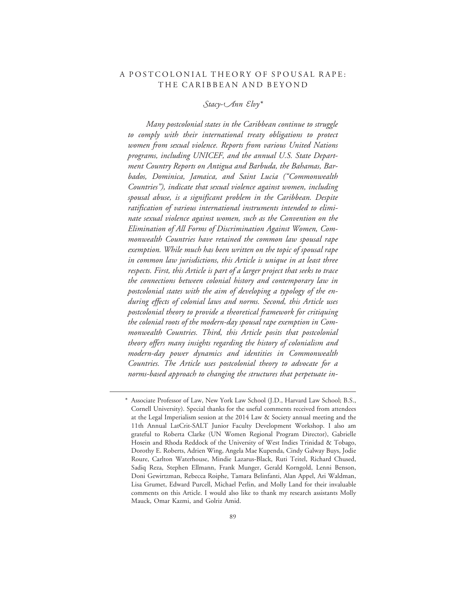# A POSTCOLONIAL THEORY OF SPOUSAL RAPE: THE CARIBBEAN AND BEYOND

*-tacy-nn lvy\**

*Many postcolonial states in the Caribbean continue to struggle to comply with their international treaty obligations to protect women from sexual violence. Reports from various United Nations programs, including UNICEF, and the annual U.S. State Department Country Reports on Antigua and Barbuda, the Bahamas, Barbados, Dominica, Jamaica, and Saint Lucia ("Commonwealth Countries"), indicate that sexual violence against women, including spousal abuse, is a significant problem in the Caribbean. Despite ratification of various international instruments intended to eliminate sexual violence against women, such as the Convention on the Elimination of All Forms of Discrimination Against Women, Commonwealth Countries have retained the common law spousal rape exemption. While much has been written on the topic of spousal rape in common law jurisdictions, this Article is unique in at least three respects. First, this Article is part of a larger project that seeks to trace the connections between colonial history and contemporary law in postcolonial states with the aim of developing a typology of the enduring effects of colonial laws and norms. Second, this Article uses postcolonial theory to provide a theoretical framework for critiquing the colonial roots of the modern-day spousal rape exemption in Commonwealth Countries. Third, this Article posits that postcolonial theory offers many insights regarding the history of colonialism and modern-day power dynamics and identities in Commonwealth Countries. The Article uses postcolonial theory to advocate for a norms-based approach to changing the structures that perpetuate in-*

<sup>\*</sup> Associate Professor of Law, New York Law School (J.D., Harvard Law School; B.S., Cornell University). Special thanks for the useful comments received from attendees at the Legal Imperialism session at the 2014 Law & Society annual meeting and the 11th Annual LatCrit-SALT Junior Faculty Development Workshop. I also am grateful to Roberta Clarke (UN Women Regional Program Director), Gabrielle Hosein and Rhoda Reddock of the University of West Indies Trinidad & Tobago, Dorothy E. Roberts, Adrien Wing, Angela Mae Kupenda, Cindy Galway Buys, Jodie Roure, Carlton Waterhouse, Mindie Lazarus-Black, Ruti Teitel, Richard Chused, Sadiq Reza, Stephen Ellmann, Frank Munger, Gerald Korngold, Lenni Benson, Doni Gewirtzman, Rebecca Roiphe, Tamara Belinfanti, Alan Appel, Ari Waldman, Lisa Grumet, Edward Purcell, Michael Perlin, and Molly Land for their invaluable comments on this Article. I would also like to thank my research assistants Molly Mauck, Omar Kazmi, and Golriz Amid.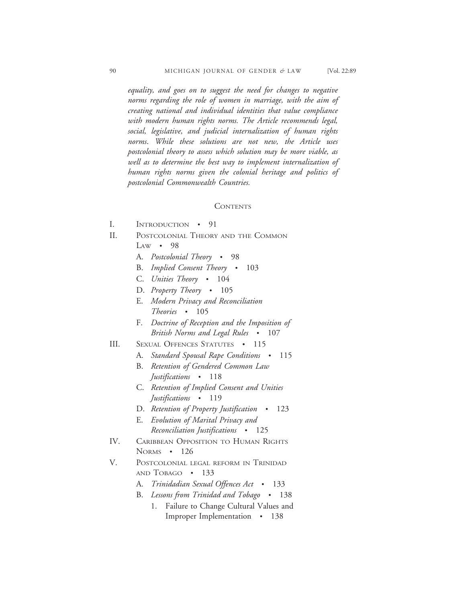*equality, and goes on to suggest the need for changes to negative norms regarding the role of women in marriage, with the aim of creating national and individual identities that value compliance with modern human rights norms. The Article recommends legal, social, legislative, and judicial internalization of human rights norms*. *While these solutions are not new, the Article uses postcolonial theory to assess which solution may be more viable, as well as to determine the best way to implement internalization of human rights norms given the colonial heritage and politics of postcolonial Commonwealth Countries.*

#### **CONTENTS**

- I. INTRODUCTION 91
- II. POSTCOLONIAL THEORY AND THE COMMON  $LAW \cdot 98$ 
	- A. *Postcolonial Theory* 98
	- B. *Implied Consent Theory* 103
	- C. *Unities Theory* 104
	- D. *Property Theory* 105
	- E. *Modern Privacy and Reconciliation Theories* • 105
	- F. *Doctrine of Reception and the Imposition of British Norms and Legal Rules* • 107
- III. SEXUAL OFFENCES STATUTES 115
	- A. *Standard Spousal Rape Conditions* 115
	- B. *Retention of Gendered Common Law Justifications* • 118
	- C. *Retention of Implied Consent and Unities Justifications* • 119
	- D. *Retention of Property Justification* 123
	- E. *Evolution of Marital Privacy and Reconciliation Justifications* • 125
- IV. CARIBBEAN OPPOSITION TO HUMAN RIGHTS NORMS • 126
- V. POSTCOLONIAL LEGAL REFORM IN TRINIDAD AND TOBAGO • 133
	- A. *Trinidadian Sexual Offences Act* 133
	- B. *Lessons from Trinidad and Tobago* 138
		- 1. Failure to Change Cultural Values and Improper Implementation • 138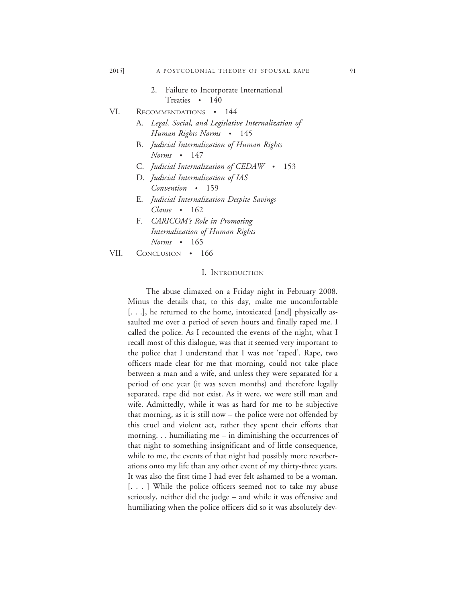- 2. Failure to Incorporate International Treaties • 140
- VI. RECOMMENDATIONS 144
	- A. *Legal, Social, and Legislative Internalization of Human Rights Norms* • 145
		- B. *Judicial Internalization of Human Rights Norms* • 147
		- C. *Judicial Internalization of CEDAW* 153
		- D. *Judicial Internalization of IAS Convention* • 159
		- E. *Judicial Internalization Despite Savings Clause* • 162
		- F. *CARICOM's Role in Promoting Internalization of Human Rights Norms* • 165

VII. CONCLUSION • 166

#### I. INTRODUCTION

The abuse climaxed on a Friday night in February 2008. Minus the details that, to this day, make me uncomfortable [. . .], he returned to the home, intoxicated [and] physically assaulted me over a period of seven hours and finally raped me. I called the police. As I recounted the events of the night, what I recall most of this dialogue, was that it seemed very important to the police that I understand that I was not 'raped'. Rape, two officers made clear for me that morning, could not take place between a man and a wife, and unless they were separated for a period of one year (it was seven months) and therefore legally separated, rape did not exist. As it were, we were still man and wife. Admittedly, while it was as hard for me to be subjective that morning, as it is still now – the police were not offended by this cruel and violent act, rather they spent their efforts that morning. . . humiliating me – in diminishing the occurrences of that night to something insignificant and of little consequence, while to me, the events of that night had possibly more reverberations onto my life than any other event of my thirty-three years. It was also the first time I had ever felt ashamed to be a woman. [. . . ] While the police officers seemed not to take my abuse seriously, neither did the judge – and while it was offensive and humiliating when the police officers did so it was absolutely dev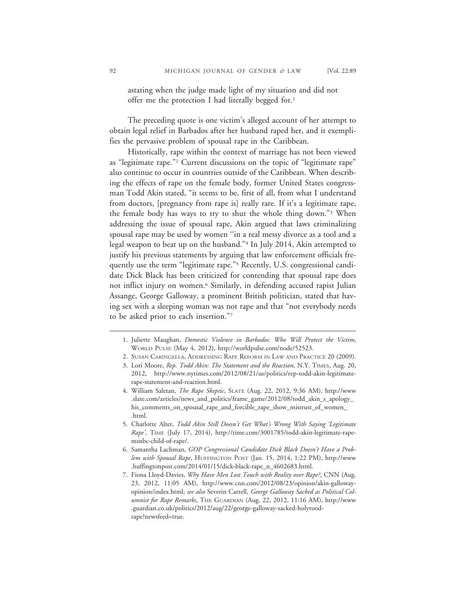astating when the judge made light of my situation and did not offer me the protection I had literally begged for.<sup>1</sup>

The preceding quote is one victim's alleged account of her attempt to obtain legal relief in Barbados after her husband raped her, and it exemplifies the pervasive problem of spousal rape in the Caribbean.

Historically, rape within the context of marriage has not been viewed as "legitimate rape."2 Current discussions on the topic of "legitimate rape" also continue to occur in countries outside of the Caribbean. When describing the effects of rape on the female body, former United States congressman Todd Akin stated, "it seems to be, first of all, from what I understand from doctors, [pregnancy from rape is] really rare. If it's a legitimate rape, the female body has ways to try to shut the whole thing down."3 When addressing the issue of spousal rape, Akin argued that laws criminalizing spousal rape may be used by women ''in a real messy divorce as a tool and a legal weapon to beat up on the husband."4 In July 2014, Akin attempted to justify his previous statements by arguing that law enforcement officials frequently use the term "legitimate rape."5 Recently, U.S. congressional candidate Dick Black has been criticized for contending that spousal rape does not inflict injury on women.<sup>6</sup> Similarly, in defending accused rapist Julian Assange, George Galloway, a prominent British politician, stated that having sex with a sleeping woman was not rape and that "not everybody needs to be asked prior to each insertion."7

3. Lori Moore, *Rep. Todd Akin: The Statement and the Reaction*, N.Y. TIMES, Aug. 20, 2012, http://www.nytimes.com/2012/08/21/us/politics/rep-todd-akin-legitimaterape-statement-and-reaction.html.

- 5. Charlotte Alter, *Todd Akin Still Doesn't Get What's Wrong With Saying 'Legitimate Rape'*, TIME (July 17, 2014), http://time.com/3001785/todd-akin-legitimate-rapemsnbc-child-of-rape/.
- 6. Samantha Lachman, *GOP Congressional Candidate Dick Black Doesn't Have a Problem with Spousal Rape*, HUFFINGTON POST (Jan. 15, 2014, 1:22 PM), http://www .huffingtonpost.com/2014/01/15/dick-black-rape\_n\_4602683.html.
- 7. Fiona Lloyd-Davies, *Why Have Men Lost Touch with Reality over Rape?*, CNN (Aug. 23, 2012, 11:05 AM), http://www.cnn.com/2012/08/23/opinion/akin-gallowayopinion/index.html; *see also* Severin Carrell, *George Galloway Sacked as Political Columnist for Rape Remarks*, THE GUARDIAN (Aug. 22, 2012, 11:16 AM), http://www .guardian.co.uk/politics/2012/aug/22/george-galloway-sacked-holyroodrape?newsfeed=true.

<sup>1.</sup> Juliette Maughan, *Domestic Violence in Barbados: Who Will Protect the Victim*, WORLD PULSE (May 4, 2012), http://worldpulse.com/node/52523.

<sup>2.</sup> SUSAN CARINGELLA, ADDRESSING RAPE REFORM IN LAW AND PRACTICE 20 (2009).

<sup>4.</sup> William Saletan, *The Rape Skeptic*, SLATE (Aug. 22, 2012, 9:36 AM), http://www .slate.com/articles/news\_and\_politics/frame\_game/2012/08/todd\_akin\_s\_apology\_ his\_comments\_on\_spousal\_rape\_and\_forcible\_rape\_show\_mistrust\_of\_women\_ .html.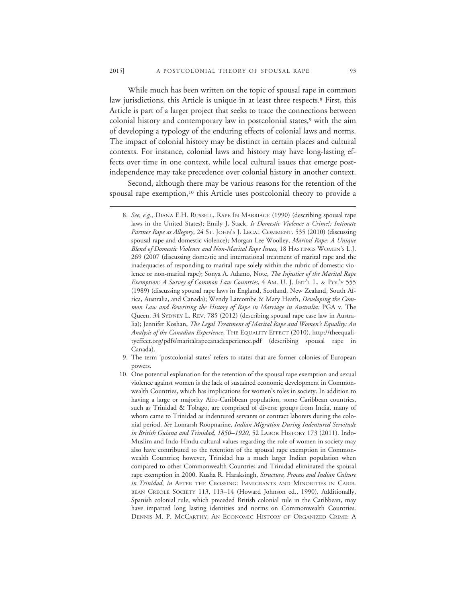While much has been written on the topic of spousal rape in common law jurisdictions, this Article is unique in at least three respects.<sup>8</sup> First, this Article is part of a larger project that seeks to trace the connections between colonial history and contemporary law in postcolonial states,<sup>9</sup> with the aim of developing a typology of the enduring effects of colonial laws and norms. The impact of colonial history may be distinct in certain places and cultural contexts. For instance, colonial laws and history may have long-lasting effects over time in one context, while local cultural issues that emerge postindependence may take precedence over colonial history in another context.

Second, although there may be various reasons for the retention of the spousal rape exemption,<sup>10</sup> this Article uses postcolonial theory to provide a

- 9. The term 'postcolonial states' refers to states that are former colonies of European powers.
- 10. One potential explanation for the retention of the spousal rape exemption and sexual violence against women is the lack of sustained economic development in Commonwealth Countries, which has implications for women's roles in society. In addition to having a large or majority Afro-Caribbean population, some Caribbean countries, such as Trinidad & Tobago, are comprised of diverse groups from India, many of whom came to Trinidad as indentured servants or contract laborers during the colonial period. *See* Lomarsh Roopnarine, *Indian Migration During Indentured Servitude in British Guiana and Trinidad, 1850–1920*, 52 LABOR HISTORY 173 (2011). Indo-Muslim and Indo-Hindu cultural values regarding the role of women in society may also have contributed to the retention of the spousal rape exemption in Commonwealth Countries; however, Trinidad has a much larger Indian population when compared to other Commonwealth Countries and Trinidad eliminated the spousal rape exemption in 2000. Kusha R. Haraksingh, *Structure, Process and Indian Culture in Trinidad*, *in* AFTER THE CROSSING: IMMIGRANTS AND MINORITIES IN CARIB-BEAN CREOLE SOCIETY 113, 113-14 (Howard Johnson ed., 1990). Additionally, Spanish colonial rule, which preceded British colonial rule in the Caribbean, may have imparted long lasting identities and norms on Commonwealth Countries. DENNIS M. P. MCCARTHY, AN ECONOMIC HISTORY OF ORGANIZED CRIME: A

<sup>8.</sup> *See, e.g.*, DIANA E.H. RUSSELL, RAPE IN MARRIAGE (1990) (describing spousal rape laws in the United States); Emily J. Stack, *Is Domestic Violence a Crime?: Intimate Partner Rape as Allegory*, 24 ST. JOHN'S J. LEGAL COMMENT. 535 (2010) (discussing spousal rape and domestic violence); Morgan Lee Woolley, *Marital Rape: A Unique Blend of Domestic Violence and Non-Marital Rape Issues*, 18 HASTINGS WOMEN'S L.J. 269 (2007 (discussing domestic and international treatment of marital rape and the inadequacies of responding to marital rape solely within the rubric of domestic violence or non-marital rape); Sonya A. Adamo, Note, *The Injustice of the Marital Rape Exemption: A Survey of Common Law Countries*, 4 AM. U. J. INT'L L. & POL'Y 555 (1989) (discussing spousal rape laws in England, Scotland, New Zealand, South Africa, Australia, and Canada); Wendy Larcombe & Mary Heath, *Developing the Common Law and Rewriting the History of Rape in Marriage in Australia:* PGA v. The Queen, 34 SYDNEY L. REV. 785 (2012) (describing spousal rape case law in Australia); Jennifer Koshan, *The Legal Treatment of Marital Rape and Women's Equality: An Analysis of the Canadian Experience*, THE EQUALITY EFFECT (2010), http://theequalityeffect.org/pdfs/maritalrapecanadexperience.pdf (describing spousal rape in Canada).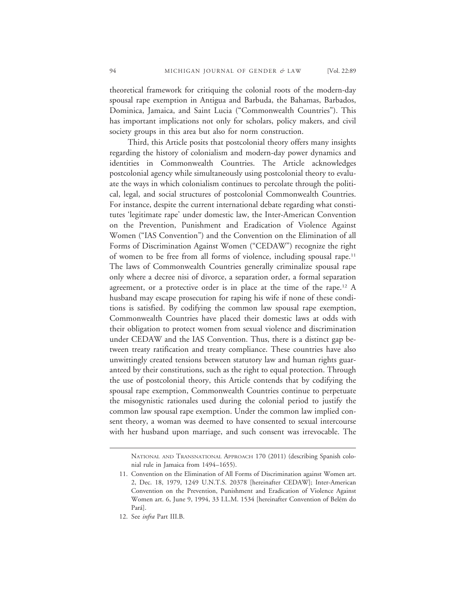theoretical framework for critiquing the colonial roots of the modern-day spousal rape exemption in Antigua and Barbuda, the Bahamas, Barbados, Dominica, Jamaica, and Saint Lucia ("Commonwealth Countries"). This has important implications not only for scholars, policy makers, and civil society groups in this area but also for norm construction.

Third, this Article posits that postcolonial theory offers many insights regarding the history of colonialism and modern-day power dynamics and identities in Commonwealth Countries. The Article acknowledges postcolonial agency while simultaneously using postcolonial theory to evaluate the ways in which colonialism continues to percolate through the political, legal, and social structures of postcolonial Commonwealth Countries. For instance, despite the current international debate regarding what constitutes 'legitimate rape' under domestic law, the Inter-American Convention on the Prevention, Punishment and Eradication of Violence Against Women ("IAS Convention") and the Convention on the Elimination of all Forms of Discrimination Against Women ("CEDAW") recognize the right of women to be free from all forms of violence, including spousal rape.11 The laws of Commonwealth Countries generally criminalize spousal rape only where a decree nisi of divorce, a separation order, a formal separation agreement, or a protective order is in place at the time of the rape.<sup>12</sup> A husband may escape prosecution for raping his wife if none of these conditions is satisfied. By codifying the common law spousal rape exemption, Commonwealth Countries have placed their domestic laws at odds with their obligation to protect women from sexual violence and discrimination under CEDAW and the IAS Convention. Thus, there is a distinct gap between treaty ratification and treaty compliance. These countries have also unwittingly created tensions between statutory law and human rights guaranteed by their constitutions, such as the right to equal protection. Through the use of postcolonial theory, this Article contends that by codifying the spousal rape exemption, Commonwealth Countries continue to perpetuate the misogynistic rationales used during the colonial period to justify the common law spousal rape exemption. Under the common law implied consent theory, a woman was deemed to have consented to sexual intercourse with her husband upon marriage, and such consent was irrevocable. The

NATIONAL AND TRANSNATIONAL APPROACH 170 (2011) (describing Spanish colonial rule in Jamaica from 1494–1655).

<sup>11.</sup> Convention on the Elimination of All Forms of Discrimination against Women art. 2, Dec. 18, 1979, 1249 U.N.T.S. 20378 [hereinafter CEDAW]; Inter-American Convention on the Prevention, Punishment and Eradication of Violence Against Women art. 6, June 9, 1994, 33 I.L.M. 1534 [hereinafter Convention of Belém do Pará].

<sup>12.</sup> See *infra* Part III.B.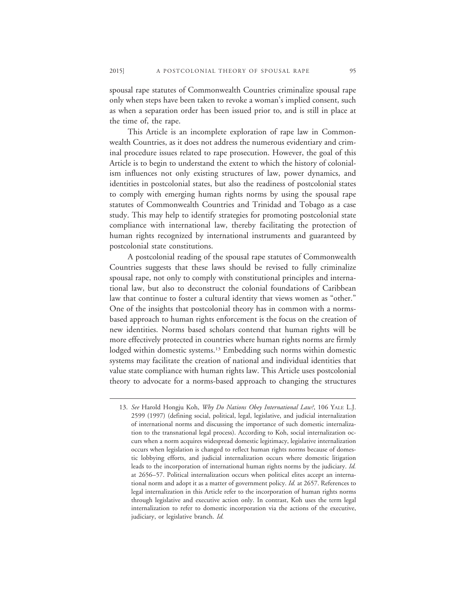spousal rape statutes of Commonwealth Countries criminalize spousal rape only when steps have been taken to revoke a woman's implied consent, such as when a separation order has been issued prior to, and is still in place at the time of, the rape.

This Article is an incomplete exploration of rape law in Commonwealth Countries, as it does not address the numerous evidentiary and criminal procedure issues related to rape prosecution. However, the goal of this Article is to begin to understand the extent to which the history of colonialism influences not only existing structures of law, power dynamics, and identities in postcolonial states, but also the readiness of postcolonial states to comply with emerging human rights norms by using the spousal rape statutes of Commonwealth Countries and Trinidad and Tobago as a case study. This may help to identify strategies for promoting postcolonial state compliance with international law, thereby facilitating the protection of human rights recognized by international instruments and guaranteed by postcolonial state constitutions.

A postcolonial reading of the spousal rape statutes of Commonwealth Countries suggests that these laws should be revised to fully criminalize spousal rape, not only to comply with constitutional principles and international law, but also to deconstruct the colonial foundations of Caribbean law that continue to foster a cultural identity that views women as "other." One of the insights that postcolonial theory has in common with a normsbased approach to human rights enforcement is the focus on the creation of new identities. Norms based scholars contend that human rights will be more effectively protected in countries where human rights norms are firmly lodged within domestic systems.<sup>13</sup> Embedding such norms within domestic systems may facilitate the creation of national and individual identities that value state compliance with human rights law. This Article uses postcolonial theory to advocate for a norms-based approach to changing the structures

<sup>13.</sup> *See* Harold Hongju Koh, *Why Do Nations Obey International Law?*, 106 YALE L.J. 2599 (1997) (defining social, political, legal, legislative, and judicial internalization of international norms and discussing the importance of such domestic internalization to the transnational legal process). According to Koh, social internalization occurs when a norm acquires widespread domestic legitimacy, legislative internalization occurs when legislation is changed to reflect human rights norms because of domestic lobbying efforts, and judicial internalization occurs where domestic litigation leads to the incorporation of international human rights norms by the judiciary. *Id.* at 2656–57. Political internalization occurs when political elites accept an international norm and adopt it as a matter of government policy. *Id.* at 2657. References to legal internalization in this Article refer to the incorporation of human rights norms through legislative and executive action only. In contrast, Koh uses the term legal internalization to refer to domestic incorporation via the actions of the executive, judiciary, or legislative branch. *Id.*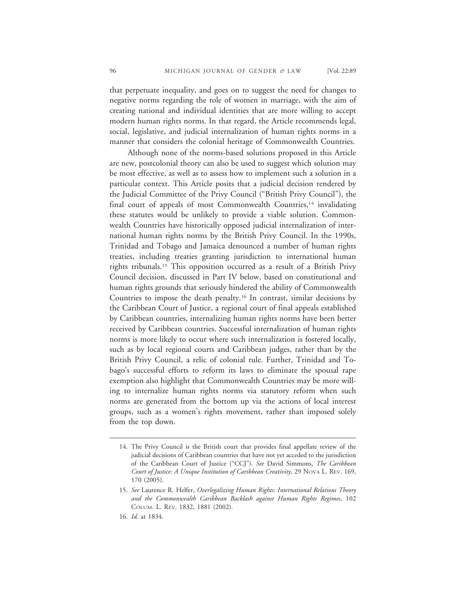that perpetuate inequality, and goes on to suggest the need for changes to negative norms regarding the role of women in marriage, with the aim of creating national and individual identities that are more willing to accept modern human rights norms. In that regard, the Article recommends legal, social, legislative, and judicial internalization of human rights norms in a manner that considers the colonial heritage of Commonwealth Countries.

Although none of the norms-based solutions proposed in this Article are new, postcolonial theory can also be used to suggest which solution may be most effective, as well as to assess how to implement such a solution in a particular context. This Article posits that a judicial decision rendered by the Judicial Committee of the Privy Council ("British Privy Council"), the final court of appeals of most Commonwealth Countries,<sup>14</sup> invalidating these statutes would be unlikely to provide a viable solution. Commonwealth Countries have historically opposed judicial internalization of international human rights norms by the British Privy Council. In the 1990s, Trinidad and Tobago and Jamaica denounced a number of human rights treaties, including treaties granting jurisdiction to international human rights tribunals.15 This opposition occurred as a result of a British Privy Council decision, discussed in Part IV below, based on constitutional and human rights grounds that seriously hindered the ability of Commonwealth Countries to impose the death penalty.16 In contrast, similar decisions by the Caribbean Court of Justice, a regional court of final appeals established by Caribbean countries, internalizing human rights norms have been better received by Caribbean countries. Successful internalization of human rights norms is more likely to occur where such internalization is fostered locally, such as by local regional courts and Caribbean judges, rather than by the British Privy Council, a relic of colonial rule. Further, Trinidad and Tobago's successful efforts to reform its laws to eliminate the spousal rape exemption also highlight that Commonwealth Countries may be more willing to internalize human rights norms via statutory reform when such norms are generated from the bottom up via the actions of local interest groups, such as a women's rights movement, rather than imposed solely from the top down.

<sup>14.</sup> The Privy Council is the British court that provides final appellate review of the judicial decisions of Caribbean countries that have not yet acceded to the jurisdiction of the Caribbean Court of Justice ("CCJ"). *See* David Simmons, *The Caribbean Court of Justice: A Unique Institution of Caribbean Creativity*, 29 NOVA L. REV. 169, 170 (2005).

<sup>15.</sup> *See* Laurence R. Helfer, *Overlegalizing Human Rights: International Relations Theory and the Commonwealth Caribbean Backlash against Human Rights Regimes*, 102 COLUM. L. REV. 1832, 1881 (2002).

<sup>16.</sup> *Id.* at 1834.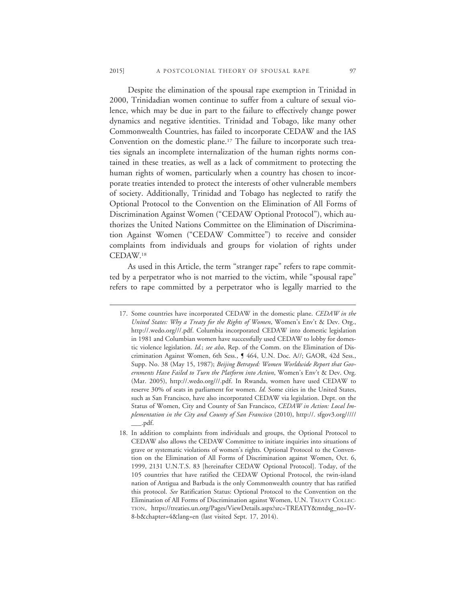Despite the elimination of the spousal rape exemption in Trinidad in 2000, Trinidadian women continue to suffer from a culture of sexual violence, which may be due in part to the failure to effectively change power dynamics and negative identities. Trinidad and Tobago, like many other Commonwealth Countries, has failed to incorporate CEDAW and the IAS Convention on the domestic plane.17 The failure to incorporate such treaties signals an incomplete internalization of the human rights norms contained in these treaties, as well as a lack of commitment to protecting the human rights of women, particularly when a country has chosen to incorporate treaties intended to protect the interests of other vulnerable members of society. Additionally, Trinidad and Tobago has neglected to ratify the Optional Protocol to the Convention on the Elimination of All Forms of Discrimination Against Women ("CEDAW Optional Protocol"), which authorizes the United Nations Committee on the Elimination of Discrimination Against Women ("CEDAW Committee") to receive and consider complaints from individuals and groups for violation of rights under CEDAW.18

As used in this Article, the term "stranger rape" refers to rape committed by a perpetrator who is not married to the victim, while "spousal rape" refers to rape committed by a perpetrator who is legally married to the

<sup>17.</sup> Some countries have incorporated CEDAW in the domestic plane. *CEDAW in the United States: Why a Treaty for the Rights of Women*, Women's Env't & Dev. Org., http://.wedo.org///.pdf. Columbia incorporated CEDAW into domestic legislation in 1981 and Columbian women have successfully used CEDAW to lobby for domestic violence legislation. *Id.*; *see also*, Rep. of the Comm. on the Elimination of Discrimination Against Women, 6th Sess., ¶ 464, U.N. Doc. A//; GAOR, 42d Sess., Supp. No. 38 (May 15, 1987); *Beijing Betrayed: Women Worldwide Report that Governments Have Failed to Turn the Platform into Action*, Women's Env't & Dev. Org. (Mar. 2005), http://.wedo.org///.pdf. In Rwanda, women have used CEDAW to reserve 30% of seats in parliament for women. *Id.* Some cities in the United States, such as San Francisco, have also incorporated CEDAW via legislation. Dept. on the Status of Women, City and County of San Francisco, *CEDAW in Action: Local Implementation in the City and County of San Francisco* (2010), http://. sfgov3.org///// \_\_\_.pdf.

<sup>18.</sup> In addition to complaints from individuals and groups, the Optional Protocol to CEDAW also allows the CEDAW Committee to initiate inquiries into situations of grave or systematic violations of women's rights. Optional Protocol to the Convention on the Elimination of All Forms of Discrimination against Women, Oct. 6, 1999, 2131 U.N.T.S. 83 [hereinafter CEDAW Optional Protocol]. Today, of the 105 countries that have ratified the CEDAW Optional Protocol, the twin-island nation of Antigua and Barbuda is the only Commonwealth country that has ratified this protocol. *See* Ratification Status: Optional Protocol to the Convention on the Elimination of All Forms of Discrimination against Women, U.N. TREATY COLLEC-TION, https://treaties.un.org/Pages/ViewDetails.aspx?src=TREATY&mtdsg\_no=IV-8-b&chapter=4&lang=en (last visited Sept. 17, 2014).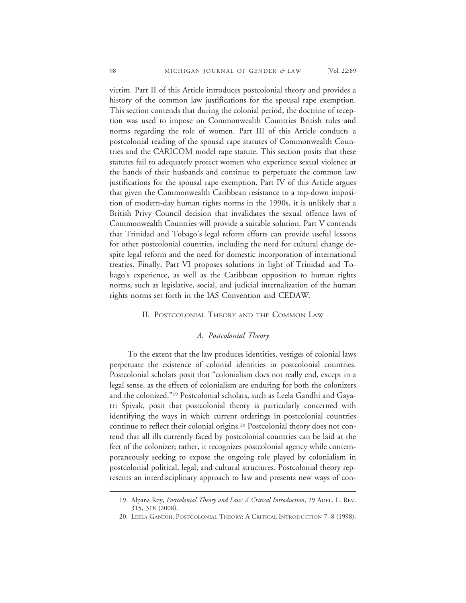victim. Part II of this Article introduces postcolonial theory and provides a history of the common law justifications for the spousal rape exemption. This section contends that during the colonial period, the doctrine of reception was used to impose on Commonwealth Countries British rules and norms regarding the role of women. Part III of this Article conducts a postcolonial reading of the spousal rape statutes of Commonwealth Countries and the CARICOM model rape statute. This section posits that these statutes fail to adequately protect women who experience sexual violence at the hands of their husbands and continue to perpetuate the common law justifications for the spousal rape exemption. Part IV of this Article argues that given the Commonwealth Caribbean resistance to a top-down imposition of modern-day human rights norms in the 1990s, it is unlikely that a British Privy Council decision that invalidates the sexual offence laws of Commonwealth Countries will provide a suitable solution. Part V contends that Trinidad and Tobago's legal reform efforts can provide useful lessons for other postcolonial countries, including the need for cultural change despite legal reform and the need for domestic incorporation of international treaties. Finally, Part VI proposes solutions in light of Trinidad and Tobago's experience, as well as the Caribbean opposition to human rights norms, such as legislative, social, and judicial internalization of the human rights norms set forth in the IAS Convention and CEDAW.

#### II. POSTCOLONIAL THEORY AND THE COMMON LAW

#### *A. Postcolonial Theory*

To the extent that the law produces identities, vestiges of colonial laws perpetuate the existence of colonial identities in postcolonial countries. Postcolonial scholars posit that "colonialism does not really end, except in a legal sense, as the effects of colonialism are enduring for both the colonizers and the colonized."19 Postcolonial scholars, such as Leela Gandhi and Gayatri Spivak, posit that postcolonial theory is particularly concerned with identifying the ways in which current orderings in postcolonial countries continue to reflect their colonial origins.20 Postcolonial theory does not contend that all ills currently faced by postcolonial countries can be laid at the feet of the colonizer; rather, it recognizes postcolonial agency while contemporaneously seeking to expose the ongoing role played by colonialism in postcolonial political, legal, and cultural structures. Postcolonial theory represents an interdisciplinary approach to law and presents new ways of con-

<sup>19.</sup> Alpana Roy, *Postcolonial Theory and Law: A Critical Introduction*, 29 ADEL. L. REV. 315, 318 (2008).

<sup>20.</sup> LEELA GANDHI, POSTCOLONIAL THEORY: A CRITICAL INTRODUCTION 7–8 (1998).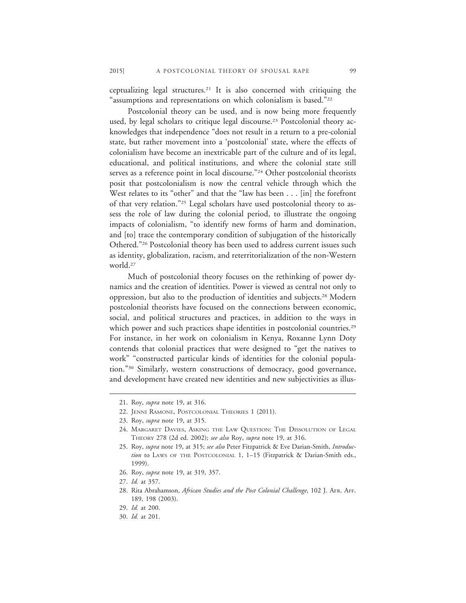ceptualizing legal structures.21 It is also concerned with critiquing the "assumptions and representations on which colonialism is based."22

Postcolonial theory can be used, and is now being more frequently used, by legal scholars to critique legal discourse.<sup>23</sup> Postcolonial theory acknowledges that independence "does not result in a return to a pre-colonial state, but rather movement into a 'postcolonial' state, where the effects of colonialism have become an inextricable part of the culture and of its legal, educational, and political institutions, and where the colonial state still serves as a reference point in local discourse."<sup>24</sup> Other postcolonial theorists posit that postcolonialism is now the central vehicle through which the West relates to its "other" and that the "law has been . . . [in] the forefront of that very relation."25 Legal scholars have used postcolonial theory to assess the role of law during the colonial period, to illustrate the ongoing impacts of colonialism, "to identify new forms of harm and domination, and [to] trace the contemporary condition of subjugation of the historically Othered."26 Postcolonial theory has been used to address current issues such as identity, globalization, racism, and reterritorialization of the non-Western world.27

Much of postcolonial theory focuses on the rethinking of power dynamics and the creation of identities. Power is viewed as central not only to oppression, but also to the production of identities and subjects.28 Modern postcolonial theorists have focused on the connections between economic, social, and political structures and practices, in addition to the ways in which power and such practices shape identities in postcolonial countries.<sup>29</sup> For instance, in her work on colonialism in Kenya, Roxanne Lynn Doty contends that colonial practices that were designed to "get the natives to work" "constructed particular kinds of identities for the colonial population."30 Similarly, western constructions of democracy, good governance, and development have created new identities and new subjectivities as illus-

<sup>21.</sup> Roy, *supra* note 19, at 316.

<sup>22.</sup> JENNI RAMONE, POSTCOLONIAL THEORIES 1 (2011).

<sup>23.</sup> Roy, *supra* note 19, at 315.

<sup>24.</sup> MARGARET DAVIES, ASKING THE LAW QUESTION: THE DISSOLUTION OF LEGAL THEORY 278 (2d ed. 2002); *see also* Roy, *supra* note 19, at 316.

<sup>25.</sup> Roy, *supra* note 19, at 315; *see also* Peter Fitzpatrick & Eve Darian-Smith, *Introduction* to LAWS OF THE POSTCOLONIAL 1, 1–15 (Fitzpatrick & Darian-Smith eds., 1999).

<sup>26.</sup> Roy, *supra* note 19, at 319, 357.

<sup>27.</sup> *Id.* at 357.

<sup>28.</sup> Rita Abrahamson, *African Studies and the Post Colonial Challenge*, 102 J. AFR. AFF. 189, 198 (2003).

<sup>29.</sup> *Id.* at 200.

<sup>30.</sup> *Id.* at 201.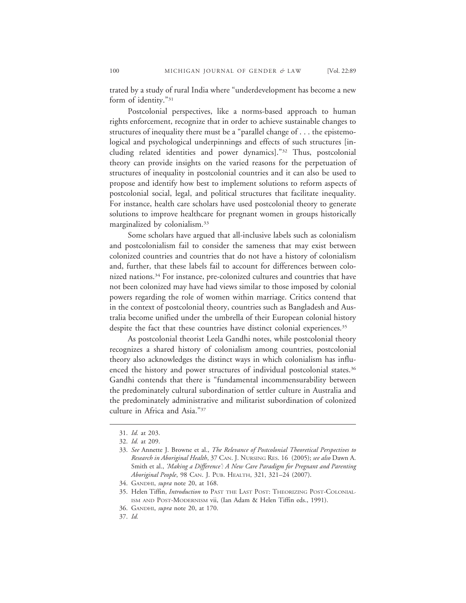trated by a study of rural India where "underdevelopment has become a new form of identity."31

Postcolonial perspectives, like a norms-based approach to human rights enforcement, recognize that in order to achieve sustainable changes to structures of inequality there must be a "parallel change of . . . the epistemological and psychological underpinnings and effects of such structures [including related identities and power dynamics]."32 Thus, postcolonial theory can provide insights on the varied reasons for the perpetuation of structures of inequality in postcolonial countries and it can also be used to propose and identify how best to implement solutions to reform aspects of postcolonial social, legal, and political structures that facilitate inequality. For instance, health care scholars have used postcolonial theory to generate solutions to improve healthcare for pregnant women in groups historically marginalized by colonialism.33

Some scholars have argued that all-inclusive labels such as colonialism and postcolonialism fail to consider the sameness that may exist between colonized countries and countries that do not have a history of colonialism and, further, that these labels fail to account for differences between colonized nations.34 For instance, pre-colonized cultures and countries that have not been colonized may have had views similar to those imposed by colonial powers regarding the role of women within marriage. Critics contend that in the context of postcolonial theory, countries such as Bangladesh and Australia become unified under the umbrella of their European colonial history despite the fact that these countries have distinct colonial experiences.<sup>35</sup>

As postcolonial theorist Leela Gandhi notes, while postcolonial theory recognizes a shared history of colonialism among countries, postcolonial theory also acknowledges the distinct ways in which colonialism has influenced the history and power structures of individual postcolonial states.<sup>36</sup> Gandhi contends that there is "fundamental incommensurability between the predominately cultural subordination of settler culture in Australia and the predominately administrative and militarist subordination of colonized culture in Africa and Asia."37

<sup>31.</sup> *Id.* at 203.

<sup>32.</sup> *Id.* at 209.

<sup>33.</sup> *See* Annette J. Browne et al., *The Relevance of Postcolonial Theoretical Perspectives to Research in Aboriginal Health*, 37 CAN. J. NURSING RES. 16 (2005); *see also* Dawn A. Smith et al., *'Making a Difference': A New Care Paradigm for Pregnant and Parenting Aboriginal People*, 98 CAN. J. PUB. HEALTH, 321, 321–24 (2007).

<sup>34.</sup> GANDHI, *supra* note 20, at 168.

<sup>35.</sup> Helen Tiffin, *Introduction* to PAST THE LAST POST: THEORIZING POST-COLONIAL-ISM AND POST-MODERNISM vii, (Ian Adam & Helen Tiffin eds., 1991).

<sup>36.</sup> GANDHI, *supra* note 20, at 170.

<sup>37.</sup> *Id.*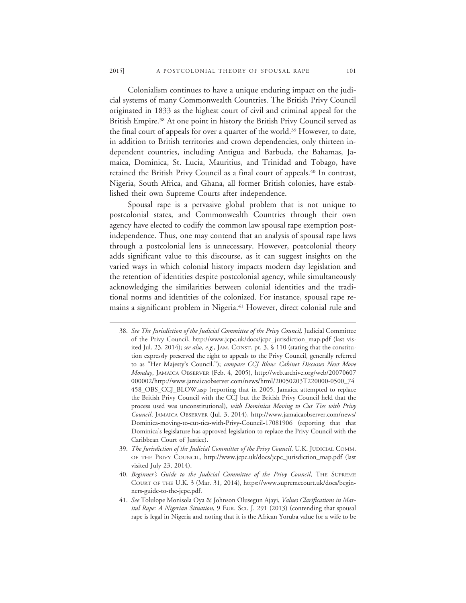Colonialism continues to have a unique enduring impact on the judicial systems of many Commonwealth Countries. The British Privy Council originated in 1833 as the highest court of civil and criminal appeal for the British Empire.38 At one point in history the British Privy Council served as the final court of appeals for over a quarter of the world.<sup>39</sup> However, to date, in addition to British territories and crown dependencies, only thirteen independent countries, including Antigua and Barbuda, the Bahamas, Jamaica, Dominica, St. Lucia, Mauritius, and Trinidad and Tobago, have retained the British Privy Council as a final court of appeals.<sup>40</sup> In contrast, Nigeria, South Africa, and Ghana, all former British colonies, have established their own Supreme Courts after independence.

Spousal rape is a pervasive global problem that is not unique to postcolonial states, and Commonwealth Countries through their own agency have elected to codify the common law spousal rape exemption postindependence. Thus, one may contend that an analysis of spousal rape laws through a postcolonial lens is unnecessary. However, postcolonial theory adds significant value to this discourse, as it can suggest insights on the varied ways in which colonial history impacts modern day legislation and the retention of identities despite postcolonial agency, while simultaneously acknowledging the similarities between colonial identities and the traditional norms and identities of the colonized. For instance, spousal rape remains a significant problem in Nigeria.<sup>41</sup> However, direct colonial rule and

- 38. *See The Jurisdiction of the Judicial Committee of the Privy Council,* Judicial Committee of the Privy Council, http://www.jcpc.uk/docs/jcpc\_jurisdiction\_map.pdf (last visited Jul. 23, 2014); *see also, e.g.*, JAM. CONST. pt. 3, § 110 (stating that the constitution expressly preserved the right to appeals to the Privy Council, generally referred to as "Her Majesty's Council."); *compare CCJ Blow: Cabinet Discusses Next Move Monday*, JAMAICA OBSERVER (Feb. 4, 2005), http://web.archive.org/web/20070607 000002/http://www.jamaicaobserver.com/news/html/20050203T220000-0500\_74 458\_OBS\_CCJ\_BLOW.asp (reporting that in 2005, Jamaica attempted to replace the British Privy Council with the CCJ but the British Privy Council held that the process used was unconstitutional), *with Dominica Moving to Cut Ties with Privy Council*, JAMAICA OBSERVER (Jul. 3, 2014), http://www.jamaicaobserver.com/news/ Dominica-moving-to-cut-ties-with-Privy-Council-17081906 (reporting that that Dominica's legislature has approved legislation to replace the Privy Council with the Caribbean Court of Justice).
- 39. *The Jurisdiction of the Judicial Committee of the Privy Council*, U.K. JUDICIAL COMM. OF THE PRIVY COUNCIL, http://www.jcpc.uk/docs/jcpc\_jurisdiction\_map.pdf (last visited July 23, 2014).
- 40. *Beginner's Guide to the Judicial Committee of the Privy Council*, THE SUPREME COURT OF THE U.K. 3 (Mar. 31, 2014), https://www.supremecourt.uk/docs/beginners-guide-to-the-jcpc.pdf.
- 41. *See* Tolulope Monisola Oya & Johnson Olusegun Ajayi, *Values Clarifications in Marital Rape: A Nigerian Situation*, 9 EUR. SCI. J. 291 (2013) (contending that spousal rape is legal in Nigeria and noting that it is the African Yoruba value for a wife to be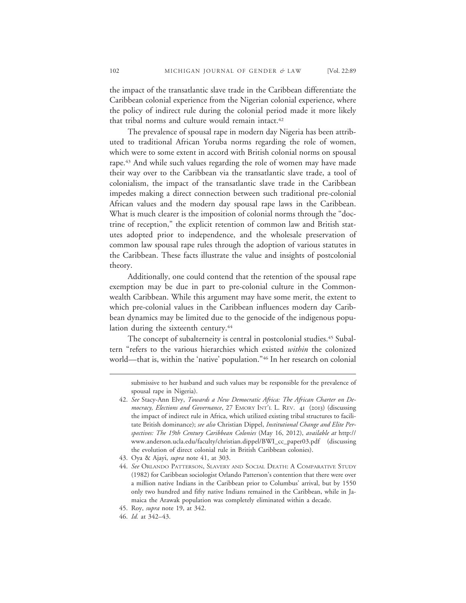the impact of the transatlantic slave trade in the Caribbean differentiate the Caribbean colonial experience from the Nigerian colonial experience, where the policy of indirect rule during the colonial period made it more likely that tribal norms and culture would remain intact.<sup>42</sup>

The prevalence of spousal rape in modern day Nigeria has been attributed to traditional African Yoruba norms regarding the role of women, which were to some extent in accord with British colonial norms on spousal rape.<sup>43</sup> And while such values regarding the role of women may have made their way over to the Caribbean via the transatlantic slave trade, a tool of colonialism, the impact of the transatlantic slave trade in the Caribbean impedes making a direct connection between such traditional pre-colonial African values and the modern day spousal rape laws in the Caribbean. What is much clearer is the imposition of colonial norms through the "doctrine of reception," the explicit retention of common law and British statutes adopted prior to independence, and the wholesale preservation of common law spousal rape rules through the adoption of various statutes in the Caribbean. These facts illustrate the value and insights of postcolonial theory.

Additionally, one could contend that the retention of the spousal rape exemption may be due in part to pre-colonial culture in the Commonwealth Caribbean. While this argument may have some merit, the extent to which pre-colonial values in the Caribbean influences modern day Caribbean dynamics may be limited due to the genocide of the indigenous population during the sixteenth century.<sup>44</sup>

The concept of subalterneity is central in postcolonial studies.<sup>45</sup> Subaltern "refers to the various hierarchies which existed *within* the colonized world—that is, within the 'native' population."46 In her research on colonial

submissive to her husband and such values may be responsible for the prevalence of spousal rape in Nigeria).

<sup>42.</sup> *See* Stacy-Ann Elvy, *Towards a New Democratic Africa: The African Charter on Democracy, Elections and Governance*, 27 EMORY INT'L L. REV. 41 (2013) (discussing the impact of indirect rule in Africa, which utilized existing tribal structures to facilitate British dominance); *see also* Christian Dippel, *Institutional Change and Elite Perspectives: The 19th Century Caribbean Colonies* (May 16, 2012), *available at* http:// www.anderson.ucla.edu/faculty/christian.dippel/BWI\_cc\_paper03.pdf (discussing the evolution of direct colonial rule in British Caribbean colonies).

<sup>43.</sup> Oya & Ajayi, *supra* note 41, at 303.

<sup>44.</sup> *See* ORLANDO PATTERSON, SLAVERY AND SOCIAL DEATH: A COMPARATIVE STUDY (1982) for Caribbean sociologist Orlando Patterson's contention that there were over a million native Indians in the Caribbean prior to Columbus' arrival, but by 1550 only two hundred and fifty native Indians remained in the Caribbean, while in Jamaica the Arawak population was completely eliminated within a decade.

<sup>45.</sup> Roy, *supra* note 19, at 342.

<sup>46.</sup> *Id.* at 342–43.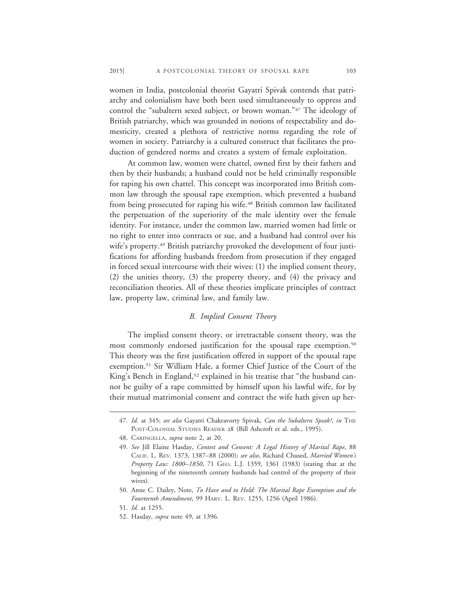women in India, postcolonial theorist Gayatri Spivak contends that patriarchy and colonialism have both been used simultaneously to oppress and control the "subaltern sexed subject, or brown woman."47 The ideology of British patriarchy, which was grounded in notions of respectability and domesticity, created a plethora of restrictive norms regarding the role of women in society. Patriarchy is a cultured construct that facilitates the production of gendered norms and creates a system of female exploitation.

At common law, women were chattel, owned first by their fathers and then by their husbands; a husband could not be held criminally responsible for raping his own chattel. This concept was incorporated into British common law through the spousal rape exemption, which prevented a husband from being prosecuted for raping his wife.<sup>48</sup> British common law facilitated the perpetuation of the superiority of the male identity over the female identity. For instance, under the common law, married women had little or no right to enter into contracts or sue, and a husband had control over his wife's property.<sup>49</sup> British patriarchy provoked the development of four justifications for affording husbands freedom from prosecution if they engaged in forced sexual intercourse with their wives: (1) the implied consent theory, (2) the unities theory, (3) the property theory, and (4) the privacy and reconciliation theories. All of these theories implicate principles of contract law, property law, criminal law, and family law.

#### *B. Implied Consent Theory*

The implied consent theory, or irretractable consent theory, was the most commonly endorsed justification for the spousal rape exemption.<sup>50</sup> This theory was the first justification offered in support of the spousal rape exemption.51 Sir William Hale, a former Chief Justice of the Court of the King's Bench in England,<sup>52</sup> explained in his treatise that "the husband cannot be guilty of a rape committed by himself upon his lawful wife, for by their mutual matrimonial consent and contract the wife hath given up her-

<sup>47.</sup> *Id.* at 345; *see also* Gayatri Chakravorty Spivak, *Can the Subaltern Speak?*, *in* THE POST-COLONIAL STUDIES READER 28 (Bill Ashcroft et al. eds., 1995).

<sup>48.</sup> CARINGELLA, *supra* note 2, at 20.

<sup>49.</sup> *See* Jill Elaine Hasday, *Contest and Consent: A Legal History of Marital Rape*, 88 CALIF. L. REV. 1373, 1387–88 (2000); *see also*, Richard Chused, *Married Women's Property Law: 1800–1850*, 71 GEO. L.J. 1359, 1361 (1983) (stating that at the beginning of the nineteenth century husbands had control of the property of their wives).

<sup>50.</sup> Anne C. Dailey, Note, *To Have and to Hold: The Marital Rape Exemption and the Fourteenth Amendment*, 99 HARV. L. REV. 1255, 1256 (April 1986).

<sup>51.</sup> *Id.* at 1255.

<sup>52.</sup> Hasday, *supra* note 49, at 1396.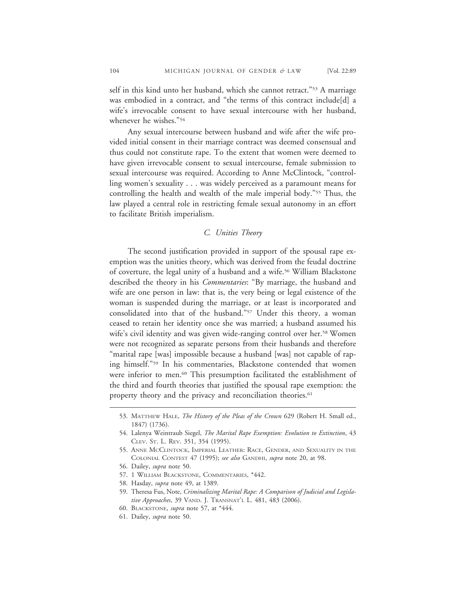self in this kind unto her husband, which she cannot retract."53 A marriage was embodied in a contract, and "the terms of this contract include[d] a wife's irrevocable consent to have sexual intercourse with her husband, whenever he wishes."54

Any sexual intercourse between husband and wife after the wife provided initial consent in their marriage contract was deemed consensual and thus could not constitute rape. To the extent that women were deemed to have given irrevocable consent to sexual intercourse, female submission to sexual intercourse was required. According to Anne McClintock, "controlling women's sexuality . . . was widely perceived as a paramount means for controlling the health and wealth of the male imperial body."55 Thus, the law played a central role in restricting female sexual autonomy in an effort to facilitate British imperialism.

#### *C. Unities Theory*

The second justification provided in support of the spousal rape exemption was the unities theory, which was derived from the feudal doctrine of coverture, the legal unity of a husband and a wife.<sup>56</sup> William Blackstone described the theory in his *Commentaries*: "By marriage, the husband and wife are one person in law: that is, the very being or legal existence of the woman is suspended during the marriage, or at least is incorporated and consolidated into that of the husband."57 Under this theory, a woman ceased to retain her identity once she was married; a husband assumed his wife's civil identity and was given wide-ranging control over her.<sup>58</sup> Women were not recognized as separate persons from their husbands and therefore "marital rape [was] impossible because a husband [was] not capable of raping himself."59 In his commentaries, Blackstone contended that women were inferior to men.<sup>60</sup> This presumption facilitated the establishment of the third and fourth theories that justified the spousal rape exemption: the property theory and the privacy and reconciliation theories.<sup>61</sup>

<sup>53.</sup> MATTHEW HALE, *The History of the Pleas of the Crown* 629 (Robert H. Small ed., 1847) (1736).

<sup>54.</sup> Lalenya Weintraub Siegel, *The Marital Rape Exemption: Evolution to Extinction*, 43 CLEV. ST. L. REV. 351, 354 (1995).

<sup>55.</sup> ANNE MCCLINTOCK, IMPERIAL LEATHER: RACE, GENDER, AND SEXUALITY IN THE COLONIAL CONTEST 47 (1995); *see also* GANDHI, *supra* note 20, at 98.

<sup>56.</sup> Dailey, *supra* note 50.

<sup>57. 1</sup> WILLIAM BLACKSTONE, COMMENTARIES, \*442.

<sup>58.</sup> Hasday, *supra* note 49, at 1389.

<sup>59.</sup> Theresa Fus, Note, *Criminalizing Marital Rape: A Comparison of Judicial and Legislative Approaches*, 39 VAND. J. TRANSNAT'L L. 481, 483 (2006).

<sup>60.</sup> BLACKSTONE, *supra* note 57, at \*444.

<sup>61.</sup> Dailey, *supra* note 50.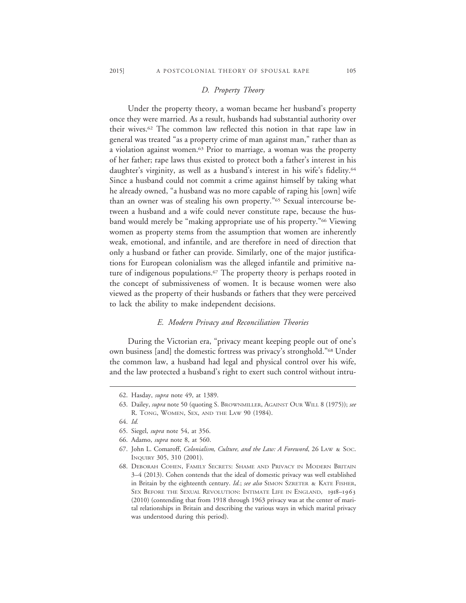# *D. Property Theory*

Under the property theory, a woman became her husband's property once they were married. As a result, husbands had substantial authority over their wives.62 The common law reflected this notion in that rape law in general was treated "as a property crime of man against man," rather than as a violation against women.63 Prior to marriage, a woman was the property of her father; rape laws thus existed to protect both a father's interest in his daughter's virginity, as well as a husband's interest in his wife's fidelity.<sup>64</sup> Since a husband could not commit a crime against himself by taking what he already owned, "a husband was no more capable of raping his [own] wife than an owner was of stealing his own property."65 Sexual intercourse between a husband and a wife could never constitute rape, because the husband would merely be "making appropriate use of his property."66 Viewing women as property stems from the assumption that women are inherently weak, emotional, and infantile, and are therefore in need of direction that only a husband or father can provide. Similarly, one of the major justifications for European colonialism was the alleged infantile and primitive nature of indigenous populations.<sup>67</sup> The property theory is perhaps rooted in the concept of submissiveness of women. It is because women were also viewed as the property of their husbands or fathers that they were perceived to lack the ability to make independent decisions.

### *E. Modern Privacy and Reconciliation Theories*

During the Victorian era, "privacy meant keeping people out of one's own business [and] the domestic fortress was privacy's stronghold."68 Under the common law, a husband had legal and physical control over his wife, and the law protected a husband's right to exert such control without intru-

<sup>62.</sup> Hasday, *supra* note 49, at 1389.

<sup>63.</sup> Dailey, *supra* note 50 (quoting S. BROWNMILLER, AGAINST OUR WILL 8 (1975)); *see* R. TONG, WOMEN, SEX, AND THE LAW 90 (1984).

<sup>64.</sup> *Id.*

<sup>65.</sup> Siegel, *supra* note 54, at 356.

<sup>66.</sup> Adamo, *supra* note 8, at 560.

<sup>67.</sup> John L. Comaroff, *Colonialism, Culture, and the Law: A Foreword*, 26 LAW & SOC. INQUIRY 305, 310 (2001).

<sup>68.</sup> DEBORAH COHEN, FAMILY SECRETS: SHAME AND PRIVACY IN MODERN BRITAIN 3–4 (2013). Cohen contends that the ideal of domestic privacy was well established in Britain by the eighteenth century. *Id.*; *see also* SIMON SZRETER & KATE FISHER, SEX BEFORE THE SEXUAL REVOLUTION: INTIMATE LIFE IN ENGLAND, 1918-1963 (2010) (contending that from 1918 through 1963 privacy was at the center of marital relationships in Britain and describing the various ways in which marital privacy was understood during this period).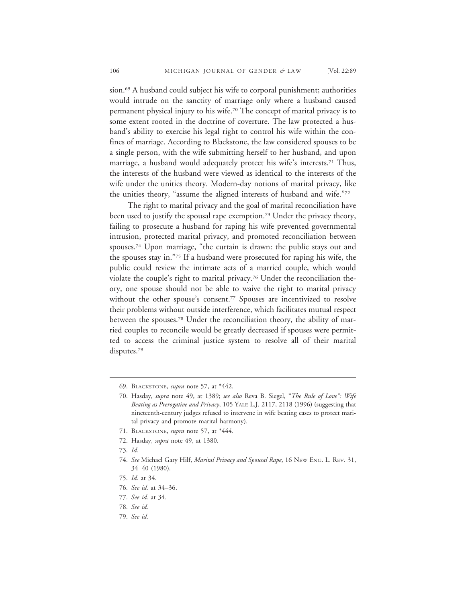sion.<sup>69</sup> A husband could subject his wife to corporal punishment; authorities would intrude on the sanctity of marriage only where a husband caused permanent physical injury to his wife.70 The concept of marital privacy is to some extent rooted in the doctrine of coverture. The law protected a husband's ability to exercise his legal right to control his wife within the confines of marriage. According to Blackstone, the law considered spouses to be a single person, with the wife submitting herself to her husband, and upon marriage, a husband would adequately protect his wife's interests.<sup>71</sup> Thus, the interests of the husband were viewed as identical to the interests of the wife under the unities theory. Modern-day notions of marital privacy, like the unities theory, "assume the aligned interests of husband and wife."72

The right to marital privacy and the goal of marital reconciliation have been used to justify the spousal rape exemption.<sup>73</sup> Under the privacy theory, failing to prosecute a husband for raping his wife prevented governmental intrusion, protected marital privacy, and promoted reconciliation between spouses.74 Upon marriage, "the curtain is drawn: the public stays out and the spouses stay in."75 If a husband were prosecuted for raping his wife, the public could review the intimate acts of a married couple, which would violate the couple's right to marital privacy.<sup>76</sup> Under the reconciliation theory, one spouse should not be able to waive the right to marital privacy without the other spouse's consent.<sup>77</sup> Spouses are incentivized to resolve their problems without outside interference, which facilitates mutual respect between the spouses.78 Under the reconciliation theory, the ability of married couples to reconcile would be greatly decreased if spouses were permitted to access the criminal justice system to resolve all of their marital disputes.<sup>79</sup>

<sup>69.</sup> BLACKSTONE, *supra* note 57, at \*442.

<sup>70.</sup> Hasday, *supra* note 49, at 1389; *see also* Reva B. Siegel, "*The Rule of Love": Wife Beating as Prerogative and Privacy*, 105 YALE L.J. 2117, 2118 (1996) (suggesting that nineteenth-century judges refused to intervene in wife beating cases to protect marital privacy and promote marital harmony).

<sup>71.</sup> BLACKSTONE, *supra* note 57, at \*444.

<sup>72.</sup> Hasday, *supra* note 49, at 1380.

<sup>73.</sup> *Id.*

<sup>74.</sup> *See* Michael Gary Hilf, *Marital Privacy and Spousal Rape*, 16 NEW ENG. L. REV. 31, 34–40 (1980).

<sup>75.</sup> *Id.* at 34.

<sup>76.</sup> *See id.* at 34–36.

<sup>77.</sup> *See id.* at 34.

<sup>78.</sup> *See id.*

<sup>79.</sup> *See id.*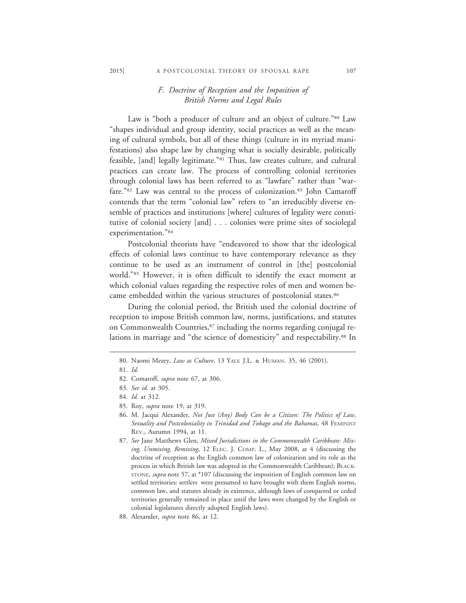# *F. Doctrine of Reception and the Imposition of British Norms and Legal Rules*

Law is "both a producer of culture and an object of culture."80 Law "shapes individual and group identity, social practices as well as the meaning of cultural symbols, but all of these things (culture in its myriad manifestations) also shape law by changing what is socially desirable, politically feasible, [and] legally legitimate."<sup>81</sup> Thus, law creates culture, and cultural practices can create law. The process of controlling colonial territories through colonial laws has been referred to as "lawfare" rather than "warfare."82 Law was central to the process of colonization.<sup>83</sup> John Camaroff contends that the term "colonial law" refers to "an irreducibly diverse ensemble of practices and institutions [where] cultures of legality were constitutive of colonial society [and] . . . colonies were prime sites of sociolegal experimentation."84

Postcolonial theorists have "endeavored to show that the ideological effects of colonial laws continue to have contemporary relevance as they continue to be used as an instrument of control in [the] postcolonial world."85 However, it is often difficult to identify the exact moment at which colonial values regarding the respective roles of men and women became embedded within the various structures of postcolonial states.<sup>86</sup>

During the colonial period, the British used the colonial doctrine of reception to impose British common law, norms, justifications, and statutes on Commonwealth Countries,<sup>87</sup> including the norms regarding conjugal relations in marriage and "the science of domesticity" and respectability.<sup>88</sup> In

<sup>80.</sup> Naomi Mezey, *Law as Culture*, 13 YALE J.L. & HUMAN. 35, 46 (2001).

<sup>81.</sup> *Id.*

<sup>82.</sup> Comaroff, *supra* note 67, at 306.

<sup>83.</sup> *See id.* at 305.

<sup>84.</sup> *Id.* at 312.

<sup>85.</sup> Roy, *supra* note 19, at 319.

<sup>86.</sup> M. Jacqui Alexander, *Not Just (Any) Body Can be a Citizen: The Politics of Law, Sexuality and Postcoloniality in Trinidad and Tobago and the Bahamas*, 48 FEMINIST REV., Autumn 1994, at 11.

<sup>87.</sup> *See* Jane Matthews Glen, *Mixed Jurisdictions in the Commonwealth Caribbean: Mixing, Unmixing, Remixing*, 12 ELEC. J. COMP. L., May 2008, at 4 (discussing the doctrine of reception as the English common law of colonization and its role as the process in which British law was adopted in the Commonwealth Caribbean); BLACK-STONE, *supra* note 57, at \*107 (discussing the imposition of English common law on settled territories: settlers were presumed to have brought with them English norms, common law, and statutes already in existence, although laws of conquered or ceded territories generally remained in place until the laws were changed by the English or colonial legislatures directly adopted English laws).

<sup>88.</sup> Alexander, *supra* note 86, at 12.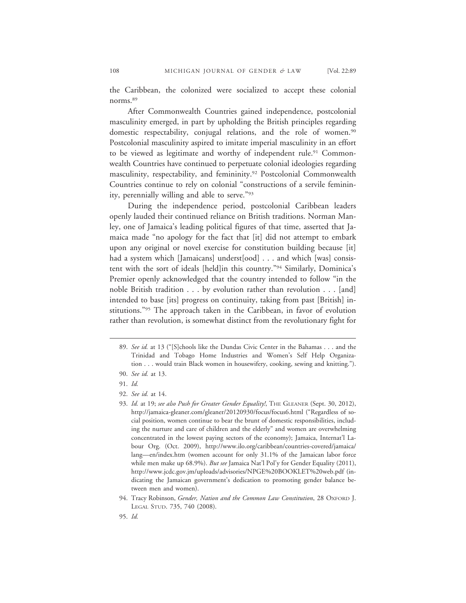the Caribbean, the colonized were socialized to accept these colonial norms.89

After Commonwealth Countries gained independence, postcolonial masculinity emerged, in part by upholding the British principles regarding domestic respectability, conjugal relations, and the role of women.<sup>90</sup> Postcolonial masculinity aspired to imitate imperial masculinity in an effort to be viewed as legitimate and worthy of independent rule.<sup>91</sup> Commonwealth Countries have continued to perpetuate colonial ideologies regarding masculinity, respectability, and femininity.<sup>92</sup> Postcolonial Commonwealth Countries continue to rely on colonial "constructions of a servile femininity, perennially willing and able to serve."93

During the independence period, postcolonial Caribbean leaders openly lauded their continued reliance on British traditions. Norman Manley, one of Jamaica's leading political figures of that time, asserted that Jamaica made "no apology for the fact that [it] did not attempt to embark upon any original or novel exercise for constitution building because [it] had a system which [Jamaicans] underst[ood] . . . and which [was] consistent with the sort of ideals [held]in this country."94 Similarly, Dominica's Premier openly acknowledged that the country intended to follow "in the noble British tradition . . . by evolution rather than revolution . . . [and] intended to base [its] progress on continuity, taking from past [British] institutions."95 The approach taken in the Caribbean, in favor of evolution rather than revolution, is somewhat distinct from the revolutionary fight for

<sup>89.</sup> *See id.* at 13 ("[S]chools like the Dundas Civic Center in the Bahamas . . . and the Trinidad and Tobago Home Industries and Women's Self Help Organization . . . would train Black women in housewifery, cooking, sewing and knitting.").

<sup>90.</sup> *See id.* at 13.

<sup>91.</sup> *Id.*

<sup>92.</sup> *See id.* at 14.

<sup>93.</sup> *Id.* at 19; *see also Push for Greater Gender Equality!*, THE GLEANER (Sept. 30, 2012), http://jamaica-gleaner.com/gleaner/20120930/focus/focus6.html ("Regardless of social position, women continue to bear the brunt of domestic responsibilities, including the nurture and care of children and the elderly" and women are overwhelming concentrated in the lowest paying sectors of the economy); Jamaica, Internat'l Labour Org. (Oct. 2009), http://www.ilo.org/caribbean/countries-covered/jamaica/ lang—en/index.htm (women account for only 31.1% of the Jamaican labor force while men make up 68.9%). *But see* Jamaica Nat'l Pol'y for Gender Equality (2011), http://www.jcdc.gov.jm/uploads/advisories/NPGE%20BOOKLET%20web.pdf (indicating the Jamaican government's dedication to promoting gender balance between men and women).

<sup>94.</sup> Tracy Robinson, *Gender, Nation and the Common Law Constitution*, 28 OXFORD J. LEGAL STUD. 735, 740 (2008).

<sup>95.</sup> *Id.*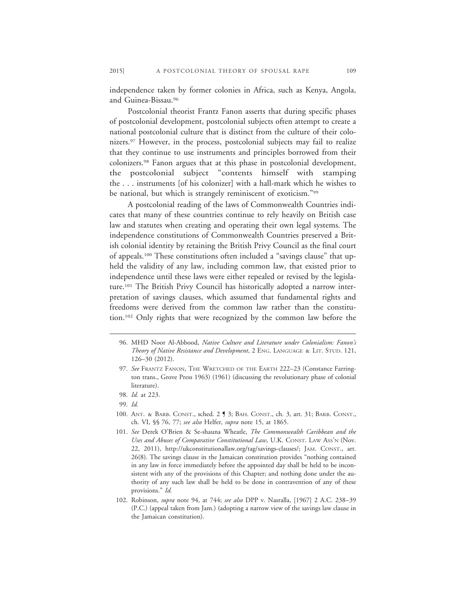independence taken by former colonies in Africa, such as Kenya, Angola, and Guinea-Bissau.96

Postcolonial theorist Frantz Fanon asserts that during specific phases of postcolonial development, postcolonial subjects often attempt to create a national postcolonial culture that is distinct from the culture of their colonizers.97 However, in the process, postcolonial subjects may fail to realize that they continue to use instruments and principles borrowed from their colonizers.98 Fanon argues that at this phase in postcolonial development, the postcolonial subject "contents himself with stamping the . . . instruments [of his colonizer] with a hall-mark which he wishes to be national, but which is strangely reminiscent of exoticism."99

A postcolonial reading of the laws of Commonwealth Countries indicates that many of these countries continue to rely heavily on British case law and statutes when creating and operating their own legal systems. The independence constitutions of Commonwealth Countries preserved a British colonial identity by retaining the British Privy Council as the final court of appeals.100 These constitutions often included a "savings clause" that upheld the validity of any law, including common law, that existed prior to independence until these laws were either repealed or revised by the legislature.101 The British Privy Council has historically adopted a narrow interpretation of savings clauses, which assumed that fundamental rights and freedoms were derived from the common law rather than the constitution.102 Only rights that were recognized by the common law before the

<sup>96.</sup> MHD Noor Al-Abbood, *Native Culture and Literature under Colonialism: Fanon's Theory of Native Resistance and Development*, 2 ENG. LANGUAGE & LIT. STUD. 121, 126–30 (2012).

<sup>97.</sup> *See* FRANTZ FANON, THE WRETCHED OF THE EARTH 222–23 (Constance Farrington trans., Grove Press 1963) (1961) (discussing the revolutionary phase of colonial literature).

<sup>98.</sup> *Id.* at 223.

<sup>99.</sup> *Id.*

<sup>100.</sup> ANT. & BARB. CONST., sched. 2 ¶ 3; BAH. CONST., ch. 3, art. 31; BARB. CONST., ch. VI, §§ 76, 77; *see also* Helfer, *supra* note 15, at 1865.

<sup>101.</sup> *See* Derek O'Brien & Se-shauna Wheatle, *The Commonwealth Caribbean and the Uses and Abuses of Comparative Constitutional Law*, U.K. CONST. LAW ASS'N (Nov. 22, 2011), http://ukconstitutionallaw.org/tag/savings-clauses/; JAM. CONST., art. 26(8). The savings clause in the Jamaican constitution provides "nothing contained in any law in force immediately before the appointed day shall be held to be inconsistent with any of the provisions of this Chapter; and nothing done under the authority of any such law shall be held to be done in contravention of any of these provisions." *Id.*

<sup>102.</sup> Robinson, *supra* note 94, at 744; *see also* DPP v. Nasralla, [1967] 2 A.C. 238–39 (P.C.) (appeal taken from Jam.) (adopting a narrow view of the savings law clause in the Jamaican constitution).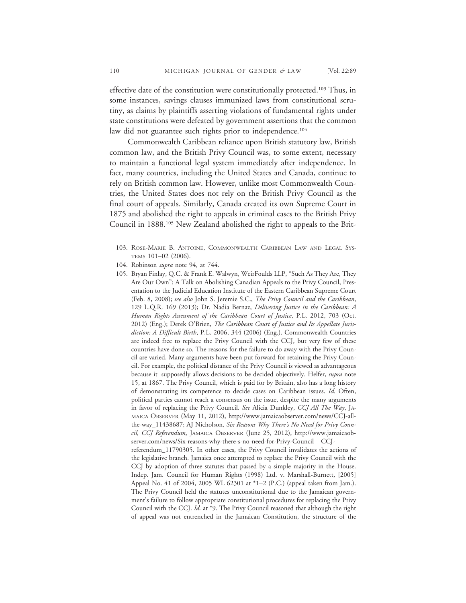effective date of the constitution were constitutionally protected.<sup>103</sup> Thus, in some instances, savings clauses immunized laws from constitutional scrutiny, as claims by plaintiffs asserting violations of fundamental rights under state constitutions were defeated by government assertions that the common law did not guarantee such rights prior to independence.<sup>104</sup>

Commonwealth Caribbean reliance upon British statutory law, British common law, and the British Privy Council was, to some extent, necessary to maintain a functional legal system immediately after independence. In fact, many countries, including the United States and Canada, continue to rely on British common law. However, unlike most Commonwealth Countries, the United States does not rely on the British Privy Council as the final court of appeals. Similarly, Canada created its own Supreme Court in 1875 and abolished the right to appeals in criminal cases to the British Privy Council in 1888.105 New Zealand abolished the right to appeals to the Brit-

<sup>103.</sup> ROSE-MARIE B. ANTOINE, COMMONWEALTH CARIBBEAN LAW AND LEGAL SYS-TEMS 101–02 (2006).

<sup>104.</sup> Robinson *supra* note 94, at 744.

<sup>105.</sup> Bryan Finlay, Q.C. & Frank E. Walwyn, WeirFoulds LLP, "Such As They Are, They Are Our Own": A Talk on Abolishing Canadian Appeals to the Privy Council, Presentation to the Judicial Education Institute of the Eastern Caribbean Supreme Court (Feb. 8, 2008); *see also* John S. Jeremie S.C., *The Privy Council and the Caribbean*, 129 L.Q.R. 169 (2013); Dr. Nadia Bernaz, *Delivering Justice in the Caribbean: A Human Rights Assessment of the Caribbean Court of Justice*, P.L. 2012, 703 (Oct. 2012) (Eng.); Derek O'Brien, *The Caribbean Court of Justice and Its Appellate Jurisdiction: A Difficult Birth*, P.L. 2006, 344 (2006) (Eng.). Commonwealth Countries are indeed free to replace the Privy Council with the CCJ, but very few of these countries have done so. The reasons for the failure to do away with the Privy Council are varied. Many arguments have been put forward for retaining the Privy Council. For example, the political distance of the Privy Council is viewed as advantageous because it supposedly allows decisions to be decided objectively. Helfer, *supra* note 15, at 1867. The Privy Council, which is paid for by Britain, also has a long history of demonstrating its competence to decide cases on Caribbean issues. *Id.* Often, political parties cannot reach a consensus on the issue, despite the many arguments in favor of replacing the Privy Council. *See* Alicia Dunkley, *CCJ All The Way*, JA-MAICA OBSERVER (May 11, 2012), http://www.jamaicaobserver.com/news/CCJ-allthe-way\_11438687; AJ Nicholson, *Six Reasons Why There's No Need for Privy Council, CCJ Referendum*, JAMAICA OBSERVER (June 25, 2012), http://www.jamaicaobserver.com/news/Six-reasons-why-there-s-no-need-for-Privy-Council—CCJreferendum\_11790305. In other cases, the Privy Council invalidates the actions of the legislative branch. Jamaica once attempted to replace the Privy Council with the CCJ by adoption of three statutes that passed by a simple majority in the House.

Indep. Jam. Council for Human Rights (1998) Ltd. v. Marshall-Burnett, [2005] Appeal No. 41 of 2004, 2005 WL 62301 at \*1–2 (P.C.) (appeal taken from Jam.). The Privy Council held the statutes unconstitutional due to the Jamaican government's failure to follow appropriate constitutional procedures for replacing the Privy Council with the CCJ. *Id.* at \*9. The Privy Council reasoned that although the right of appeal was not entrenched in the Jamaican Constitution, the structure of the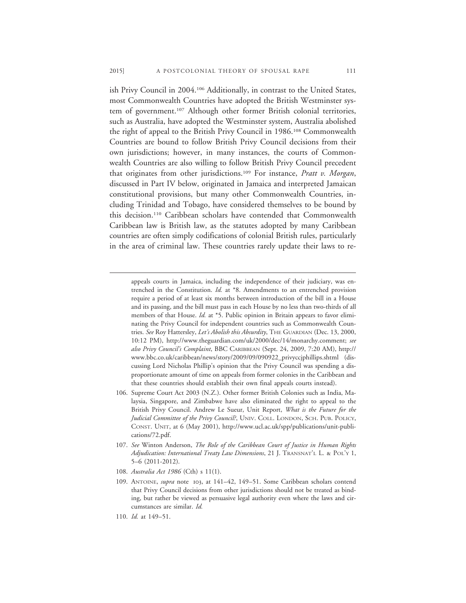ish Privy Council in 2004.106 Additionally, in contrast to the United States, most Commonwealth Countries have adopted the British Westminster system of government.<sup>107</sup> Although other former British colonial territories, such as Australia, have adopted the Westminster system, Australia abolished the right of appeal to the British Privy Council in 1986.108 Commonwealth Countries are bound to follow British Privy Council decisions from their own jurisdictions; however, in many instances, the courts of Commonwealth Countries are also willing to follow British Privy Council precedent that originates from other jurisdictions.109 For instance, *Pratt v. Morgan*, discussed in Part IV below, originated in Jamaica and interpreted Jamaican constitutional provisions, but many other Commonwealth Countries, including Trinidad and Tobago, have considered themselves to be bound by this decision.110 Caribbean scholars have contended that Commonwealth Caribbean law is British law, as the statutes adopted by many Caribbean countries are often simply codifications of colonial British rules, particularly in the area of criminal law. These countries rarely update their laws to re-

108. *Australia Act 1986* (Cth) s 11(1).

appeals courts in Jamaica, including the independence of their judiciary, was entrenched in the Constitution. *Id.* at \*8. Amendments to an entrenched provision require a period of at least six months between introduction of the bill in a House and its passing, and the bill must pass in each House by no less than two-thirds of all members of that House. *Id.* at \*5. Public opinion in Britain appears to favor eliminating the Privy Council for independent countries such as Commonwealth Countries. *See* Roy Hattersley, *Let's Abolish this Absurdity*, THE GUARDIAN (Dec. 13, 2000, 10:12 PM), http://www.theguardian.com/uk/2000/dec/14/monarchy.comment; *see also Privy Council's Complaint*, BBC CARIBBEAN (Sept. 24, 2009, 7:20 AM), http:// www.bbc.co.uk/caribbean/news/story/2009/09/090922\_privyccjphillips.shtml (discussing Lord Nicholas Phillip's opinion that the Privy Council was spending a disproportionate amount of time on appeals from former colonies in the Caribbean and that these countries should establish their own final appeals courts instead).

<sup>106.</sup> Supreme Court Act 2003 (N.Z.). Other former British Colonies such as India, Malaysia, Singapore, and Zimbabwe have also eliminated the right to appeal to the British Privy Council. Andrew Le Sueur, Unit Report, *What is the Future for the Judicial Committee of the Privy Council?*, UNIV. COLL. LONDON, SCH. PUB. POLICY, CONST. UNIT, at 6 (May 2001), http://www.ucl.ac.uk/spp/publications/unit-publications/72.pdf.

<sup>107.</sup> *See* Winton Anderson, *The Role of the Caribbean Court of Justice in Human Rights Adjudication: International Treaty Law Dimensions*, 21 J. TRANSNAT'L L. & POL'Y 1, 5–6 (2011-2012).

<sup>109.</sup> ANTOINE, *supra* note 103, at 141–42, 149–51. Some Caribbean scholars contend that Privy Council decisions from other jurisdictions should not be treated as binding, but rather be viewed as persuasive legal authority even where the laws and circumstances are similar. *Id.*

<sup>110.</sup> *Id.* at 149–51.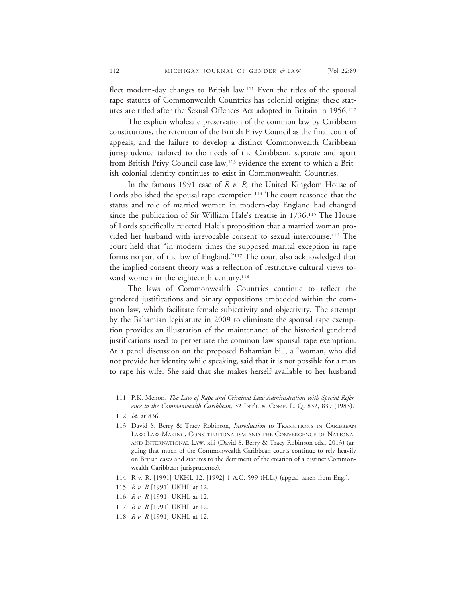flect modern-day changes to British law.111 Even the titles of the spousal rape statutes of Commonwealth Countries has colonial origins; these statutes are titled after the Sexual Offences Act adopted in Britain in 1956.112

The explicit wholesale preservation of the common law by Caribbean constitutions, the retention of the British Privy Council as the final court of appeals, and the failure to develop a distinct Commonwealth Caribbean jurisprudence tailored to the needs of the Caribbean, separate and apart from British Privy Council case law,<sup>113</sup> evidence the extent to which a British colonial identity continues to exist in Commonwealth Countries.

In the famous 1991 case of *R v. R,* the United Kingdom House of Lords abolished the spousal rape exemption.<sup>114</sup> The court reasoned that the status and role of married women in modern-day England had changed since the publication of Sir William Hale's treatise in 1736.115 The House of Lords specifically rejected Hale's proposition that a married woman provided her husband with irrevocable consent to sexual intercourse.116 The court held that "in modern times the supposed marital exception in rape forms no part of the law of England."117 The court also acknowledged that the implied consent theory was a reflection of restrictive cultural views toward women in the eighteenth century.<sup>118</sup>

The laws of Commonwealth Countries continue to reflect the gendered justifications and binary oppositions embedded within the common law, which facilitate female subjectivity and objectivity. The attempt by the Bahamian legislature in 2009 to eliminate the spousal rape exemption provides an illustration of the maintenance of the historical gendered justifications used to perpetuate the common law spousal rape exemption. At a panel discussion on the proposed Bahamian bill, a "woman, who did not provide her identity while speaking, said that it is not possible for a man to rape his wife. She said that she makes herself available to her husband

<sup>111.</sup> P.K. Menon, *The Law of Rape and Criminal Law Administration with Special Reference to the Commonwealth Caribbean*, 32 INT'L & COMP. L. Q. 832, 839 (1983).

<sup>112.</sup> *Id.* at 836.

<sup>113.</sup> David S. Berry & Tracy Robinson, *Introduction* to TRANSITIONS IN CARIBBEAN LAW: LAW-MAKING, CONSTITUTIONALISM AND THE CONVERGENCE OF NATIONAL AND INTERNATIONAL LAW, xiii (David S. Berry & Tracy Robinson eds., 2013) (arguing that much of the Commonwealth Caribbean courts continue to rely heavily on British cases and statutes to the detriment of the creation of a distinct Commonwealth Caribbean jurisprudence).

<sup>114.</sup> R v. R, [1991] UKHL 12, [1992] 1 A.C. 599 (H.L.) (appeal taken from Eng.).

<sup>115.</sup> *R v. R* [1991] UKHL at 12.

<sup>116.</sup> *R v. R* [1991] UKHL at 12.

<sup>117.</sup> *R v. R* [1991] UKHL at 12.

<sup>118.</sup> *R v. R* [1991] UKHL at 12.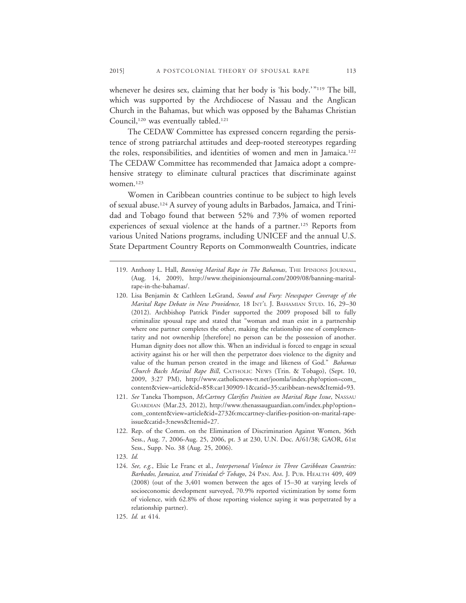whenever he desires sex, claiming that her body is 'his body.'"<sup>119</sup> The bill, which was supported by the Archdiocese of Nassau and the Anglican Church in the Bahamas, but which was opposed by the Bahamas Christian Council,<sup>120</sup> was eventually tabled.<sup>121</sup>

The CEDAW Committee has expressed concern regarding the persistence of strong patriarchal attitudes and deep-rooted stereotypes regarding the roles, responsibilities, and identities of women and men in Jamaica.122 The CEDAW Committee has recommended that Jamaica adopt a comprehensive strategy to eliminate cultural practices that discriminate against women.123

Women in Caribbean countries continue to be subject to high levels of sexual abuse.124 A survey of young adults in Barbados, Jamaica, and Trinidad and Tobago found that between 52% and 73% of women reported experiences of sexual violence at the hands of a partner.<sup>125</sup> Reports from various United Nations programs, including UNICEF and the annual U.S. State Department Country Reports on Commonwealth Countries, indicate

- 120. Lisa Benjamin & Cathleen LeGrand, *Sound and Fury: Newspaper Coverage of the Marital Rape Debate in New Providence,* 18 INT'L J. BAHAMIAN STUD. 16, 29–30 (2012). Archbishop Patrick Pinder supported the 2009 proposed bill to fully criminalize spousal rape and stated that "woman and man exist in a partnership where one partner completes the other, making the relationship one of complementarity and not ownership [therefore] no person can be the possession of another. Human dignity does not allow this. When an individual is forced to engage in sexual activity against his or her will then the perpetrator does violence to the dignity and value of the human person created in the image and likeness of God." *Bahamas Church Backs Marital Rape Bill*, CATHOLIC NEWS (Trin. & Tobago), (Sept. 10, 2009, 3:27 PM), http://www.catholicnews-tt.net/joomla/index.php?option=com\_ content&view=article&id=858:car130909-1&catid=35:caribbean-news&Itemid=93.
- 121. *See* Taneka Thompson, *McCartney Clarifies Position on Marital Rape Issue*, NASSAU GUARDIAN (Mar.23, 2012), http://www.thenassauguardian.com/index.php?option= com\_content&view=article&id=27326:mccartney-clarifies-position-on-marital-rapeissue&catid=3:news&Itemid=27.
- 122. Rep. of the Comm. on the Elimination of Discrimination Against Women, 36th Sess., Aug. 7, 2006-Aug. 25, 2006, pt. 3 at 230, U.N. Doc. A/61/38; GAOR, 61st Sess., Supp. No. 38 (Aug. 25, 2006).
- 123. *Id.*
- 124. *See, e.g.*, Elsie Le Franc et al., *Interpersonal Violence in Three Caribbean Countries: Barbados, Jamaica, and Trinidad & Tobago*, 24 PAN. AM. J. PUB. HEALTH 409, 409 (2008) (out of the 3,401 women between the ages of 15–30 at varying levels of socioeconomic development surveyed, 70.9% reported victimization by some form of violence, with 62.8% of those reporting violence saying it was perpetrated by a relationship partner).
- 125. *Id.* at 414.

<sup>119.</sup> Anthony L. Hall, *Banning Marital Rape in The Bahamas*, THE IPINIONS JOURNAL, (Aug. 14, 2009), http://www.theipinionsjournal.com/2009/08/banning-maritalrape-in-the-bahamas/.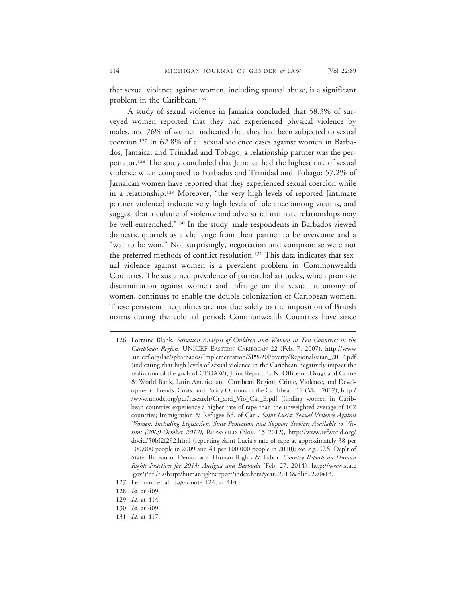that sexual violence against women, including spousal abuse, is a significant problem in the Caribbean.<sup>126</sup>

A study of sexual violence in Jamaica concluded that 58.3% of surveyed women reported that they had experienced physical violence by males, and 76% of women indicated that they had been subjected to sexual coercion.127 In 62.8% of all sexual violence cases against women in Barbados, Jamaica, and Trinidad and Tobago, a relationship partner was the perpetrator.128 The study concluded that Jamaica had the highest rate of sexual violence when compared to Barbados and Trinidad and Tobago: 57.2% of Jamaican women have reported that they experienced sexual coercion while in a relationship.129 Moreover, "the very high levels of reported [intimate partner violence] indicate very high levels of tolerance among victims, and suggest that a culture of violence and adversarial intimate relationships may be well entrenched."130 In the study, male respondents in Barbados viewed domestic quarrels as a challenge from their partner to be overcome and a "war to be won." Not surprisingly, negotiation and compromise were not the preferred methods of conflict resolution.<sup>131</sup> This data indicates that sexual violence against women is a prevalent problem in Commonwealth Countries. The sustained prevalence of patriarchal attitudes, which promote discrimination against women and infringe on the sexual autonomy of women, continues to enable the double colonization of Caribbean women. These persistent inequalities are not due solely to the imposition of British norms during the colonial period; Commonwealth Countries have since

<sup>126.</sup> Lorraine Blank, *Situation Analysis of Children and Women in Ten Countries in the Caribbean Region*, UNICEF EASTERN CARIBBEAN 22 (Feb. 7, 2007), http://www .unicef.org/lac/spbarbados/Implementation/SP%20Poverty/Regional/sitan\_2007.pdf (indicating that high levels of sexual violence in the Caribbean negatively impact the realization of the goals of CEDAW); Joint Report, U.N. Office on Drugs and Crime & World Bank, Latin America and Carribean Region, Crime, Violence, and Development: Trends, Costs, and Policy Options in the Caribbean, 12 (Mar. 2007), http:/ /www.unodc.org/pdf/research/Cr\_and\_Vio\_Car\_E.pdf (finding women in Caribbean countries experience a higher rate of rape than the unweighted average of 102 countries; Immigration & Refugee Bd. of Can., *Saint Lucia: Sexual Violence Against Women, Including Legislation, State Protection and Support Services Available to Victims (2009-October 2012)*, REFWORLD (Nov. 15 2012), http://www.refworld.org/ docid/50bf2f292.html (reporting Saint Lucia's rate of rape at approximately 38 per 100,000 people in 2009 and 41 per 100,000 people in 2010); *see, e.g.*, U.S. Dep't of State, Bureau of Democracy, Human Rights & Labor, *Country Reports on Human Rights Practices for 2013: Antigua and Barbuda* (Feb. 27, 2014), http://www.state .gov/j/drl/rls/hrrpt/humanrightsreport/index.htm?year=2013&dlid=220413.

<sup>127.</sup> Le Franc et al., *supra* note 124, at 414.

<sup>128.</sup> *Id.* at 409.

<sup>129.</sup> *Id.* at 414

<sup>130.</sup> *Id.* at 409.

<sup>131.</sup> *Id.* at 417.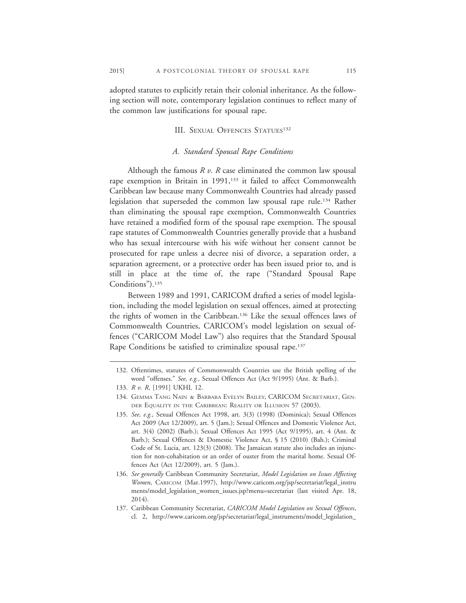adopted statutes to explicitly retain their colonial inheritance. As the following section will note, contemporary legislation continues to reflect many of the common law justifications for spousal rape.

#### III. SEXUAL OFFENCES STATUES<sup>132</sup>

#### *A. Standard Spousal Rape Conditions*

Although the famous *R v. R* case eliminated the common law spousal rape exemption in Britain in 1991,<sup>133</sup> it failed to affect Commonwealth Caribbean law because many Commonwealth Countries had already passed legislation that superseded the common law spousal rape rule.134 Rather than eliminating the spousal rape exemption, Commonwealth Countries have retained a modified form of the spousal rape exemption. The spousal rape statutes of Commonwealth Countries generally provide that a husband who has sexual intercourse with his wife without her consent cannot be prosecuted for rape unless a decree nisi of divorce, a separation order, a separation agreement, or a protective order has been issued prior to, and is still in place at the time of, the rape ("Standard Spousal Rape Conditions").<sup>135</sup>

Between 1989 and 1991, CARICOM drafted a series of model legislation, including the model legislation on sexual offences, aimed at protecting the rights of women in the Caribbean.136 Like the sexual offences laws of Commonwealth Countries, CARICOM's model legislation on sexual offences ("CARICOM Model Law") also requires that the Standard Spousal Rape Conditions be satisfied to criminalize spousal rape.<sup>137</sup>

<sup>132.</sup> Oftentimes, statutes of Commonwealth Countries use the British spelling of the word "offenses." *See, e.g.*, Sexual Offences Act (Act 9/1995) (Ant. & Barb.).

<sup>133.</sup> *R v. R*, [1991] UKHL 12.

<sup>134.</sup> GEMMA TANG NAIN & BARBARA EVELYN BAILEY, CARICOM SECRETARIAT, GEN-DER EQUALITY IN THE CARIBBEAN: REALITY OR ILLUSION 57 (2003).

<sup>135.</sup> *See, e.g.*, Sexual Offences Act 1998, art. 3(3) (1998) (Dominica); Sexual Offences Act 2009 (Act 12/2009), art. 5 (Jam.); Sexual Offences and Domestic Violence Act, art. 3(4) (2002) (Barb.); Sexual Offences Act 1995 (Act 9/1995), art. 4 (Ant. & Barb.); Sexual Offences & Domestic Violence Act, § 15 (2010) (Bah.); Criminal Code of St. Lucia, art. 123(3) (2008). The Jamaican statute also includes an injunction for non-cohabitation or an order of ouster from the marital home. Sexual Offences Act (Act 12/2009), art. 5 (Jam.).

<sup>136.</sup> *See generally* Caribbean Community Secretariat, *Model Legislation on Issues Affecting Women*, CARICOM (Mar.1997), http://www.caricom.org/jsp/secretariat/legal\_instru ments/model\_legislation\_women\_issues.jsp?menu=secretariat (last visited Apr. 18, 2014).

<sup>137.</sup> Caribbean Community Secretariat, *CARICOM Model Legislation on Sexual Offences*, cl. 2, http://www.caricom.org/jsp/secretariat/legal\_instruments/model\_legislation\_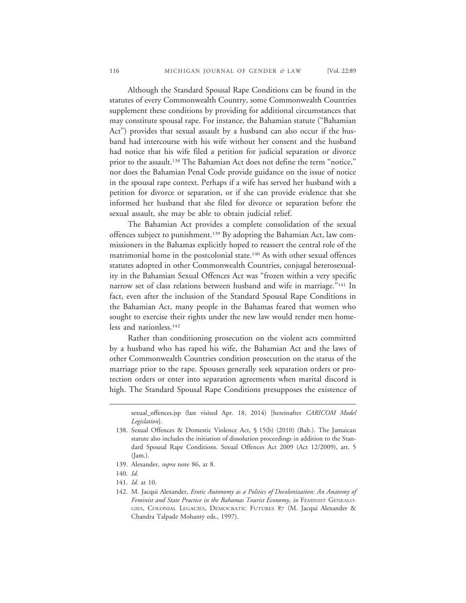Although the Standard Spousal Rape Conditions can be found in the statutes of every Commonwealth Country, some Commonwealth Countries supplement these conditions by providing for additional circumstances that may constitute spousal rape. For instance, the Bahamian statute ("Bahamian Act") provides that sexual assault by a husband can also occur if the husband had intercourse with his wife without her consent and the husband had notice that his wife filed a petition for judicial separation or divorce prior to the assault.<sup>138</sup> The Bahamian Act does not define the term "notice," nor does the Bahamian Penal Code provide guidance on the issue of notice in the spousal rape context. Perhaps if a wife has served her husband with a petition for divorce or separation, or if she can provide evidence that she informed her husband that she filed for divorce or separation before the sexual assault, she may be able to obtain judicial relief.

The Bahamian Act provides a complete consolidation of the sexual offences subject to punishment.139 By adopting the Bahamian Act, law commissioners in the Bahamas explicitly hoped to reassert the central role of the matrimonial home in the postcolonial state.<sup>140</sup> As with other sexual offences statutes adopted in other Commonwealth Countries, conjugal heterosexuality in the Bahamian Sexual Offences Act was "frozen within a very specific narrow set of class relations between husband and wife in marriage."<sup>141</sup> In fact, even after the inclusion of the Standard Spousal Rape Conditions in the Bahamian Act, many people in the Bahamas feared that women who sought to exercise their rights under the new law would render men homeless and nationless.142

Rather than conditioning prosecution on the violent acts committed by a husband who has raped his wife, the Bahamian Act and the laws of other Commonwealth Countries condition prosecution on the status of the marriage prior to the rape. Spouses generally seek separation orders or protection orders or enter into separation agreements when marital discord is high. The Standard Spousal Rape Conditions presupposes the existence of

sexual\_offences.jsp (last visited Apr. 18, 2014) [hereinafter *CARICOM Model Legislation*].

139. Alexander, *supra* note 86, at 8.

<sup>138.</sup> Sexual Offences & Domestic Violence Act, § 15(b) (2010) (Bah.). The Jamaican statute also includes the initiation of dissolution proceedings in addition to the Standard Spousal Rape Conditions. Sexual Offences Act 2009 (Act 12/2009), art. 5 (Jam.).

<sup>140.</sup> *Id.*

<sup>141.</sup> *Id.* at 10.

<sup>142.</sup> M. Jacqui Alexander, *Erotic Autonomy as a Politics of Decolonization: An Anatomy of Feminist and State Practice in the Bahamas Tourist Economy*, *in* FEMINIST GENEALO-GIES, COLONIAL LEGACIES, DEMOCRATIC FUTURES 87 (M. Jacqui Alexander & Chandra Talpade Mohanty eds., 1997).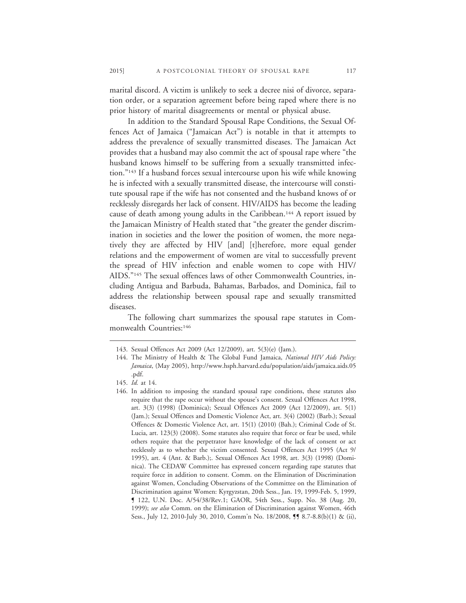marital discord. A victim is unlikely to seek a decree nisi of divorce, separation order, or a separation agreement before being raped where there is no prior history of marital disagreements or mental or physical abuse.

In addition to the Standard Spousal Rape Conditions, the Sexual Offences Act of Jamaica ("Jamaican Act") is notable in that it attempts to address the prevalence of sexually transmitted diseases. The Jamaican Act provides that a husband may also commit the act of spousal rape where "the husband knows himself to be suffering from a sexually transmitted infection."143 If a husband forces sexual intercourse upon his wife while knowing he is infected with a sexually transmitted disease, the intercourse will constitute spousal rape if the wife has not consented and the husband knows of or recklessly disregards her lack of consent. HIV/AIDS has become the leading cause of death among young adults in the Caribbean.144 A report issued by the Jamaican Ministry of Health stated that "the greater the gender discrimination in societies and the lower the position of women, the more negatively they are affected by HIV [and] [t]herefore, more equal gender relations and the empowerment of women are vital to successfully prevent the spread of HIV infection and enable women to cope with HIV/ AIDS."145 The sexual offences laws of other Commonwealth Countries, including Antigua and Barbuda, Bahamas, Barbados, and Dominica, fail to address the relationship between spousal rape and sexually transmitted diseases.

The following chart summarizes the spousal rape statutes in Commonwealth Countries:<sup>146</sup>

<sup>143.</sup> Sexual Offences Act 2009 (Act 12/2009), art. 5(3)(e) (Jam.).

<sup>144.</sup> The Ministry of Health & The Global Fund Jamaica, *National HIV Aids Policy: Jamaica*, (May 2005), http://www.hsph.harvard.edu/population/aids/jamaica.aids.05 .pdf.

<sup>145.</sup> *Id.* at 14.

<sup>146.</sup> In addition to imposing the standard spousal rape conditions, these statutes also require that the rape occur without the spouse's consent. Sexual Offences Act 1998, art. 3(3) (1998) (Dominica); Sexual Offences Act 2009 (Act 12/2009), art. 5(1) (Jam.); Sexual Offences and Domestic Violence Act, art. 3(4) (2002) (Barb.); Sexual Offences & Domestic Violence Act, art. 15(1) (2010) (Bah.); Criminal Code of St. Lucia, art. 123(3) (2008). Some statutes also require that force or fear be used, while others require that the perpetrator have knowledge of the lack of consent or act recklessly as to whether the victim consented. Sexual Offences Act 1995 (Act 9/ 1995), art. 4 (Ant. & Barb.);. Sexual Offences Act 1998, art. 3(3) (1998) (Dominica). The CEDAW Committee has expressed concern regarding rape statutes that require force in addition to consent. Comm. on the Elimination of Discrimination against Women, Concluding Observations of the Committee on the Elimination of Discrimination against Women: Kyrgyzstan, 20th Sess., Jan. 19, 1999-Feb. 5, 1999, ¶ 122, U.N. Doc. A/54/38/Rev.1; GAOR, 54th Sess., Supp. No. 38 (Aug. 20, 1999); *see also* Comm. on the Elimination of Discrimination against Women, 46th Sess., July 12, 2010-July 30, 2010, Comm'n No. 18/2008, **55** 8.7-8.8(b)(1) & (ii),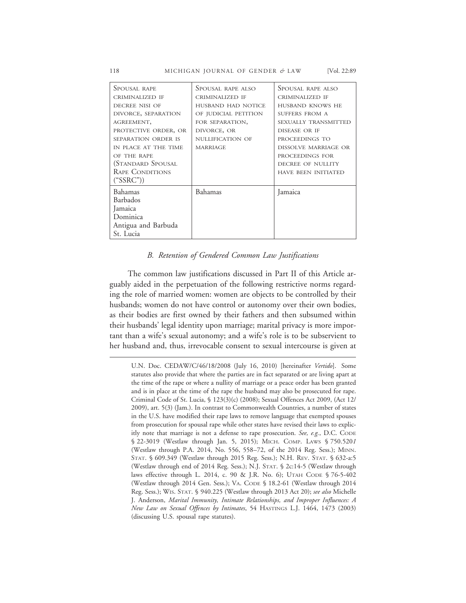118 MICHIGAN JOURNAL OF GENDER *&* LAW [Vol. 22:89

| Spousal rape                   | SPOUSAL RAPE ALSO    | SPOUSAL RAPE ALSO          |
|--------------------------------|----------------------|----------------------------|
| CRIMINALIZED IF                | CRIMINALIZED IF      | CRIMINALIZED IF            |
| DECREE NISI OF                 | HUSBAND HAD NOTICE   | HUSBAND KNOWS HE           |
| DIVORCE, SEPARATION            | OF JUDICIAL PETITION | SUFFERS FROM A             |
| AGREEMENT,                     | FOR SEPARATION,      | SEXUALLY TRANSMITTED       |
| PROTECTIVE ORDER, OR           | DIVORCE, OR          | DISEASE OR IF              |
| SEPARATION ORDER IS            | NULLIFICATION OF     | PROCEEDINGS TO             |
| IN PLACE AT THE TIME           | <b>MARRIAGE</b>      | DISSOLVE MARRIAGE OR       |
| OF THE RAPE                    |                      | PROCEEDINGS FOR            |
| (STANDARD SPOUSAL              |                      | DECREE OF NULLITY          |
| RAPE CONDITIONS                |                      | <b>HAVE BEEN INITIATED</b> |
| ("SSRC")                       |                      |                            |
| Bahamas                        | Bahamas              |                            |
| Barbados                       |                      |                            |
|                                |                      |                            |
| Dominica                       |                      |                            |
|                                |                      |                            |
| St. Lucia                      |                      |                            |
| Jamaica<br>Antigua and Barbuda |                      | Jamaica                    |

#### *B. Retention of Gendered Common Law Justifications*

The common law justifications discussed in Part II of this Article arguably aided in the perpetuation of the following restrictive norms regarding the role of married women: women are objects to be controlled by their husbands; women do not have control or autonomy over their own bodies, as their bodies are first owned by their fathers and then subsumed within their husbands' legal identity upon marriage; marital privacy is more important than a wife's sexual autonomy; and a wife's role is to be subservient to her husband and, thus, irrevocable consent to sexual intercourse is given at

U.N. Doc. CEDAW/C/46/18/2008 (July 16, 2010) [hereinafter *Vertido*]. Some statutes also provide that where the parties are in fact separated or are living apart at the time of the rape or where a nullity of marriage or a peace order has been granted and is in place at the time of the rape the husband may also be prosecuted for rape. Criminal Code of St. Lucia, § 123(3)(c) (2008); Sexual Offences Act 2009, (Act 12/ 2009), art. 5(3) (Jam.). In contrast to Commonwealth Countries, a number of states in the U.S. have modified their rape laws to remove language that exempted spouses from prosecution for spousal rape while other states have revised their laws to explicitly note that marriage is not a defense to rape prosecution. *See, e.g.*, D.C. CODE § 22-3019 (Westlaw through Jan. 5, 2015); MICH. COMP. LAWS § 750.520*1* (Westlaw through P.A. 2014, No. 556, 558–72, of the 2014 Reg. Sess.); MINN. STAT. § 609.349 (Westlaw through 2015 Reg. Sess.); N.H. REV. STAT. § 632-a:5 (Westlaw through end of 2014 Reg. Sess.); N.J. STAT. § 2c:14-5 (Westlaw through laws effective through L. 2014, c. 90 & J.R. No. 6); UTAH CODE § 76-5-402 (Westlaw through 2014 Gen. Sess.); VA. CODE § 18.2-61 (Westlaw through 2014 Reg. Sess.); WIS. STAT. § 940.225 (Westlaw through 2013 Act 20); *see also* Michelle J. Anderson, *Marital Immunity, Intimate Relationships, and Improper Influences: A New Law on Sexual Offences by Intimates*, 54 HASTINGS L.J. 1464, 1473 (2003) (discussing U.S. spousal rape statutes).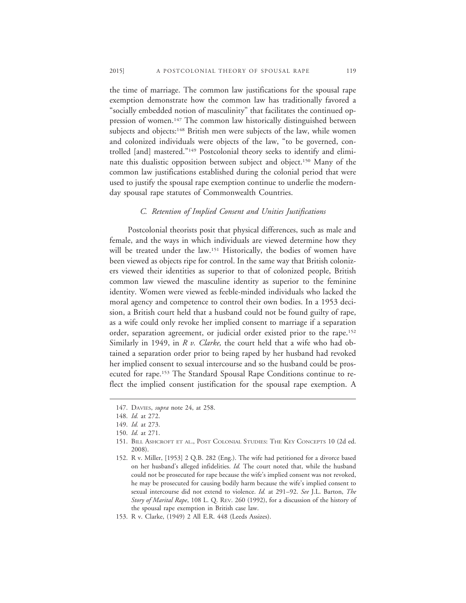the time of marriage. The common law justifications for the spousal rape exemption demonstrate how the common law has traditionally favored a "socially embedded notion of masculinity" that facilitates the continued oppression of women.<sup>147</sup> The common law historically distinguished between subjects and objects:<sup>148</sup> British men were subjects of the law, while women and colonized individuals were objects of the law, "to be governed, controlled [and] mastered."149 Postcolonial theory seeks to identify and eliminate this dualistic opposition between subject and object.150 Many of the common law justifications established during the colonial period that were used to justify the spousal rape exemption continue to underlie the modernday spousal rape statutes of Commonwealth Countries.

#### *C. Retention of Implied Consent and Unities Justifications*

Postcolonial theorists posit that physical differences, such as male and female, and the ways in which individuals are viewed determine how they will be treated under the law.<sup>151</sup> Historically, the bodies of women have been viewed as objects ripe for control. In the same way that British colonizers viewed their identities as superior to that of colonized people, British common law viewed the masculine identity as superior to the feminine identity. Women were viewed as feeble-minded individuals who lacked the moral agency and competence to control their own bodies. In a 1953 decision, a British court held that a husband could not be found guilty of rape, as a wife could only revoke her implied consent to marriage if a separation order, separation agreement, or judicial order existed prior to the rape.152 Similarly in 1949, in *R v. Clarke,* the court held that a wife who had obtained a separation order prior to being raped by her husband had revoked her implied consent to sexual intercourse and so the husband could be prosecuted for rape.153 The Standard Spousal Rape Conditions continue to reflect the implied consent justification for the spousal rape exemption. A

<sup>147.</sup> DAVIES, *supra* note 24, at 258.

<sup>148.</sup> *Id.* at 272.

<sup>149.</sup> *Id.* at 273.

<sup>150.</sup> *Id.* at 271.

<sup>151.</sup> BILL ASHCROFT ET AL., POST COLONIAL STUDIES: THE KEY CONCEPTS 10 (2d ed. 2008).

<sup>152.</sup> R v. Miller, [1953] 2 Q.B. 282 (Eng.). The wife had petitioned for a divorce based on her husband's alleged infidelities. *Id.* The court noted that, while the husband could not be prosecuted for rape because the wife's implied consent was not revoked, he may be prosecuted for causing bodily harm because the wife's implied consent to sexual intercourse did not extend to violence. *Id.* at 291–92. *See* J.L. Barton, *The Story of Marital Rape*, 108 L. Q. REV. 260 (1992), for a discussion of the history of the spousal rape exemption in British case law.

<sup>153.</sup> R v. Clarke, (1949) 2 All E.R. 448 (Leeds Assizes).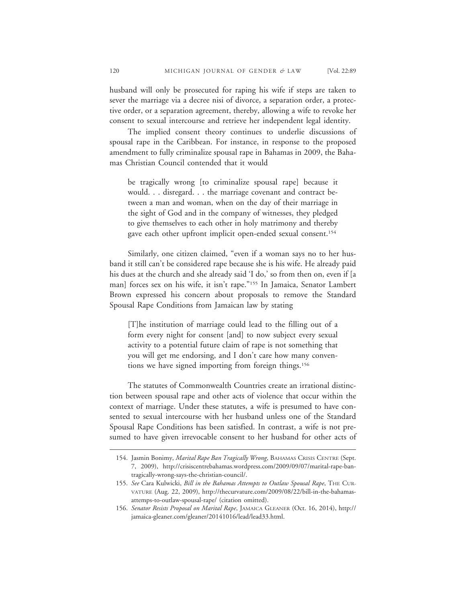husband will only be prosecuted for raping his wife if steps are taken to sever the marriage via a decree nisi of divorce, a separation order, a protective order, or a separation agreement, thereby, allowing a wife to revoke her consent to sexual intercourse and retrieve her independent legal identity.

The implied consent theory continues to underlie discussions of spousal rape in the Caribbean. For instance, in response to the proposed amendment to fully criminalize spousal rape in Bahamas in 2009, the Bahamas Christian Council contended that it would

be tragically wrong [to criminalize spousal rape] because it would. . . disregard. . . the marriage covenant and contract between a man and woman, when on the day of their marriage in the sight of God and in the company of witnesses, they pledged to give themselves to each other in holy matrimony and thereby gave each other upfront implicit open-ended sexual consent.154

Similarly, one citizen claimed, "even if a woman says no to her husband it still can't be considered rape because she is his wife. He already paid his dues at the church and she already said 'I do,' so from then on, even if [a man] forces sex on his wife, it isn't rape."155 In Jamaica, Senator Lambert Brown expressed his concern about proposals to remove the Standard Spousal Rape Conditions from Jamaican law by stating

[T]he institution of marriage could lead to the filling out of a form every night for consent [and] to now subject every sexual activity to a potential future claim of rape is not something that you will get me endorsing, and I don't care how many conventions we have signed importing from foreign things.156

The statutes of Commonwealth Countries create an irrational distinction between spousal rape and other acts of violence that occur within the context of marriage. Under these statutes, a wife is presumed to have consented to sexual intercourse with her husband unless one of the Standard Spousal Rape Conditions has been satisfied. In contrast, a wife is not presumed to have given irrevocable consent to her husband for other acts of

<sup>154.</sup> Jasmin Bonimy, *Marital Rape Ban Tragically Wrong*, BAHAMAS CRISIS CENTRE (Sept. 7, 2009), http://crisiscentrebahamas.wordpress.com/2009/09/07/marital-rape-bantragically-wrong-says-the-christian-council/.

<sup>155.</sup> *See* Cara Kulwicki, *Bill in the Bahamas Attempts to Outlaw Spousal Rape*, THE CUR-VATURE (Aug. 22, 2009), http://thecurvature.com/2009/08/22/bill-in-the-bahamasattemps-to-outlaw-spousal-rape/ (citation omitted).

<sup>156.</sup> *Senator Resists Proposal on Marital Rape*, JAMAICA GLEANER (Oct. 16, 2014), http:// jamaica-gleaner.com/gleaner/20141016/lead/lead33.html.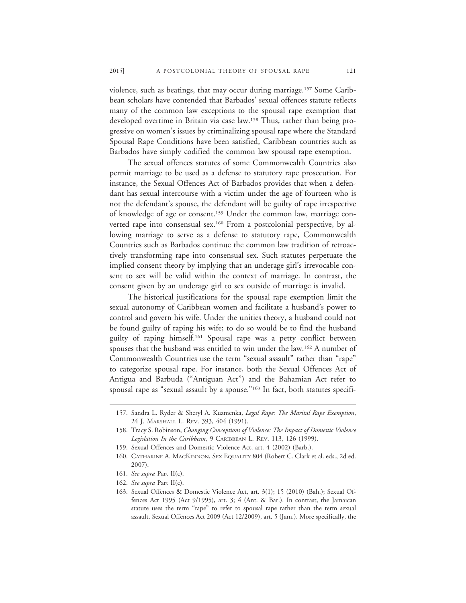violence, such as beatings, that may occur during marriage.157 Some Caribbean scholars have contended that Barbados' sexual offences statute reflects many of the common law exceptions to the spousal rape exemption that developed overtime in Britain via case law.158 Thus, rather than being progressive on women's issues by criminalizing spousal rape where the Standard Spousal Rape Conditions have been satisfied, Caribbean countries such as Barbados have simply codified the common law spousal rape exemption.

The sexual offences statutes of some Commonwealth Countries also permit marriage to be used as a defense to statutory rape prosecution. For instance, the Sexual Offences Act of Barbados provides that when a defendant has sexual intercourse with a victim under the age of fourteen who is not the defendant's spouse, the defendant will be guilty of rape irrespective of knowledge of age or consent.159 Under the common law, marriage converted rape into consensual sex.<sup>160</sup> From a postcolonial perspective, by allowing marriage to serve as a defense to statutory rape, Commonwealth Countries such as Barbados continue the common law tradition of retroactively transforming rape into consensual sex. Such statutes perpetuate the implied consent theory by implying that an underage girl's irrevocable consent to sex will be valid within the context of marriage. In contrast, the consent given by an underage girl to sex outside of marriage is invalid.

The historical justifications for the spousal rape exemption limit the sexual autonomy of Caribbean women and facilitate a husband's power to control and govern his wife. Under the unities theory, a husband could not be found guilty of raping his wife; to do so would be to find the husband guilty of raping himself.161 Spousal rape was a petty conflict between spouses that the husband was entitled to win under the law.162 A number of Commonwealth Countries use the term "sexual assault" rather than "rape" to categorize spousal rape. For instance, both the Sexual Offences Act of Antigua and Barbuda ("Antiguan Act") and the Bahamian Act refer to spousal rape as "sexual assault by a spouse."<sup>163</sup> In fact, both statutes specifi-

162. *See supra* Part II(c).

<sup>157.</sup> Sandra L. Ryder & Sheryl A. Kuzmenka, *Legal Rape: The Marital Rape Exemption*, 24 J. MARSHALL L. REV. 393, 404 (1991).

<sup>158.</sup> Tracy S. Robinson, *Changing Conceptions of Violence: The Impact of Domestic Violence Legislation In the Caribbean*, 9 CARIBBEAN L. REV. 113, 126 (1999).

<sup>159.</sup> Sexual Offences and Domestic Violence Act, art. 4 (2002) (Barb.).

<sup>160.</sup> CATHARINE A. MACKINNON, SEX EQUALITY 804 (Robert C. Clark et al. eds., 2d ed. 2007).

<sup>161.</sup> *See supra* Part II(c).

<sup>163.</sup> Sexual Offences & Domestic Violence Act, art. 3(1); 15 (2010) (Bah.); Sexual Offences Act 1995 (Act 9/1995), art. 3; 4 (Ant. & Bar.). In contrast, the Jamaican statute uses the term "rape" to refer to spousal rape rather than the term sexual assault. Sexual Offences Act 2009 (Act 12/2009), art. 5 (Jam.). More specifically, the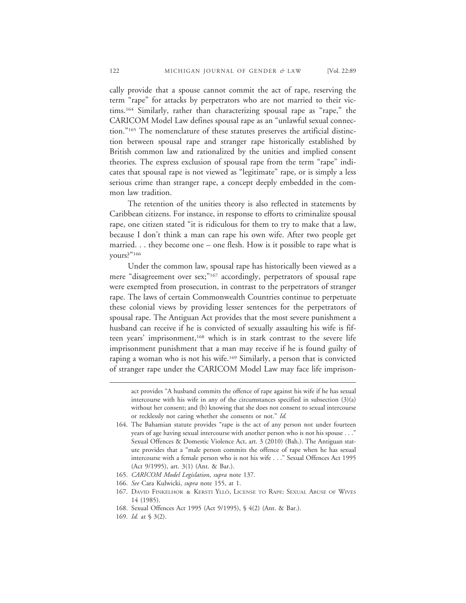cally provide that a spouse cannot commit the act of rape, reserving the term "rape" for attacks by perpetrators who are not married to their victims.164 Similarly, rather than characterizing spousal rape as "rape," the CARICOM Model Law defines spousal rape as an "unlawful sexual connection."165 The nomenclature of these statutes preserves the artificial distinction between spousal rape and stranger rape historically established by British common law and rationalized by the unities and implied consent theories. The express exclusion of spousal rape from the term "rape" indicates that spousal rape is not viewed as "legitimate" rape, or is simply a less serious crime than stranger rape, a concept deeply embedded in the common law tradition.

The retention of the unities theory is also reflected in statements by Caribbean citizens. For instance, in response to efforts to criminalize spousal rape, one citizen stated "it is ridiculous for them to try to make that a law, because I don't think a man can rape his own wife. After two people get married. . . they become one – one flesh. How is it possible to rape what is yours?"166

Under the common law, spousal rape has historically been viewed as a mere "disagreement over sex;"<sup>167</sup> accordingly, perpetrators of spousal rape were exempted from prosecution, in contrast to the perpetrators of stranger rape. The laws of certain Commonwealth Countries continue to perpetuate these colonial views by providing lesser sentences for the perpetrators of spousal rape. The Antiguan Act provides that the most severe punishment a husband can receive if he is convicted of sexually assaulting his wife is fifteen years' imprisonment,<sup>168</sup> which is in stark contrast to the severe life imprisonment punishment that a man may receive if he is found guilty of raping a woman who is not his wife.<sup>169</sup> Similarly, a person that is convicted of stranger rape under the CARICOM Model Law may face life imprison-

act provides "A husband commits the offence of rape against his wife if he has sexual intercourse with his wife in any of the circumstances specified in subsection  $(3)(a)$ without her consent; and (b) knowing that she does not consent to sexual intercourse or recklessly not caring whether she consents or not." *Id.*

169. *Id.* at § 3(2).

<sup>164.</sup> The Bahamian statute provides "rape is the act of any person not under fourteen years of age having sexual intercourse with another person who is not his spouse . . ." Sexual Offences & Domestic Violence Act, art. 3 (2010) (Bah.). The Antiguan statute provides that a "male person commits the offence of rape when he has sexual intercourse with a female person who is not his wife . . ." Sexual Offences Act 1995 (Act 9/1995), art. 3(1) (Ant. & Bar.).

<sup>165.</sup> *CARICOM Model Legislation*, *supra* note 137.

<sup>166.</sup> *See* Cara Kulwicki, *supra* note 155, at 1.

<sup>167.</sup> DAVID FINKELHOR & KERSTI YLLÖ, LICENSE TO RAPE: SEXUAL ABUSE OF WIVES 14 (1985).

<sup>168.</sup> Sexual Offences Act 1995 (Act 9/1995), § 4(2) (Ant. & Bar.).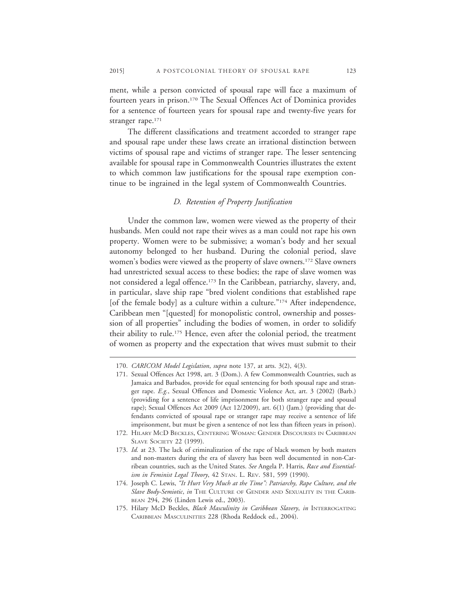ment, while a person convicted of spousal rape will face a maximum of fourteen years in prison.170 The Sexual Offences Act of Dominica provides for a sentence of fourteen years for spousal rape and twenty-five years for stranger rape.<sup>171</sup>

The different classifications and treatment accorded to stranger rape and spousal rape under these laws create an irrational distinction between victims of spousal rape and victims of stranger rape. The lesser sentencing available for spousal rape in Commonwealth Countries illustrates the extent to which common law justifications for the spousal rape exemption continue to be ingrained in the legal system of Commonwealth Countries.

### *D. Retention of Property Justification*

Under the common law, women were viewed as the property of their husbands. Men could not rape their wives as a man could not rape his own property. Women were to be submissive; a woman's body and her sexual autonomy belonged to her husband. During the colonial period, slave women's bodies were viewed as the property of slave owners.<sup>172</sup> Slave owners had unrestricted sexual access to these bodies; the rape of slave women was not considered a legal offence.<sup>173</sup> In the Caribbean, patriarchy, slavery, and, in particular, slave ship rape "bred violent conditions that established rape [of the female body] as a culture within a culture."<sup>174</sup> After independence, Caribbean men "[quested] for monopolistic control, ownership and possession of all properties" including the bodies of women, in order to solidify their ability to rule.175 Hence, even after the colonial period, the treatment of women as property and the expectation that wives must submit to their

<sup>170.</sup> *CARICOM Model Legislation*, *supra* note 137, at arts. 3(2), 4(3).

<sup>171.</sup> Sexual Offences Act 1998, art. 3 (Dom.). A few Commonwealth Countries, such as Jamaica and Barbados, provide for equal sentencing for both spousal rape and stranger rape. *E.g.*, Sexual Offences and Domestic Violence Act, art. 3 (2002) (Barb.) (providing for a sentence of life imprisonment for both stranger rape and spousal rape); Sexual Offences Act 2009 (Act 12/2009), art. 6(1) (Jam.) (providing that defendants convicted of spousal rape or stranger rape may receive a sentence of life imprisonment, but must be given a sentence of not less than fifteen years in prison).

<sup>172.</sup> HILARY MCD BECKLES, CENTERING WOMAN: GENDER DISCOURSES IN CARIBBEAN SLAVE SOCIETY 22 (1999).

<sup>173.</sup> *Id.* at 23. The lack of criminalization of the rape of black women by both masters and non-masters during the era of slavery has been well documented in non-Carribean countries, such as the United States. *See* Angela P. Harris, *Race and Essentialism in Feminist Legal Theory*, 42 STAN. L. REV. 581, 599 (1990).

<sup>174.</sup> Joseph C. Lewis, *"It Hurt Very Much at the Time": Patriarchy, Rape Culture, and the Slave Body-Semiotic*, *in* THE CULTURE OF GENDER AND SEXUALITY IN THE CARIB-BEAN 294, 296 (Linden Lewis ed., 2003).

<sup>175.</sup> Hilary McD Beckles, *Black Masculinity in Caribbean Slavery*, *in* INTERROGATING CARIBBEAN MASCULINITIES 228 (Rhoda Reddock ed., 2004).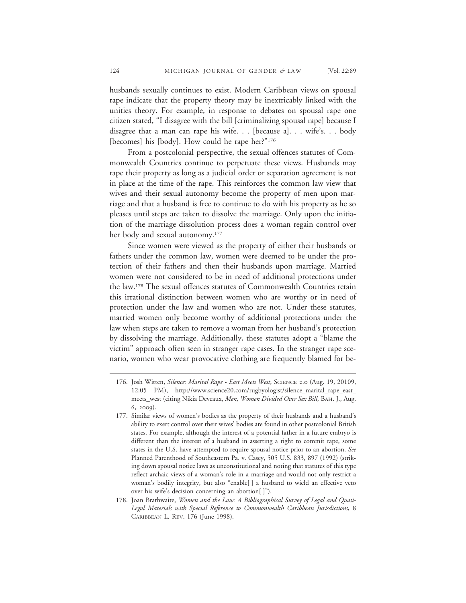husbands sexually continues to exist. Modern Caribbean views on spousal rape indicate that the property theory may be inextricably linked with the unities theory. For example, in response to debates on spousal rape one citizen stated, "I disagree with the bill [criminalizing spousal rape] because I disagree that a man can rape his wife. . . [because a]. . . wife's. . . body [becomes] his [body]. How could he rape her?"<sup>176</sup>

From a postcolonial perspective, the sexual offences statutes of Commonwealth Countries continue to perpetuate these views. Husbands may rape their property as long as a judicial order or separation agreement is not in place at the time of the rape. This reinforces the common law view that wives and their sexual autonomy become the property of men upon marriage and that a husband is free to continue to do with his property as he so pleases until steps are taken to dissolve the marriage. Only upon the initiation of the marriage dissolution process does a woman regain control over her body and sexual autonomy.<sup>177</sup>

Since women were viewed as the property of either their husbands or fathers under the common law, women were deemed to be under the protection of their fathers and then their husbands upon marriage. Married women were not considered to be in need of additional protections under the law.178 The sexual offences statutes of Commonwealth Countries retain this irrational distinction between women who are worthy or in need of protection under the law and women who are not. Under these statutes, married women only become worthy of additional protections under the law when steps are taken to remove a woman from her husband's protection by dissolving the marriage. Additionally, these statutes adopt a "blame the victim" approach often seen in stranger rape cases. In the stranger rape scenario, women who wear provocative clothing are frequently blamed for be-

<sup>176.</sup> Josh Witten, *Silence: Marital Rape - East Meets West*, SCIENCE 2.0 (Aug. 19, 20109, 12:05 PM), http://www.science20.com/rugbyologist/silence\_marital\_rape\_east\_ meets\_west (citing Nikia Deveaux, *Men, Women Divided Over Sex Bill*, BAH. J., Aug. 6, 2009).

<sup>177.</sup> Similar views of women's bodies as the property of their husbands and a husband's ability to exert control over their wives' bodies are found in other postcolonial British states. For example, although the interest of a potential father in a future embryo is different than the interest of a husband in asserting a right to commit rape, some states in the U.S. have attempted to require spousal notice prior to an abortion. *See* Planned Parenthood of Southeastern Pa. v. Casey, 505 U.S. 833, 897 (1992) (striking down spousal notice laws as unconstitutional and noting that statutes of this type reflect archaic views of a woman's role in a marriage and would not only restrict a woman's bodily integrity, but also "enable[ ] a husband to wield an effective veto over his wife's decision concerning an abortion[ ]").

<sup>178.</sup> Joan Brathwaite, *Women and the Law: A Bibliographical Survey of Legal and Quasi-Legal Materials with Special Reference to Commonwealth Caribbean Jurisdictions*, 8 CARIBBEAN L. REV. 176 (June 1998).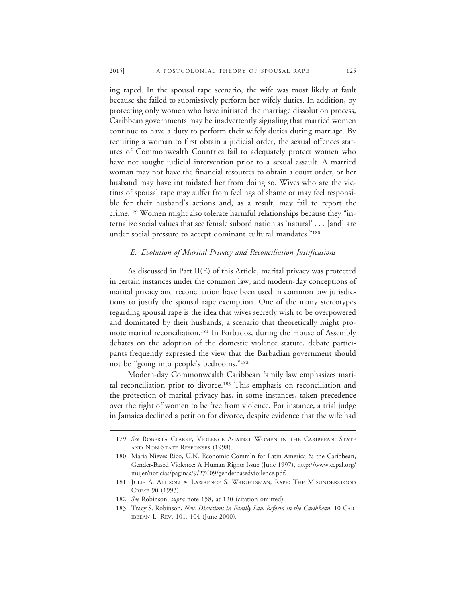ing raped. In the spousal rape scenario, the wife was most likely at fault because she failed to submissively perform her wifely duties. In addition, by protecting only women who have initiated the marriage dissolution process, Caribbean governments may be inadvertently signaling that married women continue to have a duty to perform their wifely duties during marriage. By requiring a woman to first obtain a judicial order, the sexual offences statutes of Commonwealth Countries fail to adequately protect women who have not sought judicial intervention prior to a sexual assault. A married woman may not have the financial resources to obtain a court order, or her husband may have intimidated her from doing so. Wives who are the victims of spousal rape may suffer from feelings of shame or may feel responsible for their husband's actions and, as a result, may fail to report the crime.179 Women might also tolerate harmful relationships because they "internalize social values that see female subordination as 'natural' . . . [and] are under social pressure to accept dominant cultural mandates."<sup>180</sup>

## *E. Evolution of Marital Privacy and Reconciliation Justifications*

As discussed in Part II(E) of this Article, marital privacy was protected in certain instances under the common law, and modern-day conceptions of marital privacy and reconciliation have been used in common law jurisdictions to justify the spousal rape exemption. One of the many stereotypes regarding spousal rape is the idea that wives secretly wish to be overpowered and dominated by their husbands, a scenario that theoretically might promote marital reconciliation.181 In Barbados, during the House of Assembly debates on the adoption of the domestic violence statute, debate participants frequently expressed the view that the Barbadian government should not be "going into people's bedrooms."182

Modern-day Commonwealth Caribbean family law emphasizes marital reconciliation prior to divorce.<sup>183</sup> This emphasis on reconciliation and the protection of marital privacy has, in some instances, taken precedence over the right of women to be free from violence. For instance, a trial judge in Jamaica declined a petition for divorce, despite evidence that the wife had

<sup>179.</sup> *See* ROBERTA CLARKE, VIOLENCE AGAINST WOMEN IN THE CARIBBEAN: STATE AND NON-STATE RESPONSES (1998).

<sup>180.</sup> Maria Nieves Rico, U.N. Economic Comm'n for Latin America & the Caribbean, Gender-Based Violence: A Human Rights Issue (June 1997), http://www.cepal.org/ mujer/noticias/paginas/9/27409/genderbasedvioilence.pdf.

<sup>181.</sup> JULIE A. ALLISON & LAWRENCE S. WRIGHTSMAN, RAPE: THE MISUNDERSTOOD CRIME 90 (1993).

<sup>182.</sup> *See* Robinson, *supra* note 158, at 120 (citation omitted).

<sup>183.</sup> Tracy S. Robinson, *New Directions in Family Law Reform in the Caribbean*, 10 CAR-IBBEAN L. REV. 101, 104 (June 2000).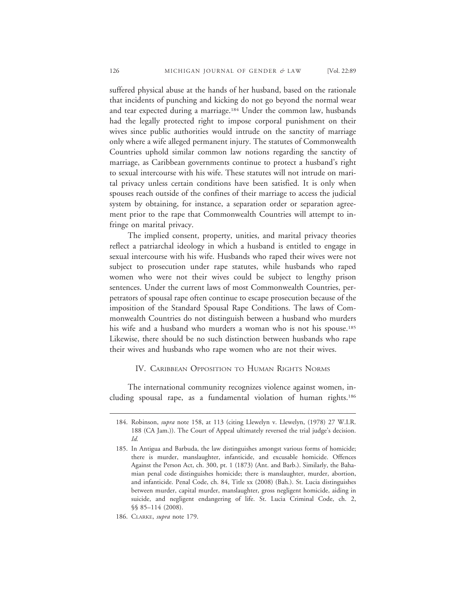suffered physical abuse at the hands of her husband, based on the rationale that incidents of punching and kicking do not go beyond the normal wear and tear expected during a marriage.<sup>184</sup> Under the common law, husbands had the legally protected right to impose corporal punishment on their wives since public authorities would intrude on the sanctity of marriage only where a wife alleged permanent injury. The statutes of Commonwealth Countries uphold similar common law notions regarding the sanctity of marriage, as Caribbean governments continue to protect a husband's right to sexual intercourse with his wife. These statutes will not intrude on marital privacy unless certain conditions have been satisfied. It is only when spouses reach outside of the confines of their marriage to access the judicial system by obtaining, for instance, a separation order or separation agreement prior to the rape that Commonwealth Countries will attempt to infringe on marital privacy.

The implied consent, property, unities, and marital privacy theories reflect a patriarchal ideology in which a husband is entitled to engage in sexual intercourse with his wife. Husbands who raped their wives were not subject to prosecution under rape statutes, while husbands who raped women who were not their wives could be subject to lengthy prison sentences. Under the current laws of most Commonwealth Countries, perpetrators of spousal rape often continue to escape prosecution because of the imposition of the Standard Spousal Rape Conditions. The laws of Commonwealth Countries do not distinguish between a husband who murders his wife and a husband who murders a woman who is not his spouse.<sup>185</sup> Likewise, there should be no such distinction between husbands who rape their wives and husbands who rape women who are not their wives.

## IV. CARIBBEAN OPPOSITION TO HUMAN RIGHTS NORMS

The international community recognizes violence against women, including spousal rape, as a fundamental violation of human rights.186

<sup>184.</sup> Robinson, *supra* note 158, at 113 (citing Llewelyn v. Llewelyn, (1978) 27 W.I.R. 188 (CA Jam.)). The Court of Appeal ultimately reversed the trial judge's decision. *Id.*

<sup>185.</sup> In Antigua and Barbuda, the law distinguishes amongst various forms of homicide; there is murder, manslaughter, infanticide, and excusable homicide. Offences Against the Person Act, ch. 300, pt. 1 (1873) (Ant. and Barb.). Similarly, the Bahamian penal code distinguishes homicide; there is manslaughter, murder, abortion, and infanticide. Penal Code, ch. 84, Title xx (2008) (Bah.). St. Lucia distinguishes between murder, capital murder, manslaughter, gross negligent homicide, aiding in suicide, and negligent endangering of life. St. Lucia Criminal Code, ch. 2, §§ 85–114 (2008).

<sup>186.</sup> CLARKE, *supra* note 179.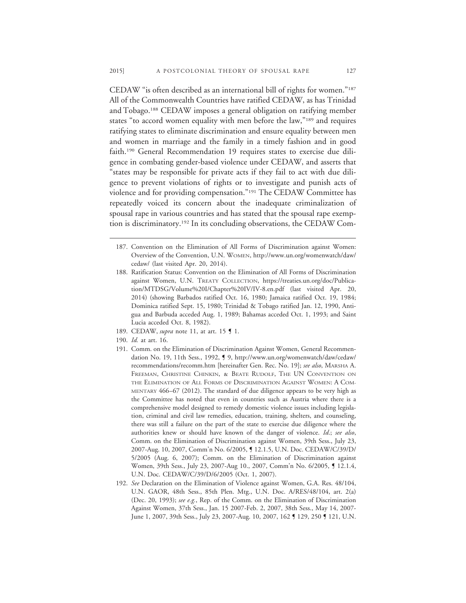CEDAW "is often described as an international bill of rights for women."187 All of the Commonwealth Countries have ratified CEDAW, as has Trinidad and Tobago.188 CEDAW imposes a general obligation on ratifying member states "to accord women equality with men before the law,"189 and requires ratifying states to eliminate discrimination and ensure equality between men and women in marriage and the family in a timely fashion and in good faith.190 General Recommendation 19 requires states to exercise due diligence in combating gender-based violence under CEDAW, and asserts that "states may be responsible for private acts if they fail to act with due diligence to prevent violations of rights or to investigate and punish acts of violence and for providing compensation."191 The CEDAW Committee has repeatedly voiced its concern about the inadequate criminalization of spousal rape in various countries and has stated that the spousal rape exemption is discriminatory.192 In its concluding observations, the CEDAW Com-

- 188. Ratification Status: Convention on the Elimination of All Forms of Discrimination against Women, U.N. TREATY COLLECTION, https://treaties.un.org/doc/Publication/MTDSG/Volume%20I/Chapter%20IV/IV-8.en.pdf (last visited Apr. 20, 2014) (showing Barbados ratified Oct. 16, 1980; Jamaica ratified Oct. 19, 1984; Dominica ratified Sept. 15, 1980; Trinidad & Tobago ratified Jan. 12, 1990, Antigua and Barbuda acceded Aug. 1, 1989; Bahamas acceded Oct. 1, 1993; and Saint Lucia acceded Oct. 8, 1982).
- 189. CEDAW, *supra* note 11, at art. 15 ¶ 1.
- 190. *Id.* at art. 16.
- 191. Comm. on the Elimination of Discrimination Against Women, General Recommendation No. 19, 11th Sess., 1992, ¶ 9, http://www.un.org/womenwatch/daw/cedaw/ recommendations/recomm.htm [hereinafter Gen. Rec. No. 19]; *see also*, MARSHA A. FREEMAN, CHRISTINE CHINKIN, & BEATE RUDOLF, THE UN CONVENTION ON THE ELIMINATION OF ALL FORMS OF DISCRIMINATION AGAINST WOMEN: A COM-MENTARY 466–67 (2012). The standard of due diligence appears to be very high as the Committee has noted that even in countries such as Austria where there is a comprehensive model designed to remedy domestic violence issues including legislation, criminal and civil law remedies, education, training, shelters, and counseling, there was still a failure on the part of the state to exercise due diligence where the authorities knew or should have known of the danger of violence. *Id*.; *see also*, Comm. on the Elimination of Discrimination against Women, 39th Sess., July 23, 2007-Aug. 10, 2007, Comm'n No. 6/2005, ¶ 12.1.5, U.N. Doc. CEDAW/C/39/D/ 5/2005 (Aug. 6, 2007); Comm. on the Elimination of Discrimination against Women, 39th Sess., July 23, 2007-Aug 10., 2007, Comm'n No. 6/2005, ¶ 12.1.4, U.N. Doc. CEDAW/C/39/D/6/2005 (Oct. 1, 2007).
- 192. *See* Declaration on the Elimination of Violence against Women, G.A. Res. 48/104, U.N. GAOR, 48th Sess., 85th Plen. Mtg., U.N. Doc. A/RES/48/104, art. 2(a) (Dec. 20, 1993); *see e.g.*, Rep. of the Comm. on the Elimination of Discrimination Against Women, 37th Sess., Jan. 15 2007-Feb. 2, 2007, 38th Sess., May 14, 2007- June 1, 2007, 39th Sess., July 23, 2007-Aug. 10, 2007, 162 ¶ 129, 250 ¶ 121, U.N.

<sup>187.</sup> Convention on the Elimination of All Forms of Discrimination against Women: Overview of the Convention, U.N. WOMEN, http://www.un.org/womenwatch/daw/ cedaw/ (last visited Apr. 20, 2014).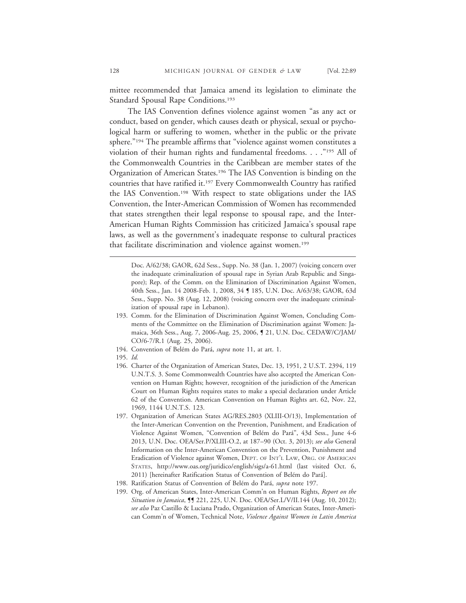mittee recommended that Jamaica amend its legislation to eliminate the Standard Spousal Rape Conditions.<sup>193</sup>

The IAS Convention defines violence against women "as any act or conduct, based on gender, which causes death or physical, sexual or psychological harm or suffering to women, whether in the public or the private sphere."194 The preamble affirms that "violence against women constitutes a violation of their human rights and fundamental freedoms. . . ."195 All of the Commonwealth Countries in the Caribbean are member states of the Organization of American States.196 The IAS Convention is binding on the countries that have ratified it.197 Every Commonwealth Country has ratified the IAS Convention.198 With respect to state obligations under the IAS Convention, the Inter-American Commission of Women has recommended that states strengthen their legal response to spousal rape, and the Inter-American Human Rights Commission has criticized Jamaica's spousal rape laws, as well as the government's inadequate response to cultural practices that facilitate discrimination and violence against women.<sup>199</sup>

Doc. A/62/38; GAOR, 62d Sess., Supp. No. 38 (Jan. 1, 2007) (voicing concern over the inadequate criminalization of spousal rape in Syrian Arab Republic and Singapore); Rep. of the Comm. on the Elimination of Discrimination Against Women, 40th Sess., Jan. 14 2008-Feb. 1, 2008, 34 ¶ 185, U.N. Doc. A/63/38; GAOR, 63d Sess., Supp. No. 38 (Aug. 12, 2008) (voicing concern over the inadequate criminalization of spousal rape in Lebanon).

- 193. Comm. for the Elimination of Discrimination Against Women, Concluding Comments of the Committee on the Elimination of Discrimination against Women: Jamaica, 36th Sess., Aug. 7, 2006-Aug. 25, 2006, ¶ 21, U.N. Doc. CEDAW/C/JAM/ CO/6-7/R.1 (Aug. 25, 2006).
- 194. Convention of Belém do Pará, *supra* note 11, at art. 1.
- 195. *Id.*
- 196. Charter of the Organization of American States, Dec. 13, 1951, 2 U.S.T. 2394, 119 U.N.T.S. 3. Some Commonwealth Countries have also accepted the American Convention on Human Rights; however, recognition of the jurisdiction of the American Court on Human Rights requires states to make a special declaration under Article 62 of the Convention. American Convention on Human Rights art. 62, Nov. 22, 1969, 1144 U.N.T.S. 123.
- 197. Organization of American States AG/RES.2803 (XLIII-O/13), Implementation of the Inter-American Convention on the Prevention, Punishment, and Eradication of Violence Against Women, "Convention of Belém do Pará", 43d Sess., June 4-6 2013, U.N. Doc. OEA/Ser.P/XLIII-O.2, at 187–90 (Oct. 3, 2013); *see also* General Information on the Inter-American Convention on the Prevention, Punishment and Eradication of Violence against Women, DEPT. OF INT'L LAW, ORG. OF AMERICAN STATES, http://www.oas.org/juridico/english/sigs/a-61.html (last visited Oct. 6, 2011) [hereinafter Ratification Status of Convention of Belém do Pará].
- 198. Ratification Status of Convention of Belém do Pará, *supra* note 197.
- 199. Org. of American States, Inter-American Comm'n on Human Rights, *Report on the Situation in Jamaica*, ¶¶ 221, 225, U.N. Doc. OEA/Ser.L/V/II.144 (Aug. 10, 2012); *see also* Paz Castillo & Luciana Prado, Organization of American States, Inter-American Comm'n of Women, Technical Note, *Violence Against Women in Latin America*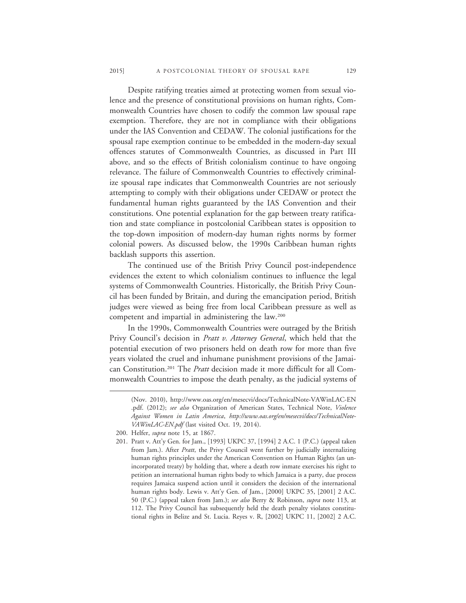Despite ratifying treaties aimed at protecting women from sexual violence and the presence of constitutional provisions on human rights, Commonwealth Countries have chosen to codify the common law spousal rape exemption. Therefore, they are not in compliance with their obligations under the IAS Convention and CEDAW. The colonial justifications for the spousal rape exemption continue to be embedded in the modern-day sexual offences statutes of Commonwealth Countries, as discussed in Part III above, and so the effects of British colonialism continue to have ongoing relevance. The failure of Commonwealth Countries to effectively criminalize spousal rape indicates that Commonwealth Countries are not seriously attempting to comply with their obligations under CEDAW or protect the fundamental human rights guaranteed by the IAS Convention and their constitutions. One potential explanation for the gap between treaty ratification and state compliance in postcolonial Caribbean states is opposition to the top-down imposition of modern-day human rights norms by former colonial powers. As discussed below, the 1990s Caribbean human rights backlash supports this assertion.

The continued use of the British Privy Council post-independence evidences the extent to which colonialism continues to influence the legal systems of Commonwealth Countries. Historically, the British Privy Council has been funded by Britain, and during the emancipation period, British judges were viewed as being free from local Caribbean pressure as well as competent and impartial in administering the law.200

In the 1990s, Commonwealth Countries were outraged by the British Privy Council's decision in *Pratt v. Attorney General*, which held that the potential execution of two prisoners held on death row for more than five years violated the cruel and inhumane punishment provisions of the Jamaican Constitution.201 The *Pratt* decision made it more difficult for all Commonwealth Countries to impose the death penalty, as the judicial systems of

<sup>(</sup>Nov. 2010), http://www.oas.org/en/mesecvi/docs/TechnicalNote-VAWinLAC-EN .pdf. (2012); *see also* Organization of American States, Technical Note, *Violence Against Women in Latin America*, *http://www.oas.org/en/mesecvi/docs/TechnicalNote-VAWinLAC-EN.pdf* (last visited Oct. 19, 2014).

<sup>200.</sup> Helfer, *supra* note 15, at 1867.

<sup>201.</sup> Pratt v. Att'y Gen. for Jam., [1993] UKPC 37, [1994] 2 A.C. 1 (P.C.) (appeal taken from Jam.). After *Pratt*, the Privy Council went further by judicially internalizing human rights principles under the American Convention on Human Rights (an unincorporated treaty) by holding that, where a death row inmate exercises his right to petition an international human rights body to which Jamaica is a party, due process requires Jamaica suspend action until it considers the decision of the international human rights body. Lewis v. Att'y Gen. of Jam., [2000] UKPC 35, [2001] 2 A.C. 50 (P.C.) (appeal taken from Jam.); *see also* Berry & Robinson, *supra* note 113, at 112. The Privy Council has subsequently held the death penalty violates constitutional rights in Belize and St. Lucia. Reyes v. R, [2002] UKPC 11, [2002] 2 A.C.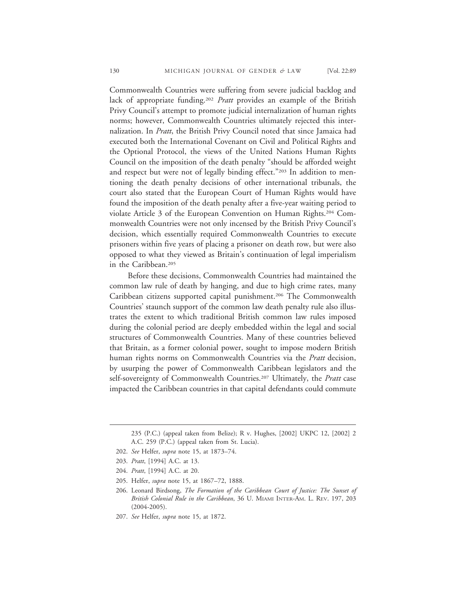Commonwealth Countries were suffering from severe judicial backlog and lack of appropriate funding.202 *Pratt* provides an example of the British Privy Council's attempt to promote judicial internalization of human rights norms; however, Commonwealth Countries ultimately rejected this internalization. In *Pratt*, the British Privy Council noted that since Jamaica had executed both the International Covenant on Civil and Political Rights and the Optional Protocol, the views of the United Nations Human Rights Council on the imposition of the death penalty "should be afforded weight and respect but were not of legally binding effect."<sup>203</sup> In addition to mentioning the death penalty decisions of other international tribunals, the court also stated that the European Court of Human Rights would have found the imposition of the death penalty after a five-year waiting period to violate Article 3 of the European Convention on Human Rights.204 Commonwealth Countries were not only incensed by the British Privy Council's decision, which essentially required Commonwealth Countries to execute prisoners within five years of placing a prisoner on death row, but were also opposed to what they viewed as Britain's continuation of legal imperialism in the Caribbean.<sup>205</sup>

Before these decisions, Commonwealth Countries had maintained the common law rule of death by hanging, and due to high crime rates, many Caribbean citizens supported capital punishment.<sup>206</sup> The Commonwealth Countries' staunch support of the common law death penalty rule also illustrates the extent to which traditional British common law rules imposed during the colonial period are deeply embedded within the legal and social structures of Commonwealth Countries. Many of these countries believed that Britain, as a former colonial power, sought to impose modern British human rights norms on Commonwealth Countries via the *Pratt* decision, by usurping the power of Commonwealth Caribbean legislators and the self-sovereignty of Commonwealth Countries.207 Ultimately, the *Pratt* case impacted the Caribbean countries in that capital defendants could commute

<sup>235 (</sup>P.C.) (appeal taken from Belize); R v. Hughes, [2002] UKPC 12, [2002] 2 A.C. 259 (P.C.) (appeal taken from St. Lucia).

<sup>202.</sup> *See* Helfer, *supra* note 15, at 1873–74.

<sup>203.</sup> *Pratt*, [1994] A.C. at 13.

<sup>204.</sup> *Pratt*, [1994] A.C. at 20.

<sup>205.</sup> Helfer, *supra* note 15, at 1867–72, 1888.

<sup>206.</sup> Leonard Birdsong, *The Formation of the Caribbean Court of Justice: The Sunset of British Colonial Rule in the Caribbean*, 36 U. MIAMI INTER-AM. L. REV. 197, 203 (2004-2005).

<sup>207.</sup> *See* Helfer, *supra* note 15, at 1872.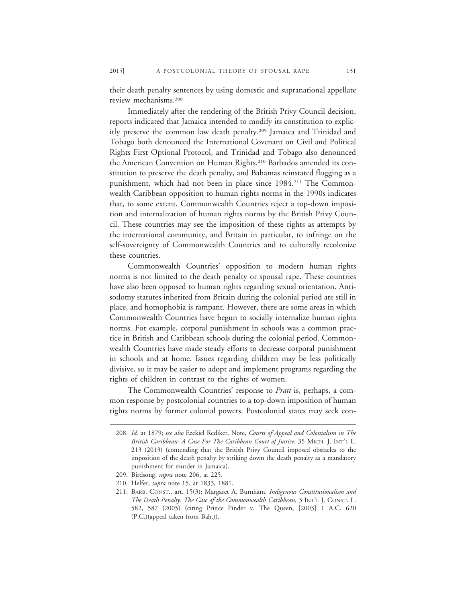their death penalty sentences by using domestic and supranational appellate review mechanisms.208

Immediately after the rendering of the British Privy Council decision, reports indicated that Jamaica intended to modify its constitution to explicitly preserve the common law death penalty.209 Jamaica and Trinidad and Tobago both denounced the International Covenant on Civil and Political Rights First Optional Protocol, and Trinidad and Tobago also denounced the American Convention on Human Rights.<sup>210</sup> Barbados amended its constitution to preserve the death penalty, and Bahamas reinstated flogging as a punishment, which had not been in place since 1984.211 The Commonwealth Caribbean opposition to human rights norms in the 1990s indicates that, to some extent, Commonwealth Countries reject a top-down imposition and internalization of human rights norms by the British Privy Council. These countries may see the imposition of these rights as attempts by the international community, and Britain in particular, to infringe on the self-sovereignty of Commonwealth Countries and to culturally recolonize these countries.

Commonwealth Countries' opposition to modern human rights norms is not limited to the death penalty or spousal rape. These countries have also been opposed to human rights regarding sexual orientation. Antisodomy statutes inherited from Britain during the colonial period are still in place, and homophobia is rampant. However, there are some areas in which Commonwealth Countries have begun to socially internalize human rights norms. For example, corporal punishment in schools was a common practice in British and Caribbean schools during the colonial period. Commonwealth Countries have made steady efforts to decrease corporal punishment in schools and at home. Issues regarding children may be less politically divisive, so it may be easier to adopt and implement programs regarding the rights of children in contrast to the rights of women.

The Commonwealth Countries' response to *Pratt* is, perhaps, a common response by postcolonial countries to a top-down imposition of human rights norms by former colonial powers. Postcolonial states may seek con-

<sup>208.</sup> *Id.* at 1879; *see also* Ezekiel Rediker, Note, *Courts of Appeal and Colonialism in The British Caribbean: A Case For The Caribbean Court of Justice*, 35 MICH. J. INT'L L. 213 (2013) (contending that the British Privy Council imposed obstacles to the imposition of the death penalty by striking down the death penalty as a mandatory punishment for murder in Jamaica).

<sup>209.</sup> Birdsong, *supra* note 206, at 225.

<sup>210.</sup> Helfer, *supra* note 15, at 1833, 1881.

<sup>211.</sup> BARB. CONST., art. 15(3); Margaret A, Burnham, *Indigenous Constitutionalism and The Death Penalty: The Case of the Commonwealth Caribbean*, 3 INT'L J. CONST. L. 582, 587 (2005) (citing Prince Pinder v. The Queen, [2003] 1 A.C. 620 (P.C.)(appeal taken from Bah.)).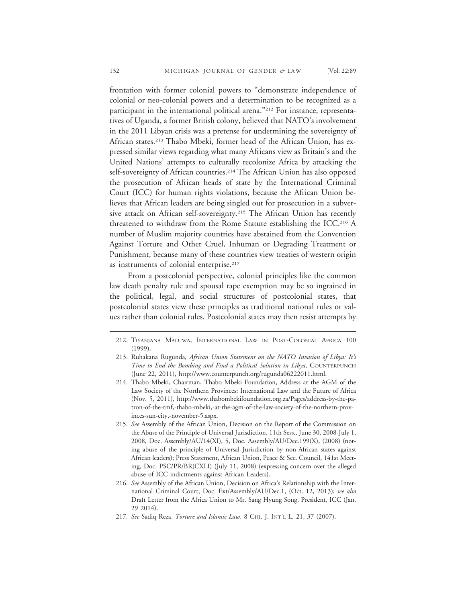frontation with former colonial powers to "demonstrate independence of colonial or neo-colonial powers and a determination to be recognized as a participant in the international political arena."<sup>212</sup> For instance, representatives of Uganda, a former British colony, believed that NATO's involvement in the 2011 Libyan crisis was a pretense for undermining the sovereignty of African states.213 Thabo Mbeki, former head of the African Union, has expressed similar views regarding what many Africans view as Britain's and the United Nations' attempts to culturally recolonize Africa by attacking the self-sovereignty of African countries.<sup>214</sup> The African Union has also opposed the prosecution of African heads of state by the International Criminal Court (ICC) for human rights violations, because the African Union believes that African leaders are being singled out for prosecution in a subversive attack on African self-sovereignty.<sup>215</sup> The African Union has recently threatened to withdraw from the Rome Statute establishing the ICC.216 A number of Muslim majority countries have abstained from the Convention Against Torture and Other Cruel, Inhuman or Degrading Treatment or Punishment, because many of these countries view treaties of western origin as instruments of colonial enterprise.<sup>217</sup>

From a postcolonial perspective, colonial principles like the common law death penalty rule and spousal rape exemption may be so ingrained in the political, legal, and social structures of postcolonial states, that postcolonial states view these principles as traditional national rules or values rather than colonial rules. Postcolonial states may then resist attempts by

- 215. *See* Assembly of the African Union, Decision on the Report of the Commission on the Abuse of the Principle of Universal Jurisdiction, 11th Sess., June 30, 2008-July 1, 2008, Doc. Assembly/AU/14(XI), 5, Doc. Assembly/AU/Dec.199(X), (2008) (noting abuse of the principle of Universal Jurisdiction by non-African states against African leaders); Press Statement, African Union, Peace & Sec. Council, 141st Meeting, Doc. PSC/PR/BR(CXLI) (July 11, 2008) (expressing concern over the alleged abuse of ICC indictments against African Leaders).
- 216. *See* Assembly of the African Union, Decision on Africa's Relationship with the International Criminal Court, Doc. Ext/Assembly/AU/Dec.1, (Oct. 12, 2013); *see also* Draft Letter from the Africa Union to Mr. Sang Hyung Song, President, ICC (Jan. 29 2014).
- 217. *See* Sadiq Reza, *Torture and Islamic Law*, 8 CHI. J. INT'L L. 21, 37 (2007).

<sup>212.</sup> TIYANJANA MALUWA, INTERNATIONAL LAW IN POST-COLONIAL AFRICA 100 (1999).

<sup>213.</sup> Ruhakana Rugunda, *African Union Statement on the NATO Invasion of Libya: It's Time to End the Bombing and Find a Political Solution in Libya*, COUNTERPUNCH (June 22, 2011), http://www.counterpunch.org/rugunda06222011.html.

<sup>214.</sup> Thabo Mbeki, Chairman, Thabo Mbeki Foundation, Address at the AGM of the Law Society of the Northern Provinces: International Law and the Future of Africa (Nov. 5, 2011), http://www.thabombekifoundation.org.za/Pages/address-by-the-patron-of-the-tmf,-thabo-mbeki,-at-the-agm-of-the-law-society-of-the-northern-provinces-sun-city,-november-5.aspx.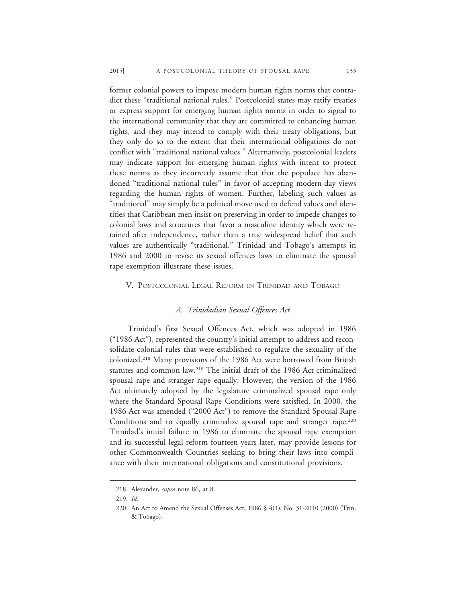former colonial powers to impose modern human rights norms that contradict these "traditional national rules." Postcolonial states may ratify treaties or express support for emerging human rights norms in order to signal to the international community that they are committed to enhancing human rights, and they may intend to comply with their treaty obligations, but they only do so to the extent that their international obligations do not conflict with "traditional national values." Alternatively, postcolonial leaders may indicate support for emerging human rights with intent to protect these norms as they incorrectly assume that that the populace has abandoned "traditional national rules" in favor of accepting modern-day views regarding the human rights of women. Further, labeling such values as "traditional" may simply be a political move used to defend values and identities that Caribbean men insist on preserving in order to impede changes to colonial laws and structures that favor a masculine identity which were retained after independence, rather than a true widespread belief that such values are authentically "traditional." Trinidad and Tobago's attempts in 1986 and 2000 to revise its sexual offences laws to eliminate the spousal rape exemption illustrate these issues.

# V. POSTCOLONIAL LEGAL REFORM IN TRINIDAD AND TOBAGO

# *A. Trinidadian Sexual Offences Act*

Trinidad's first Sexual Offences Act, which was adopted in 1986 ("1986 Act"), represented the country's initial attempt to address and reconsolidate colonial rules that were established to regulate the sexuality of the colonized.218 Many provisions of the 1986 Act were borrowed from British statutes and common law.219 The initial draft of the 1986 Act criminalized spousal rape and stranger rape equally. However, the version of the 1986 Act ultimately adopted by the legislature criminalized spousal rape only where the Standard Spousal Rape Conditions were satisfied. In 2000, the 1986 Act was amended ("2000 Act") to remove the Standard Spousal Rape Conditions and to equally criminalize spousal rape and stranger rape.<sup>220</sup> Trinidad's initial failure in 1986 to eliminate the spousal rape exemption and its successful legal reform fourteen years later, may provide lessons for other Commonwealth Countries seeking to bring their laws into compliance with their international obligations and constitutional provisions.

<sup>218.</sup> Alexander, *supra* note 86, at 8.

<sup>219.</sup> *Id.*

<sup>220.</sup> An Act to Amend the Sexual Offenses Act, 1986 § 4(1), No. 31-2010 (2000) (Trin. & Tobago).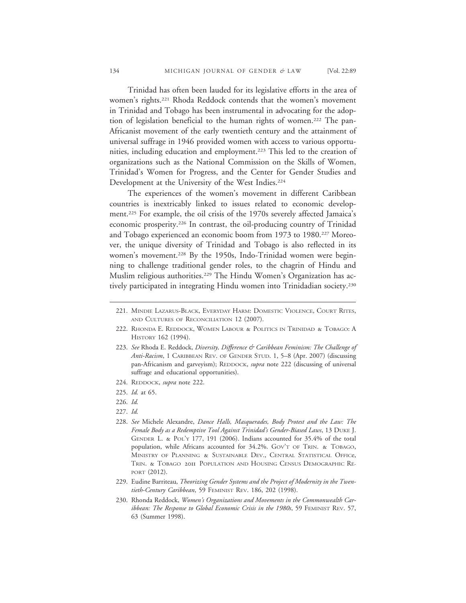Trinidad has often been lauded for its legislative efforts in the area of women's rights.221 Rhoda Reddock contends that the women's movement in Trinidad and Tobago has been instrumental in advocating for the adoption of legislation beneficial to the human rights of women.222 The pan-Africanist movement of the early twentieth century and the attainment of universal suffrage in 1946 provided women with access to various opportunities, including education and employment.<sup>223</sup> This led to the creation of organizations such as the National Commission on the Skills of Women, Trinidad's Women for Progress, and the Center for Gender Studies and Development at the University of the West Indies.<sup>224</sup>

The experiences of the women's movement in different Caribbean countries is inextricably linked to issues related to economic development.225 For example, the oil crisis of the 1970s severely affected Jamaica's economic prosperity.226 In contrast, the oil-producing country of Trinidad and Tobago experienced an economic boom from 1973 to 1980.227 Moreover, the unique diversity of Trinidad and Tobago is also reflected in its women's movement.<sup>228</sup> By the 1950s, Indo-Trinidad women were beginning to challenge traditional gender roles, to the chagrin of Hindu and Muslim religious authorities.<sup>229</sup> The Hindu Women's Organization has actively participated in integrating Hindu women into Trinidadian society.230

- 224. REDDOCK, *supra* note 222.
- 225. *Id.* at 65.
- 226. *Id.*
- 227. *Id.*
- 228. *See* Michele Alexandre, *Dance Halls, Masquerades, Body Protest and the Law: The Female Body as a Redemptive Tool Against Trinidad's Gender-Biased Laws*, 13 DUKE J. GENDER L. & POL'Y 177, 191 (2006). Indians accounted for 35.4% of the total population, while Africans accounted for 34.2%. GOV'T OF TRIN. & TOBAGO, MINISTRY OF PLANNING & SUSTAINABLE DEV., CENTRAL STATISTICAL OFFICe, TRIN. & TOBAGO 2011 POPULATION AND HOUSING CENSUS DEMOGRAPHIC RE-PORT (2012).
- 229. Eudine Barriteau, *Theorizing Gender Systems and the Project of Modernity in the Twentieth-Century Caribbean*, 59 FEMINIST REV. 186, 202 (1998).
- 230. Rhonda Reddock, *Women's Organizations and Movements in the Commonwealth Caribbean: The Response to Global Economic Crisis in the 1980s*, 59 FEMINIST REV. 57, 63 (Summer 1998).

<sup>221.</sup> MINDIE LAZARUS-BLACK, EVERYDAY HARM: DOMESTIC VIOLENCE, COURT RITES, AND CULTURES OF RECONCILIATION 12 (2007).

<sup>222.</sup> RHONDA E. REDDOCK, WOMEN LABOUR & POLITICS IN TRINIDAD & TOBAGO: A HISTORY 162 (1994).

<sup>223.</sup> *See* Rhoda E. Reddock, *Diversity, Difference & Caribbean Feminism: The Challenge of Anti-Racism*, 1 CARIBBEAN REV. OF GENDER STUD. 1, 5–8 (Apr. 2007) (discussing pan-Africanism and garveyism); REDDOCK, *supra* note 222 (discussing of universal suffrage and educational opportunities).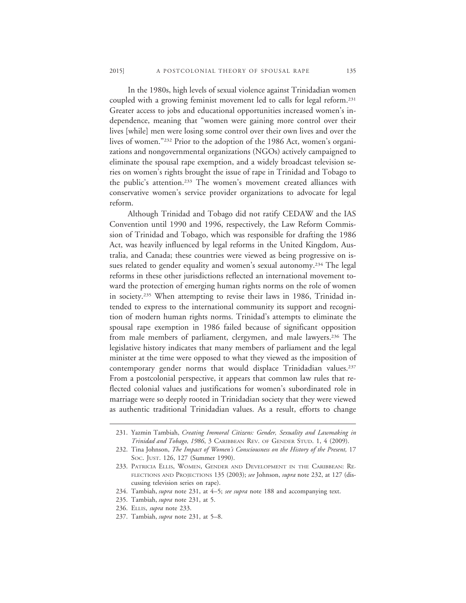In the 1980s, high levels of sexual violence against Trinidadian women coupled with a growing feminist movement led to calls for legal reform.231 Greater access to jobs and educational opportunities increased women's independence, meaning that "women were gaining more control over their lives [while] men were losing some control over their own lives and over the lives of women."232 Prior to the adoption of the 1986 Act, women's organizations and nongovernmental organizations (NGOs) actively campaigned to eliminate the spousal rape exemption, and a widely broadcast television series on women's rights brought the issue of rape in Trinidad and Tobago to the public's attention.233 The women's movement created alliances with conservative women's service provider organizations to advocate for legal reform.

Although Trinidad and Tobago did not ratify CEDAW and the IAS Convention until 1990 and 1996, respectively, the Law Reform Commission of Trinidad and Tobago, which was responsible for drafting the 1986 Act, was heavily influenced by legal reforms in the United Kingdom, Australia, and Canada; these countries were viewed as being progressive on issues related to gender equality and women's sexual autonomy.234 The legal reforms in these other jurisdictions reflected an international movement toward the protection of emerging human rights norms on the role of women in society.235 When attempting to revise their laws in 1986, Trinidad intended to express to the international community its support and recognition of modern human rights norms. Trinidad's attempts to eliminate the spousal rape exemption in 1986 failed because of significant opposition from male members of parliament, clergymen, and male lawyers.<sup>236</sup> The legislative history indicates that many members of parliament and the legal minister at the time were opposed to what they viewed as the imposition of contemporary gender norms that would displace Trinidadian values.<sup>237</sup> From a postcolonial perspective, it appears that common law rules that reflected colonial values and justifications for women's subordinated role in marriage were so deeply rooted in Trinidadian society that they were viewed as authentic traditional Trinidadian values. As a result, efforts to change

<sup>231.</sup> Yazmin Tambiah, *Creating Immoral Citizens: Gender, Sexuality and Lawmaking in Trinidad and Tobago, 1986*, 3 CARIBBEAN REV. OF GENDER STUD. 1, 4 (2009).

<sup>232.</sup> Tina Johnson, *The Impact of Women's Consciousness on the History of the Present,* 17 SOC. JUST. 126, 127 (Summer 1990).

<sup>233.</sup> PATRICIA ELLIS, WOMEN, GENDER AND DEVELOPMENT IN THE CARIBBEAN: RE-FLECTIONS AND PROJECTIONS 135 (2003); *see* Johnson, *supra* note 232, at 127 (discussing television series on rape).

<sup>234.</sup> Tambiah, *supra* note 231, at 4–5; *see supra* note 188 and accompanying text.

<sup>235.</sup> Tambiah, *supra* note 231, at 5.

<sup>236.</sup> ELLIS, *supra* note 233.

<sup>237.</sup> Tambiah, *supra* note 231, at 5–8.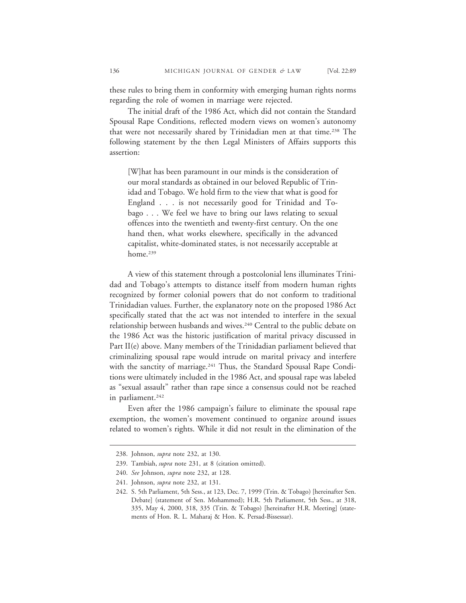these rules to bring them in conformity with emerging human rights norms regarding the role of women in marriage were rejected.

The initial draft of the 1986 Act, which did not contain the Standard Spousal Rape Conditions, reflected modern views on women's autonomy that were not necessarily shared by Trinidadian men at that time.<sup>238</sup> The following statement by the then Legal Ministers of Affairs supports this assertion:

[W]hat has been paramount in our minds is the consideration of our moral standards as obtained in our beloved Republic of Trinidad and Tobago. We hold firm to the view that what is good for England . . . is not necessarily good for Trinidad and Tobago . . . We feel we have to bring our laws relating to sexual offences into the twentieth and twenty-first century. On the one hand then, what works elsewhere, specifically in the advanced capitalist, white-dominated states, is not necessarily acceptable at home.<sup>239</sup>

A view of this statement through a postcolonial lens illuminates Trinidad and Tobago's attempts to distance itself from modern human rights recognized by former colonial powers that do not conform to traditional Trinidadian values. Further, the explanatory note on the proposed 1986 Act specifically stated that the act was not intended to interfere in the sexual relationship between husbands and wives.<sup>240</sup> Central to the public debate on the 1986 Act was the historic justification of marital privacy discussed in Part II(e) above. Many members of the Trinidadian parliament believed that criminalizing spousal rape would intrude on marital privacy and interfere with the sanctity of marriage.<sup>241</sup> Thus, the Standard Spousal Rape Conditions were ultimately included in the 1986 Act, and spousal rape was labeled as "sexual assault" rather than rape since a consensus could not be reached in parliament.<sup>242</sup>

Even after the 1986 campaign's failure to eliminate the spousal rape exemption, the women's movement continued to organize around issues related to women's rights. While it did not result in the elimination of the

<sup>238.</sup> Johnson, *supra* note 232, at 130.

<sup>239.</sup> Tambiah, *supra* note 231, at 8 (citation omitted).

<sup>240.</sup> *See* Johnson, *supra* note 232, at 128.

<sup>241.</sup> Johnson, *supra* note 232, at 131.

<sup>242.</sup> S. 5th Parliament, 5th Sess., at 123, Dec. 7, 1999 (Trin. & Tobago) [hereinafter Sen. Debate] (statement of Sen. Mohammed); H.R. 5th Parliament, 5th Sess., at 318, 335, May 4, 2000, 318, 335 (Trin. & Tobago) [hereinafter H.R. Meeting] (statements of Hon. R. L. Maharaj & Hon. K. Persad-Bissessar).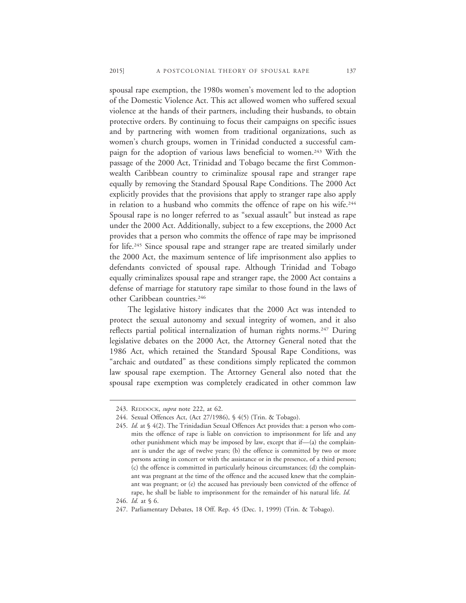spousal rape exemption, the 1980s women's movement led to the adoption of the Domestic Violence Act. This act allowed women who suffered sexual violence at the hands of their partners, including their husbands, to obtain protective orders. By continuing to focus their campaigns on specific issues and by partnering with women from traditional organizations, such as women's church groups, women in Trinidad conducted a successful campaign for the adoption of various laws beneficial to women.<sup>243</sup> With the passage of the 2000 Act, Trinidad and Tobago became the first Commonwealth Caribbean country to criminalize spousal rape and stranger rape equally by removing the Standard Spousal Rape Conditions. The 2000 Act explicitly provides that the provisions that apply to stranger rape also apply in relation to a husband who commits the offence of rape on his wife.<sup>244</sup> Spousal rape is no longer referred to as "sexual assault" but instead as rape under the 2000 Act. Additionally, subject to a few exceptions, the 2000 Act provides that a person who commits the offence of rape may be imprisoned for life.245 Since spousal rape and stranger rape are treated similarly under the 2000 Act, the maximum sentence of life imprisonment also applies to defendants convicted of spousal rape. Although Trinidad and Tobago equally criminalizes spousal rape and stranger rape, the 2000 Act contains a defense of marriage for statutory rape similar to those found in the laws of other Caribbean countries.246

The legislative history indicates that the 2000 Act was intended to protect the sexual autonomy and sexual integrity of women, and it also reflects partial political internalization of human rights norms.<sup>247</sup> During legislative debates on the 2000 Act, the Attorney General noted that the 1986 Act, which retained the Standard Spousal Rape Conditions, was "archaic and outdated" as these conditions simply replicated the common law spousal rape exemption. The Attorney General also noted that the spousal rape exemption was completely eradicated in other common law

<sup>243.</sup> REDDOCK, *supra* note 222, at 62.

<sup>244.</sup> Sexual Offences Act, (Act 27/1986), § 4(5) (Trin. & Tobago).

<sup>245.</sup> *Id.* at § 4(2). The Trinidadian Sexual Offences Act provides that: a person who commits the offence of rape is liable on conviction to imprisonment for life and any other punishment which may be imposed by law, except that if—(a) the complainant is under the age of twelve years; (b) the offence is committed by two or more persons acting in concert or with the assistance or in the presence, of a third person; (c) the offence is committed in particularly heinous circumstances; (d) the complainant was pregnant at the time of the offence and the accused knew that the complainant was pregnant; or (e) the accused has previously been convicted of the offence of rape, he shall be liable to imprisonment for the remainder of his natural life. *Id.*

<sup>246.</sup> *Id.* at § 6.

<sup>247.</sup> Parliamentary Debates, 18 Off. Rep. 45 (Dec. 1, 1999) (Trin. & Tobago).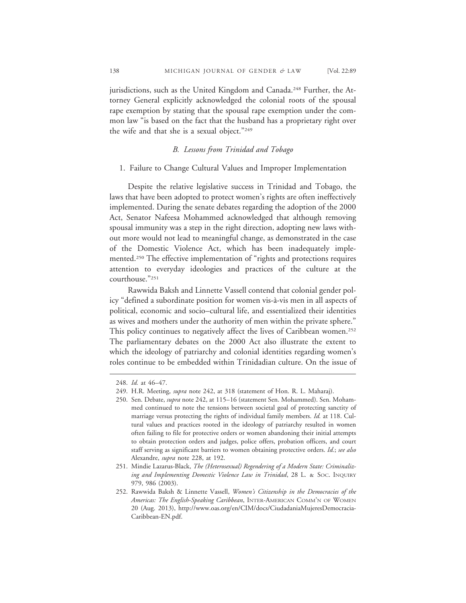jurisdictions, such as the United Kingdom and Canada.<sup>248</sup> Further, the Attorney General explicitly acknowledged the colonial roots of the spousal rape exemption by stating that the spousal rape exemption under the common law "is based on the fact that the husband has a proprietary right over the wife and that she is a sexual object."249

# *B. Lessons from Trinidad and Tobago*

## 1. Failure to Change Cultural Values and Improper Implementation

Despite the relative legislative success in Trinidad and Tobago, the laws that have been adopted to protect women's rights are often ineffectively implemented. During the senate debates regarding the adoption of the 2000 Act, Senator Nafeesa Mohammed acknowledged that although removing spousal immunity was a step in the right direction, adopting new laws without more would not lead to meaningful change, as demonstrated in the case of the Domestic Violence Act, which has been inadequately implemented.250 The effective implementation of "rights and protections requires attention to everyday ideologies and practices of the culture at the courthouse."251

Rawwida Baksh and Linnette Vassell contend that colonial gender policy "defined a subordinate position for women vis-à-vis men in all aspects of political, economic and socio–cultural life, and essentialized their identities as wives and mothers under the authority of men within the private sphere." This policy continues to negatively affect the lives of Caribbean women.<sup>252</sup> The parliamentary debates on the 2000 Act also illustrate the extent to which the ideology of patriarchy and colonial identities regarding women's roles continue to be embedded within Trinidadian culture. On the issue of

<sup>248.</sup> *Id.* at 46–47.

<sup>249.</sup> H.R. Meeting, *supra* note 242, at 318 (statement of Hon. R. L. Maharaj).

<sup>250.</sup> Sen. Debate, *supra* note 242, at 115–16 (statement Sen. Mohammed). Sen. Mohammed continued to note the tensions between societal goal of protecting sanctity of marriage versus protecting the rights of individual family members. *Id.* at 118. Cultural values and practices rooted in the ideology of patriarchy resulted in women often failing to file for protective orders or women abandoning their initial attempts to obtain protection orders and judges, police offers, probation officers, and court staff serving as significant barriers to women obtaining protective orders. *Id.*; *see also* Alexandre, *supra* note 228, at 192.

<sup>251.</sup> Mindie Lazarus-Black, *The (Heterosexual) Regendering of a Modern State: Criminalizing and Implementing Domestic Violence Law in Trinidad*, 28 L. & SOC. INQUIRY 979, 986 (2003).

<sup>252.</sup> Rawwida Baksh & Linnette Vassell, *Women's Citizenship in the Democracies of the Americas: The English-Speaking Caribbean*, INTER-AMERICAN COMM'N OF WOMEN 20 (Aug. 2013), http://www.oas.org/en/CIM/docs/CiudadaniaMujeresDemocracia-Caribbean-EN.pdf.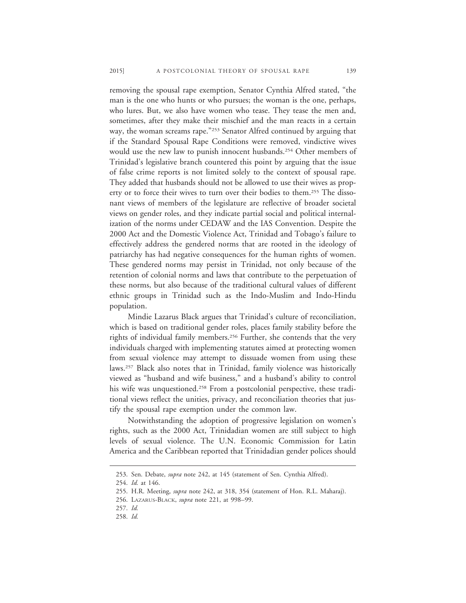removing the spousal rape exemption, Senator Cynthia Alfred stated, "the man is the one who hunts or who pursues; the woman is the one, perhaps, who lures. But, we also have women who tease. They tease the men and, sometimes, after they make their mischief and the man reacts in a certain way, the woman screams rape."253 Senator Alfred continued by arguing that if the Standard Spousal Rape Conditions were removed, vindictive wives would use the new law to punish innocent husbands.<sup>254</sup> Other members of Trinidad's legislative branch countered this point by arguing that the issue of false crime reports is not limited solely to the context of spousal rape. They added that husbands should not be allowed to use their wives as property or to force their wives to turn over their bodies to them.255 The dissonant views of members of the legislature are reflective of broader societal views on gender roles, and they indicate partial social and political internalization of the norms under CEDAW and the IAS Convention. Despite the 2000 Act and the Domestic Violence Act, Trinidad and Tobago's failure to effectively address the gendered norms that are rooted in the ideology of patriarchy has had negative consequences for the human rights of women. These gendered norms may persist in Trinidad, not only because of the retention of colonial norms and laws that contribute to the perpetuation of these norms, but also because of the traditional cultural values of different ethnic groups in Trinidad such as the Indo-Muslim and Indo-Hindu population.

Mindie Lazarus Black argues that Trinidad's culture of reconciliation, which is based on traditional gender roles, places family stability before the rights of individual family members.<sup>256</sup> Further, she contends that the very individuals charged with implementing statutes aimed at protecting women from sexual violence may attempt to dissuade women from using these laws.257 Black also notes that in Trinidad, family violence was historically viewed as "husband and wife business," and a husband's ability to control his wife was unquestioned.<sup>258</sup> From a postcolonial perspective, these traditional views reflect the unities, privacy, and reconciliation theories that justify the spousal rape exemption under the common law.

Notwithstanding the adoption of progressive legislation on women's rights, such as the 2000 Act, Trinidadian women are still subject to high levels of sexual violence. The U.N. Economic Commission for Latin America and the Caribbean reported that Trinidadian gender polices should

<sup>253.</sup> Sen. Debate, *supra* note 242, at 145 (statement of Sen. Cynthia Alfred).

<sup>254.</sup> *Id.* at 146.

<sup>255.</sup> H.R. Meeting, *supra* note 242, at 318, 354 (statement of Hon. R.L. Maharaj).

<sup>256.</sup> LAZARUS-BLACK, *supra* note 221, at 998–99.

<sup>257.</sup> *Id.*

<sup>258.</sup> *Id.*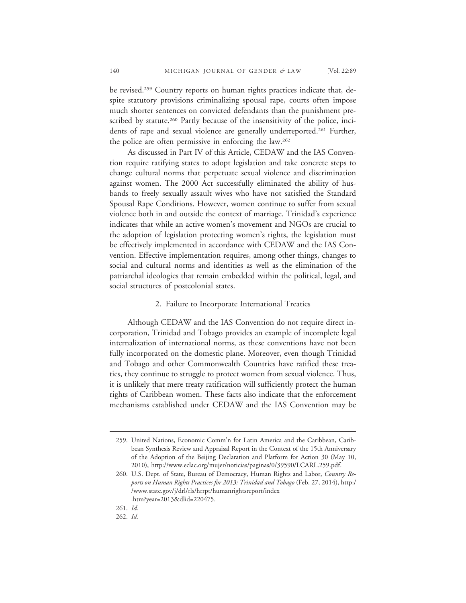be revised.259 Country reports on human rights practices indicate that, despite statutory provisions criminalizing spousal rape, courts often impose much shorter sentences on convicted defendants than the punishment prescribed by statute.<sup>260</sup> Partly because of the insensitivity of the police, incidents of rape and sexual violence are generally underreported.<sup>261</sup> Further, the police are often permissive in enforcing the law.262

As discussed in Part IV of this Article, CEDAW and the IAS Convention require ratifying states to adopt legislation and take concrete steps to change cultural norms that perpetuate sexual violence and discrimination against women. The 2000 Act successfully eliminated the ability of husbands to freely sexually assault wives who have not satisfied the Standard Spousal Rape Conditions. However, women continue to suffer from sexual violence both in and outside the context of marriage. Trinidad's experience indicates that while an active women's movement and NGOs are crucial to the adoption of legislation protecting women's rights, the legislation must be effectively implemented in accordance with CEDAW and the IAS Convention. Effective implementation requires, among other things, changes to social and cultural norms and identities as well as the elimination of the patriarchal ideologies that remain embedded within the political, legal, and social structures of postcolonial states.

## 2. Failure to Incorporate International Treaties

Although CEDAW and the IAS Convention do not require direct incorporation, Trinidad and Tobago provides an example of incomplete legal internalization of international norms, as these conventions have not been fully incorporated on the domestic plane. Moreover, even though Trinidad and Tobago and other Commonwealth Countries have ratified these treaties, they continue to struggle to protect women from sexual violence. Thus, it is unlikely that mere treaty ratification will sufficiently protect the human rights of Caribbean women. These facts also indicate that the enforcement mechanisms established under CEDAW and the IAS Convention may be

<sup>259.</sup> United Nations, Economic Comm'n for Latin America and the Caribbean, Caribbean Synthesis Review and Appraisal Report in the Context of the 15th Anniversary of the Adoption of the Beijing Declaration and Platform for Action 30 (May 10, 2010), http://www.eclac.org/mujer/noticias/paginas/0/39590/LCARL.259.pdf.

<sup>260.</sup> U.S. Dept. of State, Bureau of Democracy, Human Rights and Labor, *Country Reports on Human Rights Practices for 2013: Trinidad and Tobago* (Feb. 27, 2014), http:/ /www.state.gov/j/drl/rls/hrrpt/humanrightsreport/index .htm?year=2013&dlid=220475.

<sup>261.</sup> *Id.*

<sup>262.</sup> *Id.*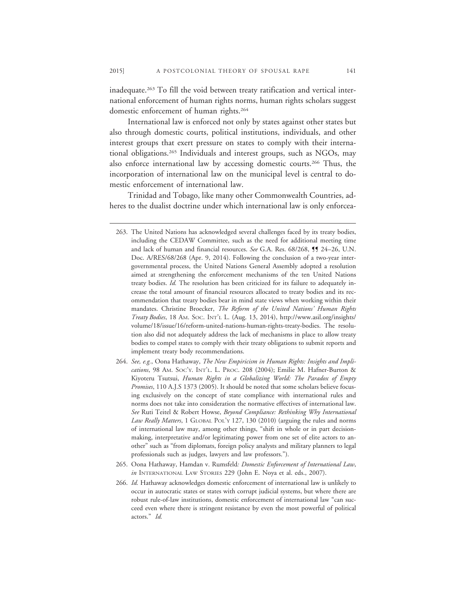inadequate.263 To fill the void between treaty ratification and vertical international enforcement of human rights norms, human rights scholars suggest domestic enforcement of human rights.264

International law is enforced not only by states against other states but also through domestic courts, political institutions, individuals, and other interest groups that exert pressure on states to comply with their international obligations.265 Individuals and interest groups, such as NGOs, may also enforce international law by accessing domestic courts.266 Thus, the incorporation of international law on the municipal level is central to domestic enforcement of international law.

Trinidad and Tobago, like many other Commonwealth Countries, adheres to the dualist doctrine under which international law is only enforcea-

- 264. *See, e.g.*, Oona Hathaway, *The New Empiricism in Human Rights: Insights and Implications*, 98 AM. SOC'Y. INT'L. L. PROC. 208 (2004); Emilie M. Hafner-Burton & Kiyoteru Tsutsui, *Human Rights in a Globalizing World: The Paradox of Empty Promises*, 110 A.J.S 1373 (2005). It should be noted that some scholars believe focusing exclusively on the concept of state compliance with international rules and norms does not take into consideration the normative effectives of international law. *See* Ruti Teitel & Robert Howse, *Beyond Compliance: Rethinking Why International Law Really Matters*, 1 GLOBAL POL'Y 127, 130 (2010) (arguing the rules and norms of international law may, among other things, "shift in whole or in part decisionmaking, interpretative and/or legitimating power from one set of elite actors to another" such as "from diplomats, foreign policy analysts and military planners to legal professionals such as judges, lawyers and law professors.").
- 265. Oona Hathaway, Hamdan v. Rumsfeld*: Domestic Enforcement of International Law*, *in* INTERNATIONAL LAW STORIES 229 (John E. Noya et al. eds., 2007).
- 266. *Id.* Hathaway acknowledges domestic enforcement of international law is unlikely to occur in autocratic states or states with corrupt judicial systems, but where there are robust rule-of-law institutions, domestic enforcement of international law "can succeed even where there is stringent resistance by even the most powerful of political actors." *Id.*

<sup>263.</sup> The United Nations has acknowledged several challenges faced by its treaty bodies, including the CEDAW Committee, such as the need for additional meeting time and lack of human and financial resources. *See* G.A. Res. 68/268, ¶¶ 24–26, U.N. Doc. A/RES/68/268 (Apr. 9, 2014). Following the conclusion of a two-year intergovernmental process, the United Nations General Assembly adopted a resolution aimed at strengthening the enforcement mechanisms of the ten United Nations treaty bodies. *Id.* The resolution has been criticized for its failure to adequately increase the total amount of financial resources allocated to treaty bodies and its recommendation that treaty bodies bear in mind state views when working within their mandates. Christine Broecker, *The Reform of the United Nations' Human Rights Treaty Bodies*, 18 AM. SOC. INT'L L. (Aug. 13, 2014), http://www.asil.org/insights/ volume/18/issue/16/reform-united-nations-human-rights-treaty-bodies. The resolution also did not adequately address the lack of mechanisms in place to allow treaty bodies to compel states to comply with their treaty obligations to submit reports and implement treaty body recommendations.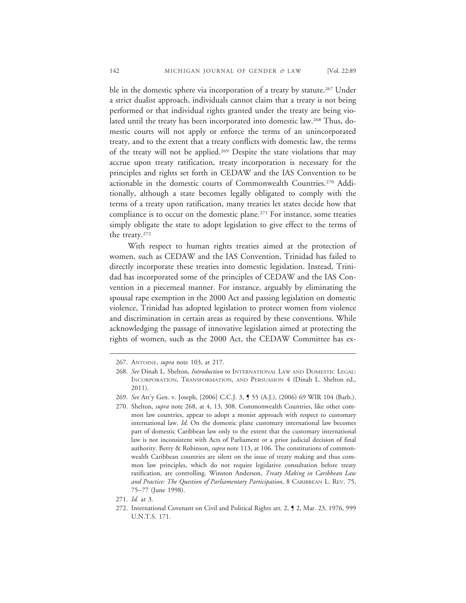ble in the domestic sphere via incorporation of a treaty by statute.<sup>267</sup> Under a strict dualist approach, individuals cannot claim that a treaty is not being performed or that individual rights granted under the treaty are being violated until the treaty has been incorporated into domestic law.268 Thus, domestic courts will not apply or enforce the terms of an unincorporated treaty, and to the extent that a treaty conflicts with domestic law, the terms of the treaty will not be applied.269 Despite the state violations that may accrue upon treaty ratification, treaty incorporation is necessary for the principles and rights set forth in CEDAW and the IAS Convention to be actionable in the domestic courts of Commonwealth Countries.<sup>270</sup> Additionally, although a state becomes legally obligated to comply with the terms of a treaty upon ratification, many treaties let states decide how that compliance is to occur on the domestic plane.271 For instance, some treaties simply obligate the state to adopt legislation to give effect to the terms of the treaty.272

With respect to human rights treaties aimed at the protection of women, such as CEDAW and the IAS Convention, Trinidad has failed to directly incorporate these treaties into domestic legislation. Instead, Trinidad has incorporated some of the principles of CEDAW and the IAS Convention in a piecemeal manner. For instance, arguably by eliminating the spousal rape exemption in the 2000 Act and passing legislation on domestic violence, Trinidad has adopted legislation to protect women from violence and discrimination in certain areas as required by these conventions. While acknowledging the passage of innovative legislation aimed at protecting the rights of women, such as the 2000 Act, the CEDAW Committee has ex-

<sup>267.</sup> ANTOINE, *supra* note 103, at 217.

<sup>268.</sup> *See* Dinah L. Shelton, *Introduction* to INTERNATIONAL LAW AND DOMESTIC LEGAL: INCORPORATION, TRANSFORMATION, AND PERSUASION 4 (Dinah L. Shelton ed., 2011).

<sup>269.</sup> *See* Att'y Gen. v. Joseph, [2006] C.C.J. 3, ¶ 55 (A.J.), (2006) 69 WIR 104 (Barb.).

<sup>270.</sup> Shelton, *supra* note 268, at 4, 13, 308. Commonwealth Countries, like other common law countries, appear to adopt a monist approach with respect to customary international law. *Id.* On the domestic plane customary international law becomes part of domestic Caribbean law only to the extent that the customary international law is not inconsistent with Acts of Parliament or a prior judicial decision of final authority. Berry & Robinson, *supra* note 113, at 106. The constitutions of commonwealth Caribbean countries are silent on the issue of treaty making and thus common law principles, which do not require legislative consultation before treaty ratification, are controlling. Winston Anderson, *Treaty Making in Caribbean Law and Practice: The Question of Parliamentary Participation*, 8 CARIBBEAN L. REV. 75, 75–77 (June 1998).

<sup>271.</sup> *Id.* at 3.

<sup>272.</sup> International Covenant on Civil and Political Rights art. 2, ¶ 2, Mar. 23, 1976, 999 U.N.T.S. 171.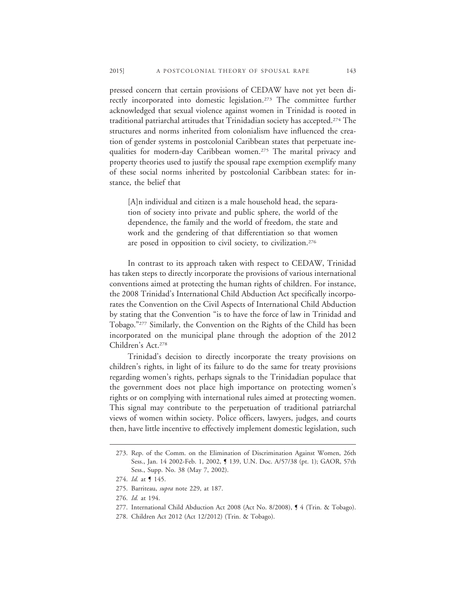pressed concern that certain provisions of CEDAW have not yet been directly incorporated into domestic legislation.<sup>273</sup> The committee further acknowledged that sexual violence against women in Trinidad is rooted in traditional patriarchal attitudes that Trinidadian society has accepted.274 The structures and norms inherited from colonialism have influenced the creation of gender systems in postcolonial Caribbean states that perpetuate inequalities for modern-day Caribbean women.275 The marital privacy and property theories used to justify the spousal rape exemption exemplify many of these social norms inherited by postcolonial Caribbean states: for instance, the belief that

[A]n individual and citizen is a male household head, the separation of society into private and public sphere, the world of the dependence, the family and the world of freedom, the state and work and the gendering of that differentiation so that women are posed in opposition to civil society, to civilization.276

In contrast to its approach taken with respect to CEDAW, Trinidad has taken steps to directly incorporate the provisions of various international conventions aimed at protecting the human rights of children. For instance, the 2008 Trinidad's International Child Abduction Act specifically incorporates the Convention on the Civil Aspects of International Child Abduction by stating that the Convention "is to have the force of law in Trinidad and Tobago."277 Similarly, the Convention on the Rights of the Child has been incorporated on the municipal plane through the adoption of the 2012 Children's Act.278

Trinidad's decision to directly incorporate the treaty provisions on children's rights, in light of its failure to do the same for treaty provisions regarding women's rights, perhaps signals to the Trinidadian populace that the government does not place high importance on protecting women's rights or on complying with international rules aimed at protecting women. This signal may contribute to the perpetuation of traditional patriarchal views of women within society. Police officers, lawyers, judges, and courts then, have little incentive to effectively implement domestic legislation, such

<sup>273.</sup> Rep. of the Comm. on the Elimination of Discrimination Against Women, 26th Sess., Jan. 14 2002-Feb. 1, 2002, ¶ 139, U.N. Doc. A/57/38 (pt. 1); GAOR, 57th Sess., Supp. No. 38 (May 7, 2002).

<sup>274.</sup> *Id.* at ¶ 145.

<sup>275.</sup> Barriteau, *supra* note 229, at 187.

<sup>276.</sup> *Id.* at 194.

<sup>277.</sup> International Child Abduction Act 2008 (Act No. 8/2008), ¶ 4 (Trin. & Tobago).

<sup>278.</sup> Children Act 2012 (Act 12/2012) (Trin. & Tobago).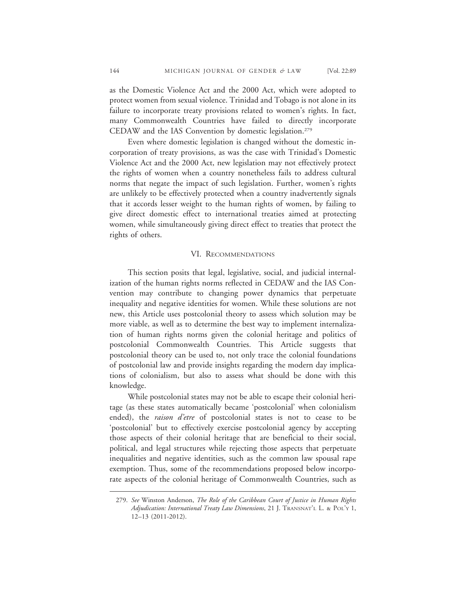as the Domestic Violence Act and the 2000 Act, which were adopted to protect women from sexual violence. Trinidad and Tobago is not alone in its failure to incorporate treaty provisions related to women's rights. In fact, many Commonwealth Countries have failed to directly incorporate CEDAW and the IAS Convention by domestic legislation.279

Even where domestic legislation is changed without the domestic incorporation of treaty provisions, as was the case with Trinidad's Domestic Violence Act and the 2000 Act, new legislation may not effectively protect the rights of women when a country nonetheless fails to address cultural norms that negate the impact of such legislation. Further, women's rights are unlikely to be effectively protected when a country inadvertently signals that it accords lesser weight to the human rights of women, by failing to give direct domestic effect to international treaties aimed at protecting women, while simultaneously giving direct effect to treaties that protect the rights of others.

## VI. RECOMMENDATIONS

This section posits that legal, legislative, social, and judicial internalization of the human rights norms reflected in CEDAW and the IAS Convention may contribute to changing power dynamics that perpetuate inequality and negative identities for women. While these solutions are not new, this Article uses postcolonial theory to assess which solution may be more viable, as well as to determine the best way to implement internalization of human rights norms given the colonial heritage and politics of postcolonial Commonwealth Countries. This Article suggests that postcolonial theory can be used to, not only trace the colonial foundations of postcolonial law and provide insights regarding the modern day implications of colonialism, but also to assess what should be done with this knowledge.

While postcolonial states may not be able to escape their colonial heritage (as these states automatically became 'postcolonial' when colonialism ended), the *raison d'etre* of postcolonial states is not to cease to be 'postcolonial' but to effectively exercise postcolonial agency by accepting those aspects of their colonial heritage that are beneficial to their social, political, and legal structures while rejecting those aspects that perpetuate inequalities and negative identities, such as the common law spousal rape exemption. Thus, some of the recommendations proposed below incorporate aspects of the colonial heritage of Commonwealth Countries, such as

<sup>279.</sup> *See* Winston Anderson, *The Role of the Caribbean Court of Justice in Human Rights Adjudication: International Treaty Law Dimensions*, 21 J. TRANSNAT'L L. & POL'Y 1, 12–13 (2011-2012).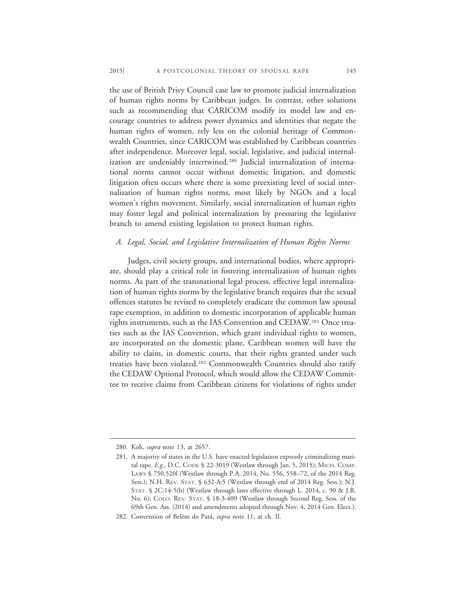the use of British Privy Council case law to promote judicial internalization of human rights norms by Caribbean judges. In contrast, other solutions such as recommending that CARICOM modify its model law and encourage countries to address power dynamics and identities that negate the human rights of women, rely less on the colonial heritage of Commonwealth Countries, since CARICOM was established by Caribbean countries after independence. Moreover legal, social, legislative, and judicial internalization are undeniably intertwined.280 Judicial internalization of international norms cannot occur without domestic litigation, and domestic litigation often occurs where there is some preexisting level of social internalization of human rights norms, most likely by NGOs and a local women's rights movement. Similarly, social internalization of human rights may foster legal and political internalization by pressuring the legislative branch to amend existing legislation to protect human rights.

## *A. Legal, Social, and Legislative Internalization of Human Rights Norms*

Judges, civil society groups, and international bodies, where appropriate, should play a critical role in fostering internalization of human rights norms. As part of the transnational legal process, effective legal internalization of human rights norms by the legislative branch requires that the sexual offences statutes be revised to completely eradicate the common law spousal rape exemption, in addition to domestic incorporation of applicable human rights instruments, such as the IAS Convention and CEDAW.281 Once treaties such as the IAS Convention, which grant individual rights to women, are incorporated on the domestic plane, Caribbean women will have the ability to claim, in domestic courts, that their rights granted under such treaties have been violated.282 Commonwealth Countries should also ratify the CEDAW Optional Protocol, which would allow the CEDAW Committee to receive claims from Caribbean citizens for violations of rights under

<sup>280.</sup> Koh, *supra* note 13, at 2657.

<sup>281.</sup> A majority of states in the U.S. have enacted legislation expressly criminalizing marital rape. *E.g.*, D.C. CODE § 22-3019 (Westlaw through Jan. 5, 2015); MICH. COMP. LAWS § 750.520l (Westlaw through P.A. 2014, No. 556, 558–72, of the 2014 Reg. Sess.); N.H. REV. STAT. § 632-A:5 (Westlaw through end of 2014 Reg. Sess.); N.J. STAT. § 2C:14-5(b) (Westlaw through laws effective through L. 2014, c. 90 & J.R. No. 6); COLO. REV. STAT. § 18-3-409 (Westlaw through Second Reg. Sess. of the 69th Gen. Ass. (2014) and amendments adopted through Nov. 4, 2014 Gen. Elect.).

<sup>282.</sup> Convention of Belém do Pará, *supra* note 11, at ch. II.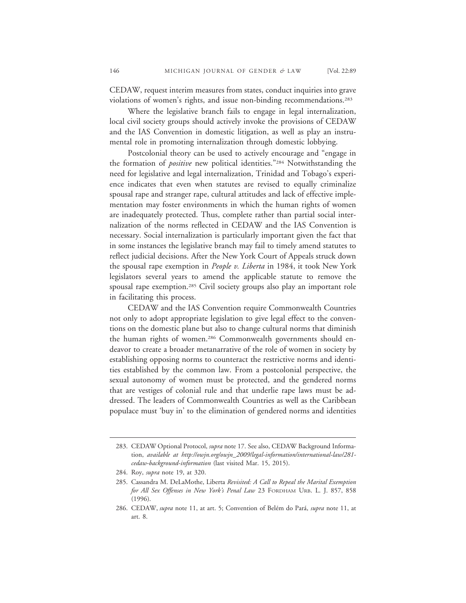CEDAW, request interim measures from states, conduct inquiries into grave violations of women's rights, and issue non-binding recommendations.283

Where the legislative branch fails to engage in legal internalization, local civil society groups should actively invoke the provisions of CEDAW and the IAS Convention in domestic litigation, as well as play an instrumental role in promoting internalization through domestic lobbying.

Postcolonial theory can be used to actively encourage and "engage in the formation of *positive* new political identities."284 Notwithstanding the need for legislative and legal internalization, Trinidad and Tobago's experience indicates that even when statutes are revised to equally criminalize spousal rape and stranger rape, cultural attitudes and lack of effective implementation may foster environments in which the human rights of women are inadequately protected. Thus, complete rather than partial social internalization of the norms reflected in CEDAW and the IAS Convention is necessary. Social internalization is particularly important given the fact that in some instances the legislative branch may fail to timely amend statutes to reflect judicial decisions. After the New York Court of Appeals struck down the spousal rape exemption in *People v. Liberta* in 1984, it took New York legislators several years to amend the applicable statute to remove the spousal rape exemption.<sup>285</sup> Civil society groups also play an important role in facilitating this process.

CEDAW and the IAS Convention require Commonwealth Countries not only to adopt appropriate legislation to give legal effect to the conventions on the domestic plane but also to change cultural norms that diminish the human rights of women.286 Commonwealth governments should endeavor to create a broader metanarrative of the role of women in society by establishing opposing norms to counteract the restrictive norms and identities established by the common law. From a postcolonial perspective, the sexual autonomy of women must be protected, and the gendered norms that are vestiges of colonial rule and that underlie rape laws must be addressed. The leaders of Commonwealth Countries as well as the Caribbean populace must 'buy in' to the elimination of gendered norms and identities

<sup>283.</sup> CEDAW Optional Protocol, *supra* note 17. See also, CEDAW Background Information, *available at http://owjn.org/owjn\_2009/legal-information/international-law/281 cedaw-background-information* (last visited Mar. 15, 2015).

<sup>284.</sup> Roy, *supra* note 19, at 320.

<sup>285.</sup> Cassandra M. DeLaMothe, Liberta *Revisited: A Call to Repeal the Marital Exemption for All Sex Offenses in New York's Penal Law* 23 FORDHAM URB. L. J. 857, 858 (1996).

<sup>286.</sup> CEDAW, *supra* note 11, at art. 5; Convention of Belém do Pará, *supra* note 11, at art. 8.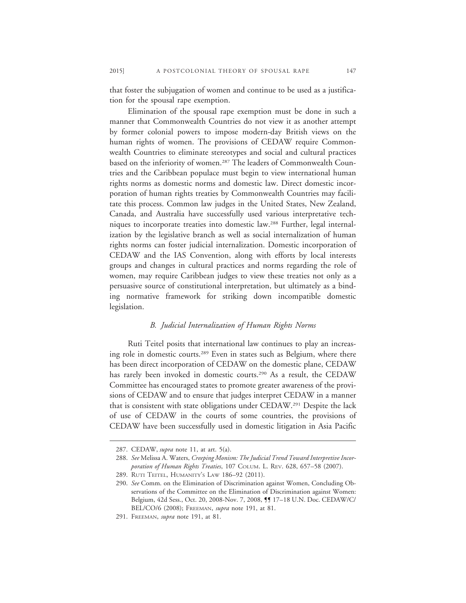that foster the subjugation of women and continue to be used as a justification for the spousal rape exemption.

Elimination of the spousal rape exemption must be done in such a manner that Commonwealth Countries do not view it as another attempt by former colonial powers to impose modern-day British views on the human rights of women. The provisions of CEDAW require Commonwealth Countries to eliminate stereotypes and social and cultural practices based on the inferiority of women.<sup>287</sup> The leaders of Commonwealth Countries and the Caribbean populace must begin to view international human rights norms as domestic norms and domestic law. Direct domestic incorporation of human rights treaties by Commonwealth Countries may facilitate this process. Common law judges in the United States, New Zealand, Canada, and Australia have successfully used various interpretative techniques to incorporate treaties into domestic law.288 Further, legal internalization by the legislative branch as well as social internalization of human rights norms can foster judicial internalization. Domestic incorporation of CEDAW and the IAS Convention, along with efforts by local interests groups and changes in cultural practices and norms regarding the role of women, may require Caribbean judges to view these treaties not only as a persuasive source of constitutional interpretation, but ultimately as a binding normative framework for striking down incompatible domestic legislation.

## *B. Judicial Internalization of Human Rights Norms*

Ruti Teitel posits that international law continues to play an increasing role in domestic courts.289 Even in states such as Belgium, where there has been direct incorporation of CEDAW on the domestic plane, CEDAW has rarely been invoked in domestic courts.<sup>290</sup> As a result, the CEDAW Committee has encouraged states to promote greater awareness of the provisions of CEDAW and to ensure that judges interpret CEDAW in a manner that is consistent with state obligations under CEDAW.291 Despite the lack of use of CEDAW in the courts of some countries, the provisions of CEDAW have been successfully used in domestic litigation in Asia Pacific

<sup>287.</sup> CEDAW, *supra* note 11, at art. 5(a).

<sup>288.</sup> *See* Melissa A. Waters, *Creeping Monism: The Judicial Trend Toward Interpretive Incorporation of Human Rights Treaties*, 107 COLUM. L. REV. 628, 657–58 (2007).

<sup>289.</sup> RUTI TEITEL, HUMANITY'S LAW 186–92 (2011).

<sup>290.</sup> *See* Comm. on the Elimination of Discrimination against Women, Concluding Observations of the Committee on the Elimination of Discrimination against Women: Belgium, 42d Sess., Oct. 20, 2008-Nov. 7, 2008, ¶¶ 17–18 U.N. Doc. CEDAW/C/ BEL/CO/6 (2008); FREEMAN, *supra* note 191, at 81.

<sup>291.</sup> FREEMAN, *supra* note 191, at 81.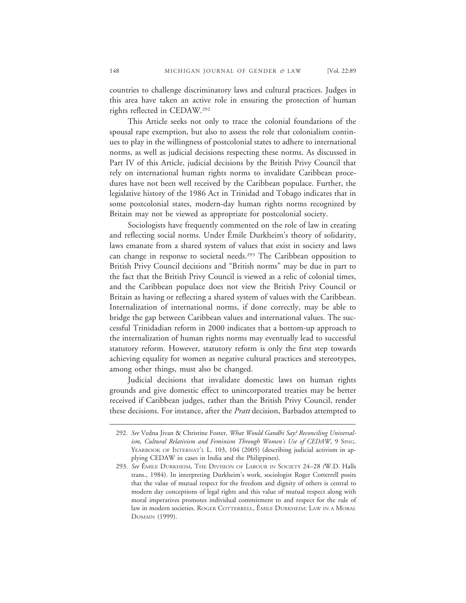countries to challenge discriminatory laws and cultural practices. Judges in this area have taken an active role in ensuring the protection of human rights reflected in CEDAW.292

This Article seeks not only to trace the colonial foundations of the spousal rape exemption, but also to assess the role that colonialism continues to play in the willingness of postcolonial states to adhere to international norms, as well as judicial decisions respecting these norms. As discussed in Part IV of this Article, judicial decisions by the British Privy Council that rely on international human rights norms to invalidate Caribbean procedures have not been well received by the Caribbean populace. Further, the legislative history of the 1986 Act in Trinidad and Tobago indicates that in some postcolonial states, modern-day human rights norms recognized by Britain may not be viewed as appropriate for postcolonial society.

Sociologists have frequently commented on the role of law in creating and reflecting social norms. Under Émile Durkheim's theory of solidarity, laws emanate from a shared system of values that exist in society and laws can change in response to societal needs.293 The Caribbean opposition to British Privy Council decisions and "British norms" may be due in part to the fact that the British Privy Council is viewed as a relic of colonial times, and the Caribbean populace does not view the British Privy Council or Britain as having or reflecting a shared system of values with the Caribbean. Internalization of international norms, if done correctly, may be able to bridge the gap between Caribbean values and international values. The successful Trinidadian reform in 2000 indicates that a bottom-up approach to the internalization of human rights norms may eventually lead to successful statutory reform. However, statutory reform is only the first step towards achieving equality for women as negative cultural practices and stereotypes, among other things, must also be changed.

Judicial decisions that invalidate domestic laws on human rights grounds and give domestic effect to unincorporated treaties may be better received if Caribbean judges, rather than the British Privy Council, render these decisions. For instance, after the *Pratt* decision, Barbados attempted to

<sup>292.</sup> *See* Vedna Jivan & Christine Foster, *What Would Gandhi Say? Reconciling Universalism, Cultural Relativism and Feminism Through Women's Use of CEDAW*, 9 SING. YEARBOOK OF INTERNAT'L L. 103, 104 (2005) (describing judicial activism in applying CEDAW in cases in India and the Philippines).

<sup>293.</sup> See EMILE DURKHEIM, THE DIVISION OF LABOUR IN SOCIETY 24–28 (W.D. Halls trans., 1984). In interpreting Durkheim's work, sociologist Roger Cotterrell posits that the value of mutual respect for the freedom and dignity of others is central to modern day conceptions of legal rights and this value of mutual respect along with moral imperatives promotes individual commitment to and respect for the rule of law in modern societies. ROGER COTTERRELL, ÉMILE DURKHEIM: LAW IN A MORAL DOMAIN (1999).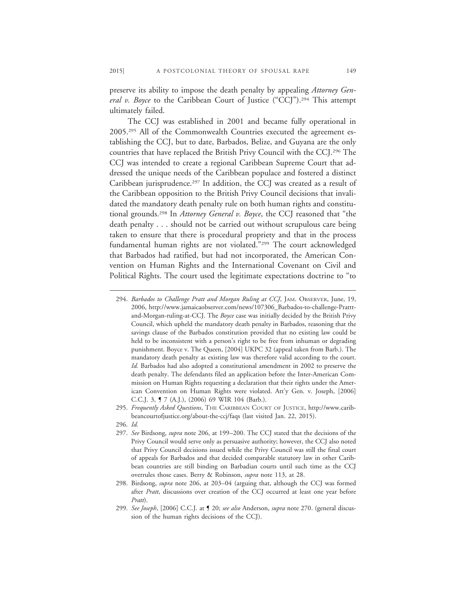preserve its ability to impose the death penalty by appealing *Attorney General v. Boyce* to the Caribbean Court of Justice ("CCJ").<sup>294</sup> This attempt ultimately failed.

The CCJ was established in 2001 and became fully operational in 2005.295 All of the Commonwealth Countries executed the agreement establishing the CCJ, but to date, Barbados, Belize, and Guyana are the only countries that have replaced the British Privy Council with the CCJ.296 The CCJ was intended to create a regional Caribbean Supreme Court that addressed the unique needs of the Caribbean populace and fostered a distinct Caribbean jurisprudence.<sup>297</sup> In addition, the CCJ was created as a result of the Caribbean opposition to the British Privy Council decisions that invalidated the mandatory death penalty rule on both human rights and constitutional grounds.298 In *Attorney General v. Boyce*, the CCJ reasoned that "the death penalty . . . should not be carried out without scrupulous care being taken to ensure that there is procedural propriety and that in the process fundamental human rights are not violated."299 The court acknowledged that Barbados had ratified, but had not incorporated, the American Convention on Human Rights and the International Covenant on Civil and Political Rights. The court used the legitimate expectations doctrine to "to

<sup>294.</sup> *Barbados to Challenge Pratt and Morgan Ruling at CCJ*, JAM. OBSERVER, June, 19, 2006, http://www.jamaicaobserver.com/news/107306\_Barbados-to-challenge-Pratttand-Morgan-ruling-at-CCJ. The *Boyce* case was initially decided by the British Privy Council, which upheld the mandatory death penalty in Barbados, reasoning that the savings clause of the Barbados constitution provided that no existing law could be held to be inconsistent with a person's right to be free from inhuman or degrading punishment. Boyce v. The Queen, [2004] UKPC 32 (appeal taken from Barb.). The mandatory death penalty as existing law was therefore valid according to the court. *Id.* Barbados had also adopted a constitutional amendment in 2002 to preserve the death penalty. The defendants filed an application before the Inter-American Commission on Human Rights requesting a declaration that their rights under the American Convention on Human Rights were violated. Att'y Gen. v. Joseph, [2006] C.C.J. 3, ¶ 7 (A.J.), (2006) 69 WIR 104 (Barb.).

<sup>295.</sup> *Frequently Asked Questions*, THE CARIBBEAN COURT OF JUSTICE, http://www.caribbeancourtofjustice.org/about-the-ccj/faqs (last visited Jan. 22, 2015).

<sup>296.</sup> *Id.*

<sup>297.</sup> *See* Birdsong, *supra* note 206, at 199–200. The CCJ stated that the decisions of the Privy Council would serve only as persuasive authority; however, the CCJ also noted that Privy Council decisions issued while the Privy Council was still the final court of appeals for Barbados and that decided comparable statutory law in other Caribbean countries are still binding on Barbadian courts until such time as the CCJ overrules those cases. Berry & Robinson, *supra* note 113, at 28.

<sup>298.</sup> Birdsong, *supra* note 206, at 203–04 (arguing that, although the CCJ was formed after *Pratt*, discussions over creation of the CCJ occurred at least one year before *Pratt*).

<sup>299.</sup> *See Joseph*, [2006] C.C.J. at ¶ 20; *see also* Anderson, *supra* note 270. (general discussion of the human rights decisions of the CCJ).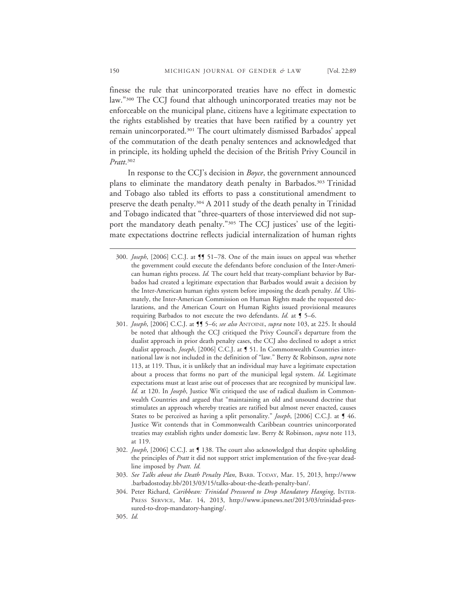finesse the rule that unincorporated treaties have no effect in domestic law."300 The CCJ found that although unincorporated treaties may not be enforceable on the municipal plane, citizens have a legitimate expectation to the rights established by treaties that have been ratified by a country yet remain unincorporated.<sup>301</sup> The court ultimately dismissed Barbados' appeal of the commutation of the death penalty sentences and acknowledged that in principle, its holding upheld the decision of the British Privy Council in *Pratt*. 302

In response to the CCJ's decision in *Boyce*, the government announced plans to eliminate the mandatory death penalty in Barbados.303 Trinidad and Tobago also tabled its efforts to pass a constitutional amendment to preserve the death penalty.304 A 2011 study of the death penalty in Trinidad and Tobago indicated that "three-quarters of those interviewed did not support the mandatory death penalty."305 The CCJ justices' use of the legitimate expectations doctrine reflects judicial internalization of human rights

- 301. *Joseph*, [2006] C.C.J. at ¶¶ 5–6; *see also* ANTOINE, *supra* note 103, at 225. It should be noted that although the CCJ critiqued the Privy Council's departure from the dualist approach in prior death penalty cases, the CCJ also declined to adopt a strict dualist approach. *Joseph*, [2006] C.C.J. at ¶ 51. In Commonwealth Countries international law is not included in the definition of "law." Berry & Robinson, *supra* note 113, at 119. Thus, it is unlikely that an individual may have a legitimate expectation about a process that forms no part of the municipal legal system. *Id*. Legitimate expectations must at least arise out of processes that are recognized by municipal law. *Id.* at 120. In *Joseph*, Justice Wit critiqued the use of radical dualism in Commonwealth Countries and argued that "maintaining an old and unsound doctrine that stimulates an approach whereby treaties are ratified but almost never enacted, causes States to be perceived as having a split personality." *Joseph*, [2006] C.C.J. at ¶ 46. Justice Wit contends that in Commonwealth Caribbean countries unincorporated treaties may establish rights under domestic law. Berry & Robinson, *supra* note 113, at 119.
- 302. *Joseph*, [2006] C.C.J. at ¶ 138. The court also acknowledged that despite upholding the principles of *Pratt* it did not support strict implementation of the five-year deadline imposed by *Pratt*. *Id.*
- 303. *See Talks about the Death Penalty Plan*, BARB. TODAY, Mar. 15, 2013, http://www .barbadostoday.bb/2013/03/15/talks-about-the-death-penalty-ban/.
- 304. Peter Richard, *Caribbean: Trinidad Pressured to Drop Mandatory Hanging*, INTER-PRESS SERVICE, Mar. 14, 2013, http://www.ipsnews.net/2013/03/trinidad-pressured-to-drop-mandatory-hanging/.
- 305. *Id.*

<sup>300.</sup> *Joseph*, [2006] C.C.J. at ¶¶ 51–78. One of the main issues on appeal was whether the government could execute the defendants before conclusion of the Inter-American human rights process. *Id.* The court held that treaty-compliant behavior by Barbados had created a legitimate expectation that Barbados would await a decision by the Inter-American human rights system before imposing the death penalty. *Id.* Ultimately, the Inter-American Commission on Human Rights made the requested declarations, and the American Court on Human Rights issued provisional measures requiring Barbados to not execute the two defendants. *Id.* at ¶ 5–6.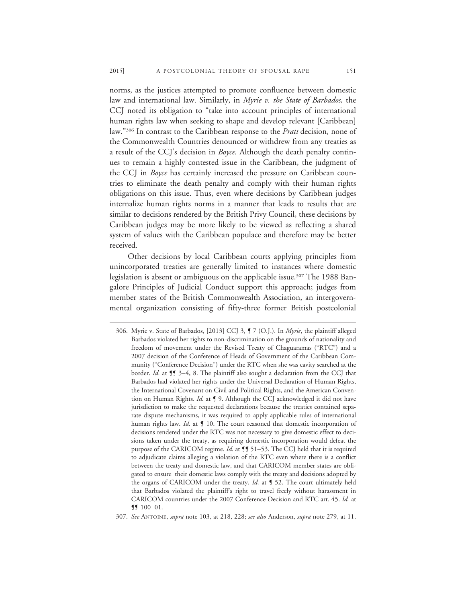norms, as the justices attempted to promote confluence between domestic law and international law. Similarly, in *Myrie v. the State of Barbados,* the CCJ noted its obligation to "take into account principles of international human rights law when seeking to shape and develop relevant [Caribbean] law."306 In contrast to the Caribbean response to the *Pratt* decision, none of the Commonwealth Countries denounced or withdrew from any treaties as a result of the CCJ's decision in *Boyce.* Although the death penalty continues to remain a highly contested issue in the Caribbean, the judgment of the CCJ in *Boyce* has certainly increased the pressure on Caribbean countries to eliminate the death penalty and comply with their human rights obligations on this issue. Thus, even where decisions by Caribbean judges internalize human rights norms in a manner that leads to results that are similar to decisions rendered by the British Privy Council, these decisions by Caribbean judges may be more likely to be viewed as reflecting a shared system of values with the Caribbean populace and therefore may be better received.

Other decisions by local Caribbean courts applying principles from unincorporated treaties are generally limited to instances where domestic legislation is absent or ambiguous on the applicable issue.<sup>307</sup> The 1988 Bangalore Principles of Judicial Conduct support this approach; judges from member states of the British Commonwealth Association, an intergovernmental organization consisting of fifty-three former British postcolonial

- 306. Myrie v. State of Barbados, [2013] CCJ 3, ¶ 7 (O.J.). In *Myrie*, the plaintiff alleged Barbados violated her rights to non-discrimination on the grounds of nationality and freedom of movement under the Revised Treaty of Chaguaramas ("RTC") and a 2007 decision of the Conference of Heads of Government of the Caribbean Community ("Conference Decision") under the RTC when she was cavity searched at the border. *Id.* at **11** 3–4, 8. The plaintiff also sought a declaration from the CCJ that Barbados had violated her rights under the Universal Declaration of Human Rights, the International Covenant on Civil and Political Rights, and the American Convention on Human Rights. *Id.* at ¶ 9. Although the CCJ acknowledged it did not have jurisdiction to make the requested declarations because the treaties contained separate dispute mechanisms, it was required to apply applicable rules of international human rights law. *Id.* at **[** 10. The court reasoned that domestic incorporation of decisions rendered under the RTC was not necessary to give domestic effect to decisions taken under the treaty, as requiring domestic incorporation would defeat the purpose of the CARICOM regime. *Id.* at **[**¶ 51–53. The CCJ held that it is required to adjudicate claims alleging a violation of the RTC even where there is a conflict between the treaty and domestic law, and that CARICOM member states are obligated to ensure their domestic laws comply with the treaty and decisions adopted by the organs of CARICOM under the treaty. *Id.* at ¶ 52. The court ultimately held that Barbados violated the plaintiff's right to travel freely without harassment in CARICOM countries under the 2007 Conference Decision and RTC art. 45. *Id.* at ¶¶ 100–01.
- 307. *See* ANTOINE, *supra* note 103, at 218, 228; *see also* Anderson, *supra* note 279, at 11.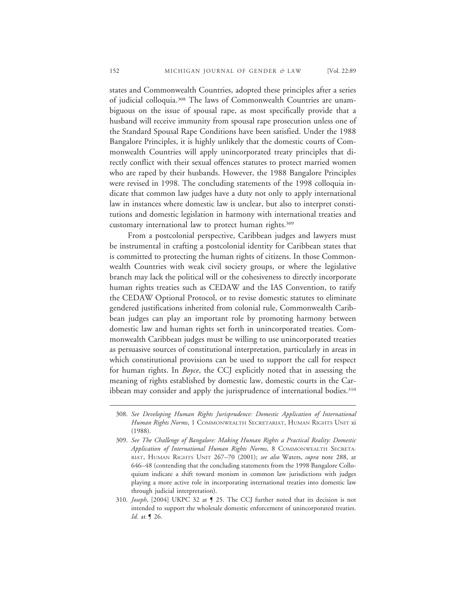states and Commonwealth Countries, adopted these principles after a series of judicial colloquia.308 The laws of Commonwealth Countries are unambiguous on the issue of spousal rape, as most specifically provide that a husband will receive immunity from spousal rape prosecution unless one of the Standard Spousal Rape Conditions have been satisfied. Under the 1988 Bangalore Principles, it is highly unlikely that the domestic courts of Commonwealth Countries will apply unincorporated treaty principles that directly conflict with their sexual offences statutes to protect married women who are raped by their husbands. However, the 1988 Bangalore Principles were revised in 1998. The concluding statements of the 1998 colloquia indicate that common law judges have a duty not only to apply international law in instances where domestic law is unclear, but also to interpret constitutions and domestic legislation in harmony with international treaties and customary international law to protect human rights.309

From a postcolonial perspective, Caribbean judges and lawyers must be instrumental in crafting a postcolonial identity for Caribbean states that is committed to protecting the human rights of citizens. In those Commonwealth Countries with weak civil society groups, or where the legislative branch may lack the political will or the cohesiveness to directly incorporate human rights treaties such as CEDAW and the IAS Convention, to ratify the CEDAW Optional Protocol, or to revise domestic statutes to eliminate gendered justifications inherited from colonial rule, Commonwealth Caribbean judges can play an important role by promoting harmony between domestic law and human rights set forth in unincorporated treaties. Commonwealth Caribbean judges must be willing to use unincorporated treaties as persuasive sources of constitutional interpretation, particularly in areas in which constitutional provisions can be used to support the call for respect for human rights. In *Boyce*, the CCJ explicitly noted that in assessing the meaning of rights established by domestic law, domestic courts in the Caribbean may consider and apply the jurisprudence of international bodies.<sup>310</sup>

<sup>308.</sup> *See Developing Human Rights Jurisprudence: Domestic Application of International Human Rights Norms*, 1 COMMONWEALTH SECRETARIAT, HUMAN RIGHTS UNIT xi (1988).

<sup>309.</sup> *See The Challenge of Bangalore: Making Human Rights a Practical Reality: Domestic Application of International Human Rights Norms*, 8 COMMONWEALTH SECRETA-RIAT, HUMAN RIGHTS UNIT 267–70 (2001); *see also* Waters, *supra* note 288, at 646–48 (contending that the concluding statements from the 1998 Bangalore Colloquium indicate a shift toward monism in common law jurisdictions with judges playing a more active role in incorporating international treaties into domestic law through judicial interpretation).

<sup>310.</sup> *Joseph*, [2004] UKPC 32 at ¶ 25. The CCJ further noted that its decision is not intended to support the wholesale domestic enforcement of unincorporated treaties. *Id.* at ¶ 26.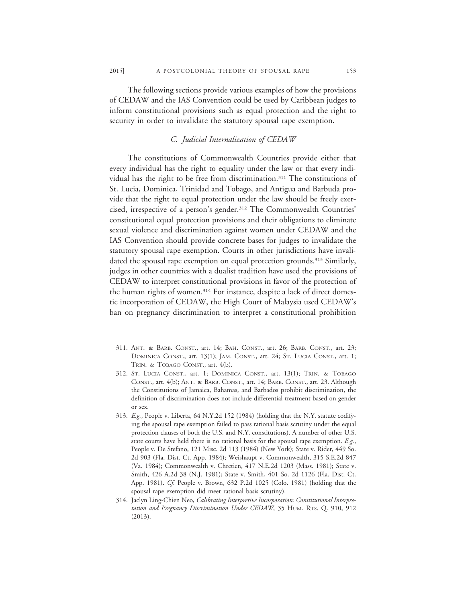The following sections provide various examples of how the provisions of CEDAW and the IAS Convention could be used by Caribbean judges to inform constitutional provisions such as equal protection and the right to security in order to invalidate the statutory spousal rape exemption.

# *C. Judicial Internalization of CEDAW*

The constitutions of Commonwealth Countries provide either that every individual has the right to equality under the law or that every individual has the right to be free from discrimination.311 The constitutions of St. Lucia, Dominica, Trinidad and Tobago, and Antigua and Barbuda provide that the right to equal protection under the law should be freely exercised, irrespective of a person's gender.312 The Commonwealth Countries' constitutional equal protection provisions and their obligations to eliminate sexual violence and discrimination against women under CEDAW and the IAS Convention should provide concrete bases for judges to invalidate the statutory spousal rape exemption. Courts in other jurisdictions have invalidated the spousal rape exemption on equal protection grounds.<sup>313</sup> Similarly, judges in other countries with a dualist tradition have used the provisions of CEDAW to interpret constitutional provisions in favor of the protection of the human rights of women.<sup>314</sup> For instance, despite a lack of direct domestic incorporation of CEDAW, the High Court of Malaysia used CEDAW's ban on pregnancy discrimination to interpret a constitutional prohibition

<sup>311.</sup> ANT. & BARB. CONST., art. 14; BAH. CONST., art. 26; BARB. CONST., art. 23; DOMINICA CONST., art. 13(1); JAM. CONST., art. 24; ST. LUCIA CONST., art. 1; TRIN. & TOBAGO CONST., art. 4(b).

<sup>312.</sup> ST. LUCIA CONST., art. 1; DOMINICA CONST., art. 13(1); TRIN. & TOBAGO CONST., art. 4(b); ANT. & BARB. CONST., art. 14; BARB. CONST., art. 23. Although the Constitutions of Jamaica, Bahamas, and Barbados prohibit discrimination, the definition of discrimination does not include differential treatment based on gender or sex.

<sup>313.</sup> *E.g.*, People v. Liberta, 64 N.Y.2d 152 (1984) (holding that the N.Y. statute codifying the spousal rape exemption failed to pass rational basis scrutiny under the equal protection clauses of both the U.S. and N.Y. constitutions). A number of other U.S. state courts have held there is no rational basis for the spousal rape exemption. *E.g.*, People v. De Stefano, 121 Misc. 2d 113 (1984) (New York); State v. Rider, 449 So. 2d 903 (Fla. Dist. Ct. App. 1984); Weishaupt v. Commonwealth, 315 S.E.2d 847 (Va. 1984); Commonwealth v. Chretien, 417 N.E.2d 1203 (Mass. 1981); State v. Smith, 426 A.2d 38 (N.J. 1981); State v. Smith, 401 So. 2d 1126 (Fla. Dist. Ct. App. 1981). *Cf.* People v. Brown, 632 P.2d 1025 (Colo. 1981) (holding that the spousal rape exemption did meet rational basis scrutiny).

<sup>314.</sup> Jaclyn Ling-Chien Neo, *Calibrating Interpretive Incorporation: Constitutional Interpretation and Pregnancy Discrimination Under CEDAW*, 35 HUM. RTS. Q. 910, 912 (2013).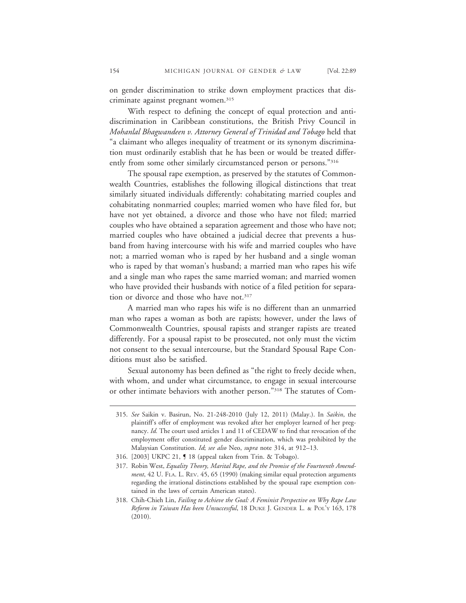on gender discrimination to strike down employment practices that discriminate against pregnant women.<sup>315</sup>

With respect to defining the concept of equal protection and antidiscrimination in Caribbean constitutions, the British Privy Council in *Mohanlal Bhagwandeen v. Attorney General of Trinidad and Tobago* held that "a claimant who alleges inequality of treatment or its synonym discrimination must ordinarily establish that he has been or would be treated differently from some other similarly circumstanced person or persons."316

The spousal rape exemption, as preserved by the statutes of Commonwealth Countries, establishes the following illogical distinctions that treat similarly situated individuals differently: cohabitating married couples and cohabitating nonmarried couples; married women who have filed for, but have not yet obtained, a divorce and those who have not filed; married couples who have obtained a separation agreement and those who have not; married couples who have obtained a judicial decree that prevents a husband from having intercourse with his wife and married couples who have not; a married woman who is raped by her husband and a single woman who is raped by that woman's husband; a married man who rapes his wife and a single man who rapes the same married woman; and married women who have provided their husbands with notice of a filed petition for separation or divorce and those who have not.<sup>317</sup>

A married man who rapes his wife is no different than an unmarried man who rapes a woman as both are rapists; however, under the laws of Commonwealth Countries, spousal rapists and stranger rapists are treated differently. For a spousal rapist to be prosecuted, not only must the victim not consent to the sexual intercourse, but the Standard Spousal Rape Conditions must also be satisfied.

Sexual autonomy has been defined as "the right to freely decide when, with whom, and under what circumstance, to engage in sexual intercourse or other intimate behaviors with another person."318 The statutes of Com-

<sup>315.</sup> *See* Saikin v. Basirun, No. 21-248-2010 (July 12, 2011) (Malay.). In *Saikin*, the plaintiff's offer of employment was revoked after her employer learned of her pregnancy. *Id.* The court used articles 1 and 11 of CEDAW to find that revocation of the employment offer constituted gender discrimination, which was prohibited by the Malaysian Constitution. *Id*; *see also* Neo, *supra* note 314, at 912–13.

<sup>316. [2003]</sup> UKPC 21, ¶ 18 (appeal taken from Trin. & Tobago).

<sup>317.</sup> Robin West, *Equality Theory, Marital Rape, and the Promise of the Fourteenth Amendment*, 42 U. FLA. L. REV. 45, 65 (1990) (making similar equal protection arguments regarding the irrational distinctions established by the spousal rape exemption contained in the laws of certain American states).

<sup>318.</sup> Chih-Chieh Lin, *Failing to Achieve the Goal: A Feminist Perspective on Why Rape Law Reform in Taiwan Has been Unsuccessful*, 18 DUKE J. GENDER L. & POL'Y 163, 178 (2010).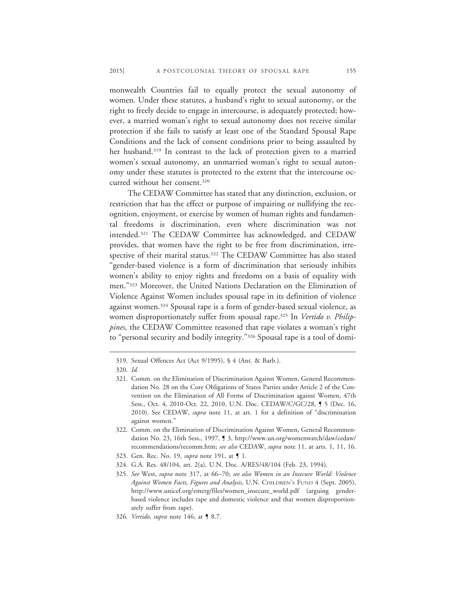monwealth Countries fail to equally protect the sexual autonomy of women. Under these statutes, a husband's right to sexual autonomy, or the right to freely decide to engage in intercourse, is adequately protected; however, a married woman's right to sexual autonomy does not receive similar protection if she fails to satisfy at least one of the Standard Spousal Rape Conditions and the lack of consent conditions prior to being assaulted by her husband.<sup>319</sup> In contrast to the lack of protection given to a married women's sexual autonomy, an unmarried woman's right to sexual autonomy under these statutes is protected to the extent that the intercourse occurred without her consent.320

The CEDAW Committee has stated that any distinction, exclusion, or restriction that has the effect or purpose of impairing or nullifying the recognition, enjoyment, or exercise by women of human rights and fundamental freedoms is discrimination, even where discrimination was not intended.321 The CEDAW Committee has acknowledged, and CEDAW provides, that women have the right to be free from discrimination, irrespective of their marital status.<sup>322</sup> The CEDAW Committee has also stated "gender-based violence is a form of discrimination that seriously inhibits women's ability to enjoy rights and freedoms on a basis of equality with men."323 Moreover, the United Nations Declaration on the Elimination of Violence Against Women includes spousal rape in its definition of violence against women.324 Spousal rape is a form of gender-based sexual violence, as women disproportionately suffer from spousal rape.325 In *Vertido v. Philippines*, the CEDAW Committee reasoned that rape violates a woman's right to "personal security and bodily integrity."326 Spousal rape is a tool of domi-

- 323. Gen. Rec. No. 19, *supra* note 191, at ¶ 1.
- 324. G.A. Res. 48/104, art. 2(a), U.N. Doc. A/RES/48/104 (Feb. 23, 1994).
- 325. *See* West, *supra* note 317, at 66–70; *see also Women in an Insecure World: Violence Against Women Facts, Figures and Analysis*, U.N. CHILDREN'S FUND 4 (Sept. 2005), http://www.unicef.org/emerg/files/women\_insecure\_world.pdf (arguing genderbased violence includes rape and domestic violence and that women disproportionately suffer from rape).
- 326. *Vertido*, *supra* note 146, at ¶ 8.7.

<sup>319.</sup> Sexual Offences Act (Act 9/1995), § 4 (Ant. & Barb.).

<sup>320.</sup> *Id.*

<sup>321.</sup> Comm. on the Elimination of Discrimination Against Women, General Recommendation No. 28 on the Core Obligations of States Parties under Article 2 of the Convention on the Elimination of All Forms of Discrimination against Women, 47th Sess., Oct. 4, 2010-Oct. 22, 2010, U.N. Doc. CEDAW/C/GC/28, ¶ 5 (Dec. 16, 2010). See CEDAW, *supra* note 11, at art. 1 for a definition of "discrimination against women."

<sup>322.</sup> Comm. on the Elimination of Discrimination Against Women, General Recommendation No. 23, 16th Sess., 1997, ¶ 3, http://www.un.org/womenwatch/daw/cedaw/ recommendations/recomm.htm; *see also* CEDAW, *supra* note 11, at arts. 1, 11, 16.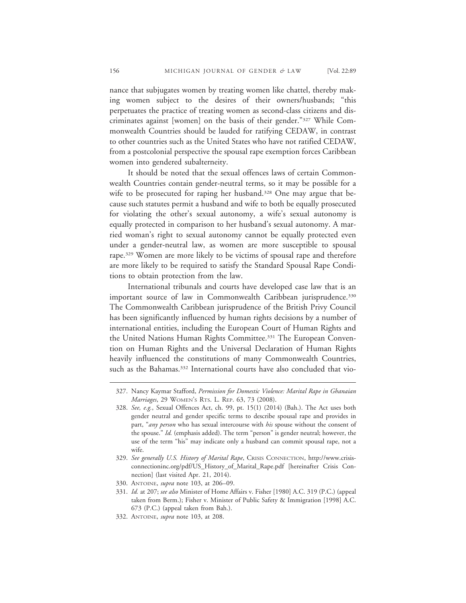nance that subjugates women by treating women like chattel, thereby making women subject to the desires of their owners/husbands; "this perpetuates the practice of treating women as second-class citizens and discriminates against [women] on the basis of their gender."327 While Commonwealth Countries should be lauded for ratifying CEDAW, in contrast to other countries such as the United States who have not ratified CEDAW, from a postcolonial perspective the spousal rape exemption forces Caribbean women into gendered subalterneity.

It should be noted that the sexual offences laws of certain Commonwealth Countries contain gender-neutral terms, so it may be possible for a wife to be prosecuted for raping her husband.<sup>328</sup> One may argue that because such statutes permit a husband and wife to both be equally prosecuted for violating the other's sexual autonomy, a wife's sexual autonomy is equally protected in comparison to her husband's sexual autonomy. A married woman's right to sexual autonomy cannot be equally protected even under a gender-neutral law, as women are more susceptible to spousal rape.<sup>329</sup> Women are more likely to be victims of spousal rape and therefore are more likely to be required to satisfy the Standard Spousal Rape Conditions to obtain protection from the law.

International tribunals and courts have developed case law that is an important source of law in Commonwealth Caribbean jurisprudence.<sup>330</sup> The Commonwealth Caribbean jurisprudence of the British Privy Council has been significantly influenced by human rights decisions by a number of international entities, including the European Court of Human Rights and the United Nations Human Rights Committee.<sup>331</sup> The European Convention on Human Rights and the Universal Declaration of Human Rights heavily influenced the constitutions of many Commonwealth Countries, such as the Bahamas.<sup>332</sup> International courts have also concluded that vio-

330. ANTOINE, *supra* note 103, at 206–09.

332. ANTOINE, *supra* note 103, at 208.

<sup>327.</sup> Nancy Kaymar Stafford, *Permission for Domestic Violence: Marital Rape in Ghanaian Marriages*, 29 WOMEN'S RTS. L. REP. 63, 73 (2008).

<sup>328.</sup> *See, e.g.*, Sexual Offences Act, ch. 99, pt. 15(1) (2014) (Bah.). The Act uses both gender neutral and gender specific terms to describe spousal rape and provides in part, "*any person* who has sexual intercourse with *his* spouse without the consent of the spouse." *Id.* (emphasis added). The term "person" is gender neutral; however, the use of the term "his" may indicate only a husband can commit spousal rape, not a wife.

<sup>329.</sup> *See generally U.S. History of Marital Rape*, CRISIS CONNECTION, http://www.crisisconnectioninc.org/pdf/US\_History\_of\_Marital\_Rape.pdf [hereinafter Crisis Connection] (last visited Apr. 21, 2014).

<sup>331.</sup> *Id.* at 207; *see also* Minister of Home Affairs v. Fisher [1980] A.C. 319 (P.C.) (appeal taken from Berm.); Fisher v. Minister of Public Safety & Immigration [1998] A.C. 673 (P.C.) (appeal taken from Bah.).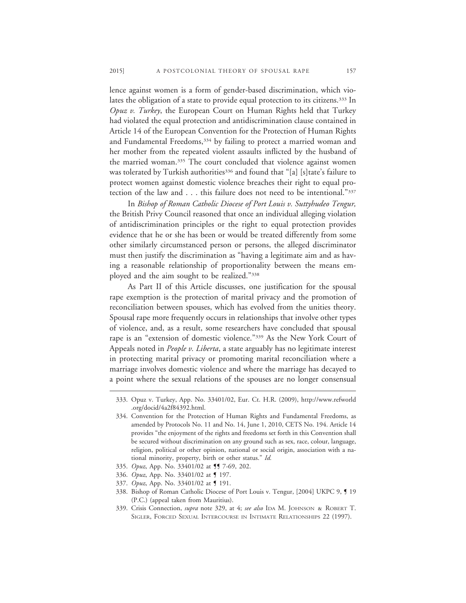lence against women is a form of gender-based discrimination, which violates the obligation of a state to provide equal protection to its citizens.333 In *Opuz v. Turkey*, the European Court on Human Rights held that Turkey had violated the equal protection and antidiscrimination clause contained in Article 14 of the European Convention for the Protection of Human Rights and Fundamental Freedoms,<sup>334</sup> by failing to protect a married woman and her mother from the repeated violent assaults inflicted by the husband of the married woman.335 The court concluded that violence against women was tolerated by Turkish authorities<sup>336</sup> and found that "[a] [s]tate's failure to protect women against domestic violence breaches their right to equal protection of the law and . . . this failure does not need to be intentional."337

In *Bishop of Roman Catholic Diocese of Port Louis v. Suttyhudeo Tengur,* the British Privy Council reasoned that once an individual alleging violation of antidiscrimination principles or the right to equal protection provides evidence that he or she has been or would be treated differently from some other similarly circumstanced person or persons, the alleged discriminator must then justify the discrimination as "having a legitimate aim and as having a reasonable relationship of proportionality between the means employed and the aim sought to be realized."338

As Part II of this Article discusses, one justification for the spousal rape exemption is the protection of marital privacy and the promotion of reconciliation between spouses, which has evolved from the unities theory. Spousal rape more frequently occurs in relationships that involve other types of violence, and, as a result, some researchers have concluded that spousal rape is an "extension of domestic violence."<sup>339</sup> As the New York Court of Appeals noted in *People v. Liberta*, a state arguably has no legitimate interest in protecting marital privacy or promoting marital reconciliation where a marriage involves domestic violence and where the marriage has decayed to a point where the sexual relations of the spouses are no longer consensual

- 335. *Opuz*, App. No. 33401/02 at **11** 7-69, 202.
- 336. *Opuz*, App. No. 33401/02 at **[** 197.
- 337. *Opuz*, App. No. 33401/02 at ¶ 191.

<sup>333.</sup> Opuz v. Turkey, App. No. 33401/02, Eur. Ct. H.R. (2009), http://www.refworld .org/docid/4a2f84392.html.

<sup>334.</sup> Convention for the Protection of Human Rights and Fundamental Freedoms, as amended by Protocols No. 11 and No. 14, June 1, 2010, CETS No. 194. Article 14 provides "the enjoyment of the rights and freedoms set forth in this Convention shall be secured without discrimination on any ground such as sex, race, colour, language, religion, political or other opinion, national or social origin, association with a national minority, property, birth or other status." *Id.*

<sup>338.</sup> Bishop of Roman Catholic Diocese of Port Louis v. Tengur, [2004] UKPC 9, ¶ 19 (P.C.) (appeal taken from Mauritius).

<sup>339.</sup> Crisis Connection, *supra* note 329, at 4; *see also* IDA M. JOHNSON & ROBERT T. SIGLER, FORCED SEXUAL INTERCOURSE IN INTIMATE RELATIONSHIPS 22 (1997).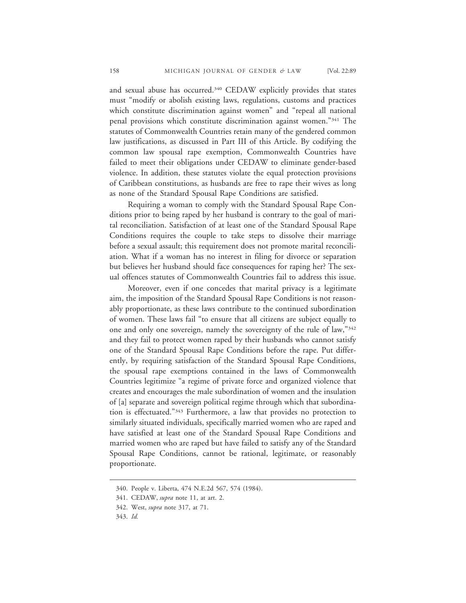and sexual abuse has occurred.340 CEDAW explicitly provides that states must "modify or abolish existing laws, regulations, customs and practices which constitute discrimination against women" and "repeal all national penal provisions which constitute discrimination against women."341 The statutes of Commonwealth Countries retain many of the gendered common law justifications, as discussed in Part III of this Article. By codifying the common law spousal rape exemption, Commonwealth Countries have failed to meet their obligations under CEDAW to eliminate gender-based violence. In addition, these statutes violate the equal protection provisions of Caribbean constitutions, as husbands are free to rape their wives as long as none of the Standard Spousal Rape Conditions are satisfied.

Requiring a woman to comply with the Standard Spousal Rape Conditions prior to being raped by her husband is contrary to the goal of marital reconciliation. Satisfaction of at least one of the Standard Spousal Rape Conditions requires the couple to take steps to dissolve their marriage before a sexual assault; this requirement does not promote marital reconciliation. What if a woman has no interest in filing for divorce or separation but believes her husband should face consequences for raping her? The sexual offences statutes of Commonwealth Countries fail to address this issue.

Moreover, even if one concedes that marital privacy is a legitimate aim, the imposition of the Standard Spousal Rape Conditions is not reasonably proportionate, as these laws contribute to the continued subordination of women. These laws fail "to ensure that all citizens are subject equally to one and only one sovereign, namely the sovereignty of the rule of law,"342 and they fail to protect women raped by their husbands who cannot satisfy one of the Standard Spousal Rape Conditions before the rape. Put differently, by requiring satisfaction of the Standard Spousal Rape Conditions, the spousal rape exemptions contained in the laws of Commonwealth Countries legitimize "a regime of private force and organized violence that creates and encourages the male subordination of women and the insulation of [a] separate and sovereign political regime through which that subordination is effectuated."343 Furthermore, a law that provides no protection to similarly situated individuals, specifically married women who are raped and have satisfied at least one of the Standard Spousal Rape Conditions and married women who are raped but have failed to satisfy any of the Standard Spousal Rape Conditions, cannot be rational, legitimate, or reasonably proportionate.

<sup>340.</sup> People v. Liberta, 474 N.E.2d 567, 574 (1984).

<sup>341.</sup> CEDAW, *supra* note 11, at art. 2.

<sup>342.</sup> West, *supra* note 317, at 71.

<sup>343.</sup> *Id.*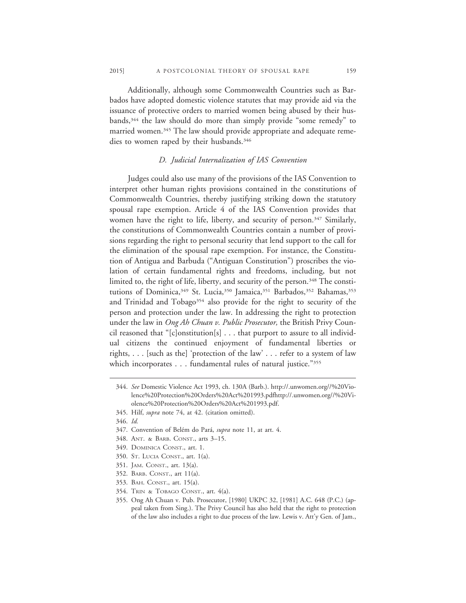Additionally, although some Commonwealth Countries such as Barbados have adopted domestic violence statutes that may provide aid via the issuance of protective orders to married women being abused by their husbands,<sup>344</sup> the law should do more than simply provide "some remedy" to married women.<sup>345</sup> The law should provide appropriate and adequate remedies to women raped by their husbands.<sup>346</sup>

#### *D. Judicial Internalization of IAS Convention*

Judges could also use many of the provisions of the IAS Convention to interpret other human rights provisions contained in the constitutions of Commonwealth Countries, thereby justifying striking down the statutory spousal rape exemption. Article 4 of the IAS Convention provides that women have the right to life, liberty, and security of person.<sup>347</sup> Similarly, the constitutions of Commonwealth Countries contain a number of provisions regarding the right to personal security that lend support to the call for the elimination of the spousal rape exemption. For instance, the Constitution of Antigua and Barbuda ("Antiguan Constitution") proscribes the violation of certain fundamental rights and freedoms, including, but not limited to, the right of life, liberty, and security of the person.<sup>348</sup> The constitutions of Dominica,<sup>349</sup> St. Lucia,<sup>350</sup> Jamaica,<sup>351</sup> Barbados,<sup>352</sup> Bahamas,<sup>353</sup> and Trinidad and Tobago<sup>354</sup> also provide for the right to security of the person and protection under the law. In addressing the right to protection under the law in *Ong Ah Chuan v. Public Prosecutor,* the British Privy Council reasoned that " $[c]$ onstitution $[s]$ ... that purport to assure to all individual citizens the continued enjoyment of fundamental liberties or rights, . . . [such as the] 'protection of the law' . . . refer to a system of law which incorporates . . . fundamental rules of natural justice."355

- 347. Convention of Belém do Pará, *supra* note 11, at art. 4.
- 348. ANT. & BARB. CONST., arts 3–15.
- 349. DOMINICA CONST., art. 1.
- 350. ST. LUCIA CONST., art. 1(a).
- 351. JAM. CONST., art. 13(a).
- 352. BARB. CONST., art 11(a).
- 353. BAH. CONST., art. 15(a).
- 354. TRIN & TOBAGO CONST., art. 4(a).

<sup>344.</sup> *See* Domestic Violence Act 1993, ch. 130A (Barb.). http://.unwomen.org//%20Violence%20Protection%20Orders%20Act%201993.pdfhttp://.unwomen.org//%20Violence%20Protection%20Orders%20Act%201993.pdf.

<sup>345.</sup> Hilf, *supra* note 74, at 42. (citation omitted).

<sup>346.</sup> *Id.*

<sup>355.</sup> Ong Ah Chuan v. Pub. Prosecutor, [1980] UKPC 32, [1981] A.C. 648 (P.C.) (appeal taken from Sing.). The Privy Council has also held that the right to protection of the law also includes a right to due process of the law. Lewis v. Att'y Gen. of Jam.,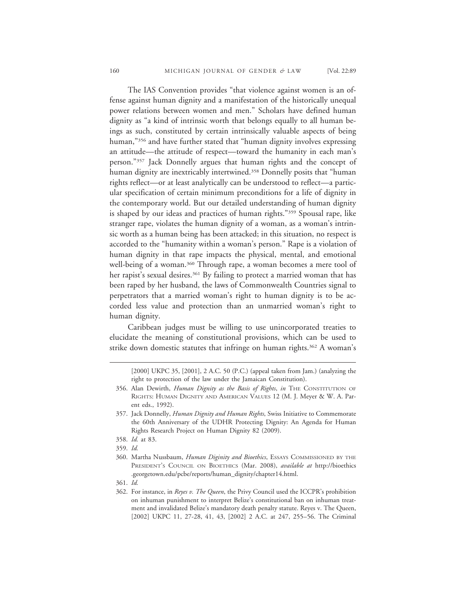The IAS Convention provides "that violence against women is an offense against human dignity and a manifestation of the historically unequal power relations between women and men." Scholars have defined human dignity as "a kind of intrinsic worth that belongs equally to all human beings as such, constituted by certain intrinsically valuable aspects of being human,"<sup>356</sup> and have further stated that "human dignity involves expressing an attitude—the attitude of respect—toward the humanity in each man's person."357 Jack Donnelly argues that human rights and the concept of human dignity are inextricably intertwined.<sup>358</sup> Donnelly posits that "human rights reflect—or at least analytically can be understood to reflect—a particular specification of certain minimum preconditions for a life of dignity in the contemporary world. But our detailed understanding of human dignity is shaped by our ideas and practices of human rights."359 Spousal rape, like stranger rape, violates the human dignity of a woman, as a woman's intrinsic worth as a human being has been attacked; in this situation, no respect is accorded to the "humanity within a woman's person." Rape is a violation of human dignity in that rape impacts the physical, mental, and emotional well-being of a woman.<sup>360</sup> Through rape, a woman becomes a mere tool of her rapist's sexual desires.<sup>361</sup> By failing to protect a married woman that has been raped by her husband, the laws of Commonwealth Countries signal to perpetrators that a married woman's right to human dignity is to be accorded less value and protection than an unmarried woman's right to human dignity.

Caribbean judges must be willing to use unincorporated treaties to elucidate the meaning of constitutional provisions, which can be used to strike down domestic statutes that infringe on human rights.<sup>362</sup> A woman's

361. *Id.*

<sup>[2000]</sup> UKPC 35, [2001], 2 A.C. 50 (P.C.) (appeal taken from Jam.) (analyzing the right to protection of the law under the Jamaican Constitution).

<sup>356.</sup> Alan Dewirth, *Human Dignity as the Basis of Rights*, *in* THE CONSTITUTION OF RIGHTS: HUMAN DIGNITY AND AMERICAN VALUES 12 (M. J. Meyer & W. A. Parent eds., 1992).

<sup>357.</sup> Jack Donnelly, *Human Dignity and Human Rights*, Swiss Initiative to Commemorate the 60th Anniversary of the UDHR Protecting Dignity: An Agenda for Human Rights Research Project on Human Dignity 82 (2009).

<sup>358.</sup> *Id.* at 83.

<sup>359.</sup> *Id.*

<sup>360.</sup> Martha Nussbaum, *Human Diginity and Bioethics*, ESSAYS COMMISSIONED BY THE PRESIDENT'S COUNCIL ON BIOETHICS (Mar. 2008), *available at* http://bioethics .georgetown.edu/pcbe/reports/human\_dignity/chapter14.html.

<sup>362.</sup> For instance, in *Reyes v. The Queen*, the Privy Council used the ICCPR's prohibition on inhuman punishment to interpret Belize's constitutional ban on inhuman treatment and invalidated Belize's mandatory death penalty statute. Reyes v. The Queen, [2002] UKPC 11, 27-28, 41, 43, [2002] 2 A.C. at 247, 255-56. The Criminal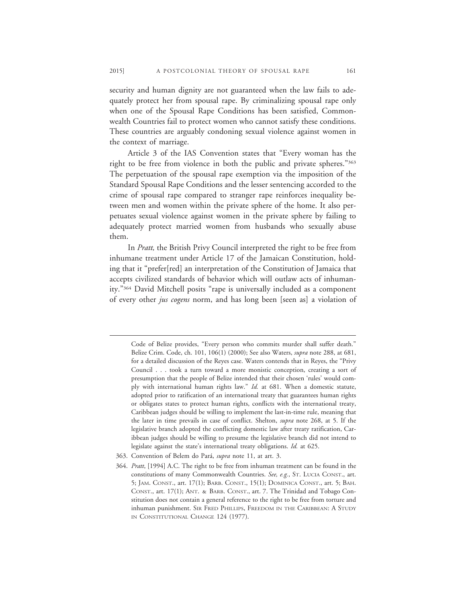security and human dignity are not guaranteed when the law fails to adequately protect her from spousal rape. By criminalizing spousal rape only when one of the Spousal Rape Conditions has been satisfied, Commonwealth Countries fail to protect women who cannot satisfy these conditions. These countries are arguably condoning sexual violence against women in the context of marriage.

Article 3 of the IAS Convention states that "Every woman has the right to be free from violence in both the public and private spheres."363 The perpetuation of the spousal rape exemption via the imposition of the Standard Spousal Rape Conditions and the lesser sentencing accorded to the crime of spousal rape compared to stranger rape reinforces inequality between men and women within the private sphere of the home. It also perpetuates sexual violence against women in the private sphere by failing to adequately protect married women from husbands who sexually abuse them.

In *Pratt,* the British Privy Council interpreted the right to be free from inhumane treatment under Article 17 of the Jamaican Constitution, holding that it "prefer[red] an interpretation of the Constitution of Jamaica that accepts civilized standards of behavior which will outlaw acts of inhumanity."364 David Mitchell posits "rape is universally included as a component of every other *jus cogens* norm, and has long been [seen as] a violation of

Code of Belize provides, "Every person who commits murder shall suffer death." Belize Crim. Code, ch. 101, 106(1) (2000); See also Waters, *supra* note 288, at 681, for a detailed discussion of the Reyes case. Waters contends that in Reyes, the "Privy Council . . . took a turn toward a more monistic conception, creating a sort of presumption that the people of Belize intended that their chosen 'rules' would comply with international human rights law." *Id.* at 681. When a domestic statute, adopted prior to ratification of an international treaty that guarantees human rights or obligates states to protect human rights, conflicts with the international treaty, Caribbean judges should be willing to implement the last-in-time rule, meaning that the later in time prevails in case of conflict. Shelton, *supra* note 268, at 5. If the legislative branch adopted the conflicting domestic law after treaty ratification, Caribbean judges should be willing to presume the legislative branch did not intend to legislate against the state's international treaty obligations. *Id.* at 625.

<sup>363.</sup> Convention of Belem do Pará, *supra* note 11, at art. 3.

<sup>364.</sup> *Pratt*, [1994] A.C. The right to be free from inhuman treatment can be found in the constitutions of many Commonwealth Countries. *See, e.g.*, ST. LUCIA CONST., art. 5; JAM. CONST., art. 17(1); BARB. CONST., 15(1); DOMINICA CONST., art. 5; BAH. CONST., art. 17(1); ANT. & BARB. CONST., art. 7. The Trinidad and Tobago Constitution does not contain a general reference to the right to be free from torture and inhuman punishment. SIR FRED PHILLIPS, FREEDOM IN THE CARIBBEAN: A STUDY IN CONSTITUTIONAL CHANGE 124 (1977).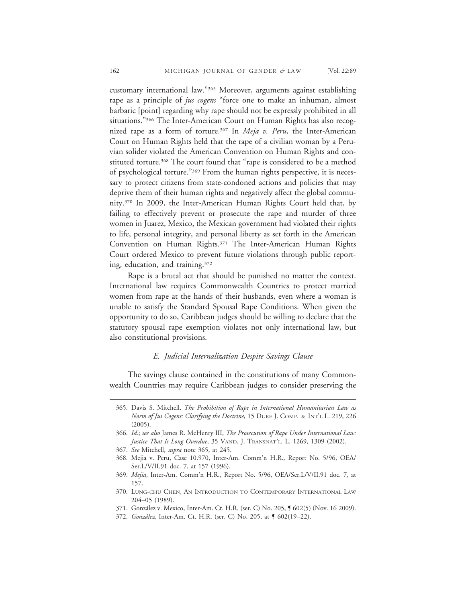customary international law."365 Moreover, arguments against establishing rape as a principle of *jus cogens* "force one to make an inhuman, almost barbaric [point] regarding why rape should not be expressly prohibited in all situations."<sup>366</sup> The Inter-American Court on Human Rights has also recognized rape as a form of torture.367 In *Meja v. Peru*, the Inter-American Court on Human Rights held that the rape of a civilian woman by a Peruvian solider violated the American Convention on Human Rights and constituted torture.<sup>368</sup> The court found that "rape is considered to be a method of psychological torture."369 From the human rights perspective, it is necessary to protect citizens from state-condoned actions and policies that may deprive them of their human rights and negatively affect the global community.370 In 2009, the Inter-American Human Rights Court held that, by failing to effectively prevent or prosecute the rape and murder of three women in Juarez, Mexico, the Mexican government had violated their rights to life, personal integrity, and personal liberty as set forth in the American Convention on Human Rights.371 The Inter-American Human Rights Court ordered Mexico to prevent future violations through public reporting, education, and training.372

Rape is a brutal act that should be punished no matter the context. International law requires Commonwealth Countries to protect married women from rape at the hands of their husbands, even where a woman is unable to satisfy the Standard Spousal Rape Conditions. When given the opportunity to do so, Caribbean judges should be willing to declare that the statutory spousal rape exemption violates not only international law, but also constitutional provisions.

## *E. Judicial Internalization Despite Savings Clause*

The savings clause contained in the constitutions of many Commonwealth Countries may require Caribbean judges to consider preserving the

<sup>365.</sup> Davis S. Mitchell, *The Prohibition of Rape in International Humanitarian Law as Norm of Jus Cogens: Clarifying the Doctrine*, 15 DUKE J. COMP. & INT'L L. 219, 226 (2005).

<sup>366.</sup> *Id.*; *see also* James R. McHenry III, *The Prosecution of Rape Under International Law: Justice That Is Long Overdue*, 35 VAND. J. TRANSNAT'L. L. 1269, 1309 (2002).

<sup>367.</sup> *See* Mitchell, *supra* note 365, at 245.

<sup>368.</sup> Mejia v. Peru, Case 10.970, Inter-Am. Comm'n H.R., Report No. 5/96, OEA/ Ser.L/V/II.91 doc. 7, at 157 (1996).

<sup>369.</sup> *Mejia*, Inter-Am. Comm'n H.R., Report No. 5/96, OEA/Ser.L/V/II.91 doc. 7, at 157.

<sup>370.</sup> LUNG-CHU CHEN, AN INTRODUCTION TO CONTEMPORARY INTERNATIONAL LAW 204–05 (1989).

<sup>371.</sup> González v. Mexico, Inter-Am. Ct. H.R. (ser. C) No. 205, **[** 602(5) (Nov. 16 2009).

<sup>372.</sup> *Gonz´alez*, Inter-Am. Ct. H.R. (ser. C) No. 205, at ¶ 602(19–22).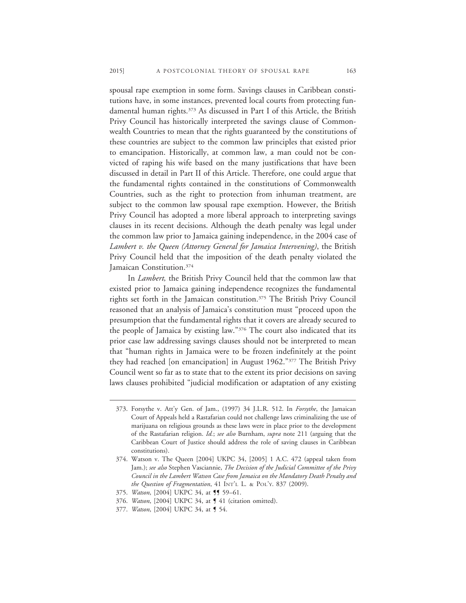spousal rape exemption in some form. Savings clauses in Caribbean constitutions have, in some instances, prevented local courts from protecting fundamental human rights.<sup>373</sup> As discussed in Part I of this Article, the British Privy Council has historically interpreted the savings clause of Commonwealth Countries to mean that the rights guaranteed by the constitutions of these countries are subject to the common law principles that existed prior to emancipation. Historically, at common law, a man could not be convicted of raping his wife based on the many justifications that have been discussed in detail in Part II of this Article. Therefore, one could argue that the fundamental rights contained in the constitutions of Commonwealth Countries, such as the right to protection from inhuman treatment, are subject to the common law spousal rape exemption. However, the British Privy Council has adopted a more liberal approach to interpreting savings clauses in its recent decisions. Although the death penalty was legal under the common law prior to Jamaica gaining independence, in the 2004 case of *Lambert v. the Queen (Attorney General for Jamaica Intervening)*, the British Privy Council held that the imposition of the death penalty violated the Jamaican Constitution.374

In *Lambert,* the British Privy Council held that the common law that existed prior to Jamaica gaining independence recognizes the fundamental rights set forth in the Jamaican constitution.375 The British Privy Council reasoned that an analysis of Jamaica's constitution must "proceed upon the presumption that the fundamental rights that it covers are already secured to the people of Jamaica by existing law."376 The court also indicated that its prior case law addressing savings clauses should not be interpreted to mean that "human rights in Jamaica were to be frozen indefinitely at the point they had reached [on emancipation] in August 1962."377 The British Privy Council went so far as to state that to the extent its prior decisions on saving laws clauses prohibited "judicial modification or adaptation of any existing

<sup>373.</sup> Forsythe v. Att'y Gen. of Jam., (1997) 34 J.L.R. 512. In *Forsythe*, the Jamaican Court of Appeals held a Rastafarian could not challenge laws criminalizing the use of marijuana on religious grounds as these laws were in place prior to the development of the Rastafarian religion. *Id.*; *see also* Burnham, *supra* note 211 (arguing that the Caribbean Court of Justice should address the role of saving clauses in Caribbean constitutions).

<sup>374.</sup> Watson v. The Queen [2004] UKPC 34, [2005] 1 A.C. 472 (appeal taken from Jam.); *see also* Stephen Vasciannie, *The Decision of the Judicial Committee of the Privy Council in the Lambert Watson Case from Jamaica on the Mandatory Death Penalty and the Question of Fragmentation*, 41 INT'L L. & POL'Y. 837 (2009).

<sup>375.</sup> *Watson*, [2004] UKPC 34, at **[1** 59-61.

<sup>376.</sup> *Watson*, [2004] UKPC 34, at ¶ 41 (citation omitted).

<sup>377.</sup> *Watson*, [2004] UKPC 34, at ¶ 54.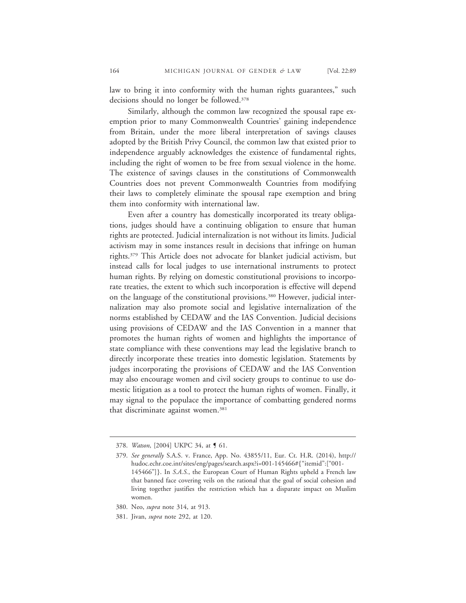law to bring it into conformity with the human rights guarantees," such decisions should no longer be followed.378

Similarly, although the common law recognized the spousal rape exemption prior to many Commonwealth Countries' gaining independence from Britain, under the more liberal interpretation of savings clauses adopted by the British Privy Council, the common law that existed prior to independence arguably acknowledges the existence of fundamental rights, including the right of women to be free from sexual violence in the home. The existence of savings clauses in the constitutions of Commonwealth Countries does not prevent Commonwealth Countries from modifying their laws to completely eliminate the spousal rape exemption and bring them into conformity with international law.

Even after a country has domestically incorporated its treaty obligations, judges should have a continuing obligation to ensure that human rights are protected. Judicial internalization is not without its limits. Judicial activism may in some instances result in decisions that infringe on human rights.379 This Article does not advocate for blanket judicial activism, but instead calls for local judges to use international instruments to protect human rights. By relying on domestic constitutional provisions to incorporate treaties, the extent to which such incorporation is effective will depend on the language of the constitutional provisions.380 However, judicial internalization may also promote social and legislative internalization of the norms established by CEDAW and the IAS Convention. Judicial decisions using provisions of CEDAW and the IAS Convention in a manner that promotes the human rights of women and highlights the importance of state compliance with these conventions may lead the legislative branch to directly incorporate these treaties into domestic legislation. Statements by judges incorporating the provisions of CEDAW and the IAS Convention may also encourage women and civil society groups to continue to use domestic litigation as a tool to protect the human rights of women. Finally, it may signal to the populace the importance of combatting gendered norms that discriminate against women.<sup>381</sup>

<sup>378.</sup> *Watson*, [2004] UKPC 34, at ¶ 61.

<sup>379.</sup> *See generally* S.A.S. v. France, App. No. 43855/11, Eur. Ct. H.R. (2014), http:// hudoc.echr.coe.int/sites/eng/pages/search.aspx?i=001-145466#{"itemid":["001- 145466"]}. In *S.A.S.*, the European Court of Human Rights upheld a French law that banned face covering veils on the rational that the goal of social cohesion and living together justifies the restriction which has a disparate impact on Muslim women.

<sup>380.</sup> Neo, *supra* note 314, at 913.

<sup>381.</sup> Jivan, *supra* note 292, at 120.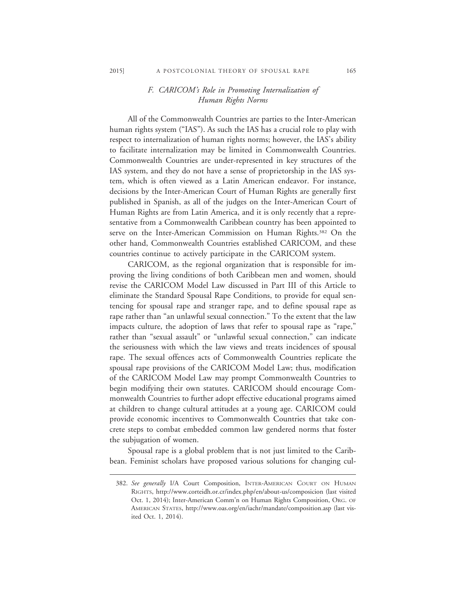## *F. CARICOM's Role in Promoting Internalization of Human Rights Norms*

All of the Commonwealth Countries are parties to the Inter-American human rights system ("IAS"). As such the IAS has a crucial role to play with respect to internalization of human rights norms; however, the IAS's ability to facilitate internalization may be limited in Commonwealth Countries. Commonwealth Countries are under-represented in key structures of the IAS system, and they do not have a sense of proprietorship in the IAS system, which is often viewed as a Latin American endeavor. For instance, decisions by the Inter-American Court of Human Rights are generally first published in Spanish, as all of the judges on the Inter-American Court of Human Rights are from Latin America, and it is only recently that a representative from a Commonwealth Caribbean country has been appointed to serve on the Inter-American Commission on Human Rights.<sup>382</sup> On the other hand, Commonwealth Countries established CARICOM, and these countries continue to actively participate in the CARICOM system.

CARICOM, as the regional organization that is responsible for improving the living conditions of both Caribbean men and women, should revise the CARICOM Model Law discussed in Part III of this Article to eliminate the Standard Spousal Rape Conditions, to provide for equal sentencing for spousal rape and stranger rape, and to define spousal rape as rape rather than "an unlawful sexual connection." To the extent that the law impacts culture, the adoption of laws that refer to spousal rape as "rape," rather than "sexual assault" or "unlawful sexual connection," can indicate the seriousness with which the law views and treats incidences of spousal rape. The sexual offences acts of Commonwealth Countries replicate the spousal rape provisions of the CARICOM Model Law; thus, modification of the CARICOM Model Law may prompt Commonwealth Countries to begin modifying their own statutes. CARICOM should encourage Commonwealth Countries to further adopt effective educational programs aimed at children to change cultural attitudes at a young age. CARICOM could provide economic incentives to Commonwealth Countries that take concrete steps to combat embedded common law gendered norms that foster the subjugation of women.

Spousal rape is a global problem that is not just limited to the Caribbean. Feminist scholars have proposed various solutions for changing cul-

<sup>382.</sup> *See generally* I/A Court Composition, INTER-AMERICAN COURT ON HUMAN RIGHTS, http://www.corteidh.or.cr/index.php/en/about-us/composicion (last visited Oct. 1, 2014); Inter-American Comm'n on Human Rights Composition, ORG. OF AMERICAN STATES, http://www.oas.org/en/iachr/mandate/composition.asp (last visited Oct. 1, 2014).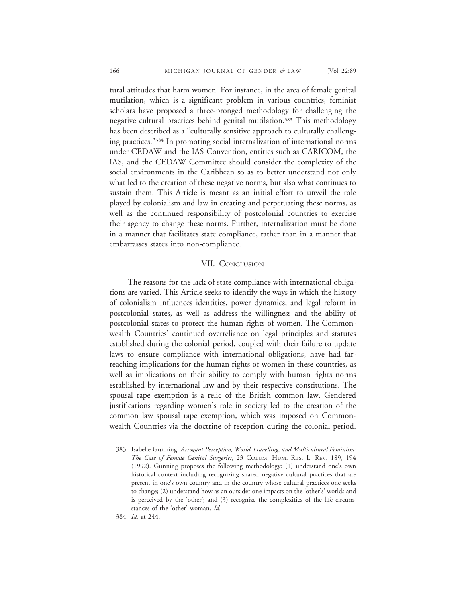tural attitudes that harm women. For instance, in the area of female genital mutilation, which is a significant problem in various countries, feminist scholars have proposed a three-pronged methodology for challenging the negative cultural practices behind genital mutilation.<sup>383</sup> This methodology has been described as a "culturally sensitive approach to culturally challenging practices."384 In promoting social internalization of international norms under CEDAW and the IAS Convention, entities such as CARICOM, the IAS, and the CEDAW Committee should consider the complexity of the social environments in the Caribbean so as to better understand not only what led to the creation of these negative norms, but also what continues to sustain them. This Article is meant as an initial effort to unveil the role played by colonialism and law in creating and perpetuating these norms, as well as the continued responsibility of postcolonial countries to exercise their agency to change these norms. Further, internalization must be done in a manner that facilitates state compliance, rather than in a manner that embarrasses states into non-compliance.

## VII. CONCLUSION

The reasons for the lack of state compliance with international obligations are varied. This Article seeks to identify the ways in which the history of colonialism influences identities, power dynamics, and legal reform in postcolonial states, as well as address the willingness and the ability of postcolonial states to protect the human rights of women. The Commonwealth Countries' continued overreliance on legal principles and statutes established during the colonial period, coupled with their failure to update laws to ensure compliance with international obligations, have had farreaching implications for the human rights of women in these countries, as well as implications on their ability to comply with human rights norms established by international law and by their respective constitutions. The spousal rape exemption is a relic of the British common law. Gendered justifications regarding women's role in society led to the creation of the common law spousal rape exemption, which was imposed on Commonwealth Countries via the doctrine of reception during the colonial period.

384. *Id.* at 244.

<sup>383.</sup> Isabelle Gunning, *Arrogant Perception, World Travelling, and Multicultural Feminism: The Case of Female Genital Surgeries*, 23 COLUM. HUM. RTS. L. REV. 189, 194 (1992). Gunning proposes the following methodology: (1) understand one's own historical context including recognizing shared negative cultural practices that are present in one's own country and in the country whose cultural practices one seeks to change; (2) understand how as an outsider one impacts on the 'other's' worlds and is perceived by the 'other'; and (3) recognize the complexities of the life circumstances of the 'other' woman. *Id.*